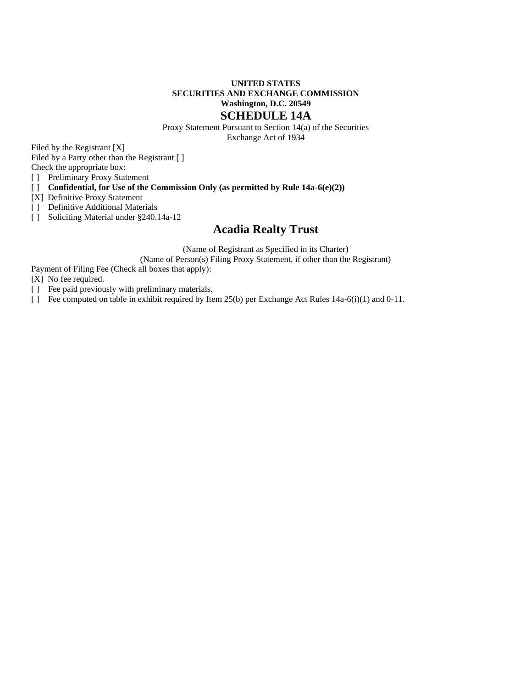# **UNITED STATES SECURITIES AND EXCHANGE COMMISSION Washington, D.C. 20549 SCHEDULE 14A**

Proxy Statement Pursuant to Section 14(a) of the Securities Exchange Act of 1934

Filed by the Registrant [X]

Filed by a Party other than the Registrant [ ]

Check the appropriate box:

[ ] Preliminary Proxy Statement

[ ] **Confidential, for Use of the Commission Only (as permitted by Rule 14a-6(e)(2))**

[X] Definitive Proxy Statement

[ ] Definitive Additional Materials

[ ] Soliciting Material under §240.14a-12

# **Acadia Realty Trust**

(Name of Registrant as Specified in its Charter)

(Name of Person(s) Filing Proxy Statement, if other than the Registrant)

Payment of Filing Fee (Check all boxes that apply):

[X] No fee required.

[ ] Fee paid previously with preliminary materials.

[ ] Fee computed on table in exhibit required by Item 25(b) per Exchange Act Rules 14a-6(i)(1) and 0-11.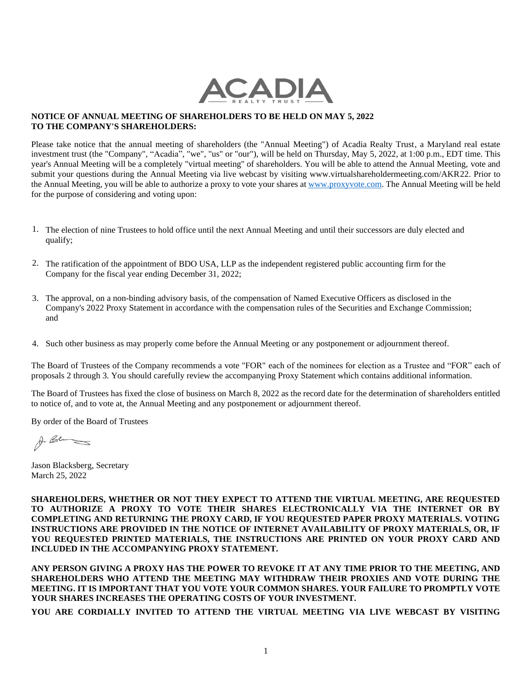

# **NOTICE OF ANNUAL MEETING OF SHAREHOLDERS TO BE HELD ON MAY 5, 2022 TO THE COMPANY'S SHAREHOLDERS:**

Please take notice that the annual meeting of shareholders (the "Annual Meeting") of Acadia Realty Trust, a Maryland real estate investment trust (the "Company", "Acadia", "we", "us" or "our"), will be held on Thursday, May 5, 2022, at 1:00 p.m., EDT time. This year's Annual Meeting will be a completely "virtual meeting" of shareholders. You will be able to attend the Annual Meeting, vote and submit your questions during the Annual Meeting via live webcast by visiting www.virtualshareholdermeeting.com/AKR22. Prior to the Annual Meeting, you will be able to authorize a proxy to vote your shares at [www.proxyvote.com.](http://www.proxyvote.com/) The Annual Meeting will be held for the purpose of considering and voting upon:

- 1. The election of nine Trustees to hold office until the next Annual Meeting and until their successors are duly elected and qualify;
- 2. The ratification of the appointment of BDO USA, LLP as the independent registered public accounting firm for the Company for the fiscal year ending December 31, 2022;
- 3. The approval, on a non-binding advisory basis, of the compensation of Named Executive Officers as disclosed in the Company's 2022 Proxy Statement in accordance with the compensation rules of the Securities and Exchange Commission; and
- 4. Such other business as may properly come before the Annual Meeting or any postponement or adjournment thereof.

The Board of Trustees of the Company recommends a vote "FOR" each of the nominees for election as a Trustee and "FOR" each of proposals 2 through 3. You should carefully review the accompanying Proxy Statement which contains additional information.

The Board of Trustees has fixed the close of business on March 8, 2022 as the record date for the determination of shareholders entitled to notice of, and to vote at, the Annual Meeting and any postponement or adjournment thereof.

By order of the Board of Trustees

A. Be

Jason Blacksberg, Secretary March 25, 2022

**SHAREHOLDERS, WHETHER OR NOT THEY EXPECT TO ATTEND THE VIRTUAL MEETING, ARE REQUESTED TO AUTHORIZE A PROXY TO VOTE THEIR SHARES ELECTRONICALLY VIA THE INTERNET OR BY COMPLETING AND RETURNING THE PROXY CARD, IF YOU REQUESTED PAPER PROXY MATERIALS. VOTING INSTRUCTIONS ARE PROVIDED IN THE NOTICE OF INTERNET AVAILABILITY OF PROXY MATERIALS, OR, IF YOU REQUESTED PRINTED MATERIALS, THE INSTRUCTIONS ARE PRINTED ON YOUR PROXY CARD AND INCLUDED IN THE ACCOMPANYING PROXY STATEMENT.**

**ANY PERSON GIVING A PROXY HAS THE POWER TO REVOKE IT AT ANY TIME PRIOR TO THE MEETING, AND SHAREHOLDERS WHO ATTEND THE MEETING MAY WITHDRAW THEIR PROXIES AND VOTE DURING THE MEETING. IT IS IMPORTANT THAT YOU VOTE YOUR COMMON SHARES. YOUR FAILURE TO PROMPTLY VOTE YOUR SHARES INCREASES THE OPERATING COSTS OF YOUR INVESTMENT.**

**YOU ARE CORDIALLY INVITED TO ATTEND THE VIRTUAL MEETING VIA LIVE WEBCAST BY VISITING**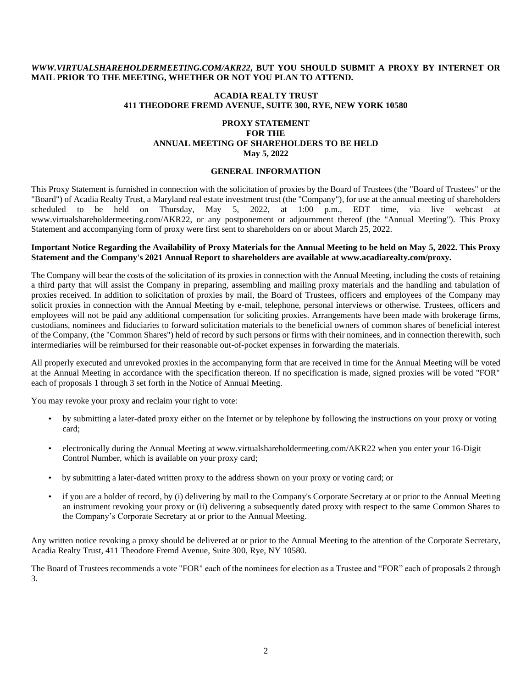# *WWW.VIRTUALSHAREHOLDERMEETING.COM/AKR22***, BUT YOU SHOULD SUBMIT A PROXY BY INTERNET OR MAIL PRIOR TO THE MEETING, WHETHER OR NOT YOU PLAN TO ATTEND.**

## **ACADIA REALTY TRUST 411 THEODORE FREMD AVENUE, SUITE 300, RYE, NEW YORK 10580**

# **PROXY STATEMENT FOR THE ANNUAL MEETING OF SHAREHOLDERS TO BE HELD May 5, 2022**

### **GENERAL INFORMATION**

This Proxy Statement is furnished in connection with the solicitation of proxies by the Board of Trustees (the "Board of Trustees" or the "Board") of Acadia Realty Trust, a Maryland real estate investment trust (the "Company"), for use at the annual meeting of shareholders scheduled to be held on Thursday, May 5, 2022, at 1:00 p.m., EDT time, via live webcast at www.virtualshareholdermeeting.com/AKR22, or any postponement or adjournment thereof (the "Annual Meeting"). This Proxy Statement and accompanying form of proxy were first sent to shareholders on or about March 25, 2022.

### **Important Notice Regarding the Availability of Proxy Materials for the Annual Meeting to be held on May 5, 2022. This Proxy Statement and the Company's 2021 Annual Report to shareholders are available at www.acadiarealty.com/proxy.**

The Company will bear the costs of the solicitation of its proxies in connection with the Annual Meeting, including the costs of retaining a third party that will assist the Company in preparing, assembling and mailing proxy materials and the handling and tabulation of proxies received. In addition to solicitation of proxies by mail, the Board of Trustees, officers and employees of the Company may solicit proxies in connection with the Annual Meeting by e-mail, telephone, personal interviews or otherwise. Trustees, officers and employees will not be paid any additional compensation for soliciting proxies. Arrangements have been made with brokerage firms, custodians, nominees and fiduciaries to forward solicitation materials to the beneficial owners of common shares of beneficial interest of the Company, (the "Common Shares") held of record by such persons or firms with their nominees, and in connection therewith, such intermediaries will be reimbursed for their reasonable out-of-pocket expenses in forwarding the materials.

All properly executed and unrevoked proxies in the accompanying form that are received in time for the Annual Meeting will be voted at the Annual Meeting in accordance with the specification thereon. If no specification is made, signed proxies will be voted "FOR" each of proposals 1 through 3 set forth in the Notice of Annual Meeting.

You may revoke your proxy and reclaim your right to vote:

- by submitting a later-dated proxy either on the Internet or by telephone by following the instructions on your proxy or voting card;
- electronically during the Annual Meeting at www.virtualshareholdermeeting.com/AKR22 when you enter your 16-Digit Control Number, which is available on your proxy card;
- by submitting a later-dated written proxy to the address shown on your proxy or voting card; or
- if you are a holder of record, by (i) delivering by mail to the Company's Corporate Secretary at or prior to the Annual Meeting an instrument revoking your proxy or (ii) delivering a subsequently dated proxy with respect to the same Common Shares to the Company's Corporate Secretary at or prior to the Annual Meeting.

Any written notice revoking a proxy should be delivered at or prior to the Annual Meeting to the attention of the Corporate Secretary, Acadia Realty Trust, 411 Theodore Fremd Avenue, Suite 300, Rye, NY 10580.

The Board of Trustees recommends a vote "FOR" each of the nominees for election as a Trustee and "FOR" each of proposals 2 through 3.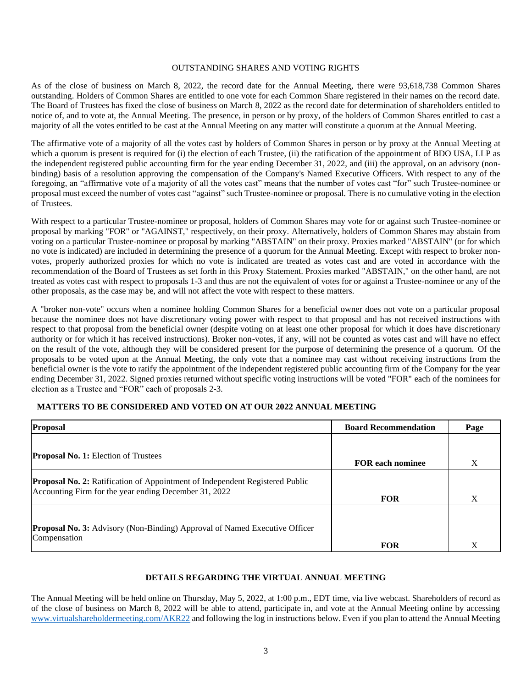# OUTSTANDING SHARES AND VOTING RIGHTS

As of the close of business on March 8, 2022, the record date for the Annual Meeting, there were 93,618,738 Common Shares outstanding. Holders of Common Shares are entitled to one vote for each Common Share registered in their names on the record date. The Board of Trustees has fixed the close of business on March 8, 2022 as the record date for determination of shareholders entitled to notice of, and to vote at, the Annual Meeting. The presence, in person or by proxy, of the holders of Common Shares entitled to cast a majority of all the votes entitled to be cast at the Annual Meeting on any matter will constitute a quorum at the Annual Meeting.

The affirmative vote of a majority of all the votes cast by holders of Common Shares in person or by proxy at the Annual Meeting at which a quorum is present is required for (i) the election of each Trustee, (ii) the ratification of the appointment of BDO USA, LLP as the independent registered public accounting firm for the year ending December 31, 2022, and (iii) the approval, on an advisory (nonbinding) basis of a resolution approving the compensation of the Company's Named Executive Officers. With respect to any of the foregoing, an "affirmative vote of a majority of all the votes cast" means that the number of votes cast "for" such Trustee-nominee or proposal must exceed the number of votes cast "against" such Trustee-nominee or proposal. There is no cumulative voting in the election of Trustees.

With respect to a particular Trustee-nominee or proposal, holders of Common Shares may vote for or against such Trustee-nominee or proposal by marking "FOR" or "AGAINST," respectively, on their proxy. Alternatively, holders of Common Shares may abstain from voting on a particular Trustee-nominee or proposal by marking "ABSTAIN" on their proxy. Proxies marked "ABSTAIN" (or for which no vote is indicated) are included in determining the presence of a quorum for the Annual Meeting. Except with respect to broker nonvotes, properly authorized proxies for which no vote is indicated are treated as votes cast and are voted in accordance with the recommendation of the Board of Trustees as set forth in this Proxy Statement. Proxies marked "ABSTAIN," on the other hand, are not treated as votes cast with respect to proposals 1-3 and thus are not the equivalent of votes for or against a Trustee-nominee or any of the other proposals, as the case may be, and will not affect the vote with respect to these matters.

A "broker non-vote" occurs when a nominee holding Common Shares for a beneficial owner does not vote on a particular proposal because the nominee does not have discretionary voting power with respect to that proposal and has not received instructions with respect to that proposal from the beneficial owner (despite voting on at least one other proposal for which it does have discretionary authority or for which it has received instructions). Broker non-votes, if any, will not be counted as votes cast and will have no effect on the result of the vote, although they will be considered present for the purpose of determining the presence of a quorum. Of the proposals to be voted upon at the Annual Meeting, the only vote that a nominee may cast without receiving instructions from the beneficial owner is the vote to ratify the appointment of the independent registered public accounting firm of the Company for the year ending December 31, 2022. Signed proxies returned without specific voting instructions will be voted "FOR" each of the nominees for election as a Trustee and "FOR" each of proposals 2-3.

# **MATTERS TO BE CONSIDERED AND VOTED ON AT OUR 2022 ANNUAL MEETING**

| Proposal                                                                                                                                     | <b>Board Recommendation</b> | Page |
|----------------------------------------------------------------------------------------------------------------------------------------------|-----------------------------|------|
| <b>Proposal No. 1:</b> Election of Trustees                                                                                                  | <b>FOR each nominee</b>     | Χ    |
| <b>Proposal No. 2:</b> Ratification of Appointment of Independent Registered Public<br>Accounting Firm for the year ending December 31, 2022 | <b>FOR</b>                  | X    |
| <b>Proposal No. 3:</b> Advisory (Non-Binding) Approval of Named Executive Officer<br>Compensation                                            | <b>FOR</b>                  | Х    |

#### **DETAILS REGARDING THE VIRTUAL ANNUAL MEETING**

The Annual Meeting will be held online on Thursday, May 5, 2022, at 1:00 p.m., EDT time, via live webcast. Shareholders of record as of the close of business on March 8, 2022 will be able to attend, participate in, and vote at the Annual Meeting online by accessing [www.virtualshareholdermeeting.com/AKR22](http://www.virtualshareholdermeeting.com/AKR22) and following the log in instructions below. Even if you plan to attend the Annual Meeting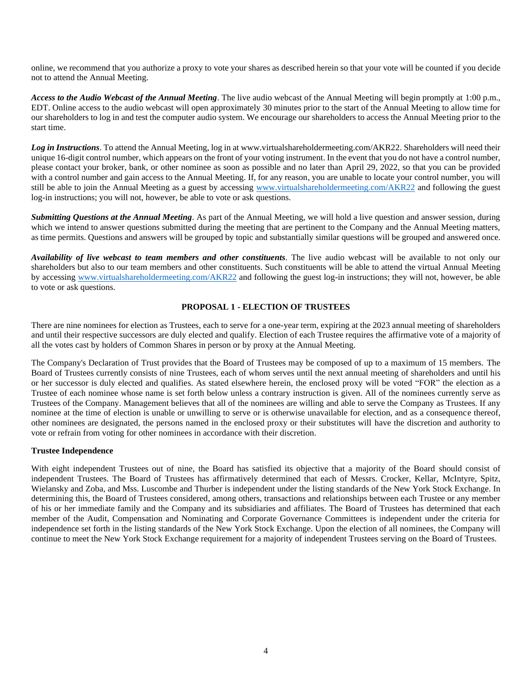online, we recommend that you authorize a proxy to vote your shares as described herein so that your vote will be counted if you decide not to attend the Annual Meeting.

*Access to the Audio Webcast of the Annual Meeting*. The live audio webcast of the Annual Meeting will begin promptly at 1:00 p.m., EDT. Online access to the audio webcast will open approximately 30 minutes prior to the start of the Annual Meeting to allow time for our shareholders to log in and test the computer audio system. We encourage our shareholders to access the Annual Meeting prior to the start time.

*Log in Instructions*. To attend the Annual Meeting, log in at www.virtualshareholdermeeting.com/AKR22. Shareholders will need their unique 16-digit control number, which appears on the front of your voting instrument. In the event that you do not have a control number, please contact your broker, bank, or other nominee as soon as possible and no later than April 29, 2022, so that you can be provided with a control number and gain access to the Annual Meeting. If, for any reason, you are unable to locate your control number, you will still be able to join the Annual Meeting as a guest by accessing [www.virtualshareholdermeeting.com/AKR22](http://www.virtualshareholdermeeting.com/AKR22) and following the guest log-in instructions; you will not, however, be able to vote or ask questions.

*Submitting Questions at the Annual Meeting*. As part of the Annual Meeting, we will hold a live question and answer session, during which we intend to answer questions submitted during the meeting that are pertinent to the Company and the Annual Meeting matters, as time permits. Questions and answers will be grouped by topic and substantially similar questions will be grouped and answered once.

*Availability of live webcast to team members and other constituents*. The live audio webcast will be available to not only our shareholders but also to our team members and other constituents. Such constituents will be able to attend the virtual Annual Meeting by accessin[g www.virtualshareholdermeeting.com/AKR22](http://www.virtualshareholdermeeting.com/AKR22) and following the guest log-in instructions; they will not, however, be able to vote or ask questions.

# **PROPOSAL 1 - ELECTION OF TRUSTEES**

There are nine nominees for election as Trustees, each to serve for a one-year term, expiring at the 2023 annual meeting of shareholders and until their respective successors are duly elected and qualify. Election of each Trustee requires the affirmative vote of a majority of all the votes cast by holders of Common Shares in person or by proxy at the Annual Meeting.

The Company's Declaration of Trust provides that the Board of Trustees may be composed of up to a maximum of 15 members. The Board of Trustees currently consists of nine Trustees, each of whom serves until the next annual meeting of shareholders and until his or her successor is duly elected and qualifies. As stated elsewhere herein, the enclosed proxy will be voted "FOR" the election as a Trustee of each nominee whose name is set forth below unless a contrary instruction is given. All of the nominees currently serve as Trustees of the Company. Management believes that all of the nominees are willing and able to serve the Company as Trustees. If any nominee at the time of election is unable or unwilling to serve or is otherwise unavailable for election, and as a consequence thereof, other nominees are designated, the persons named in the enclosed proxy or their substitutes will have the discretion and authority to vote or refrain from voting for other nominees in accordance with their discretion.

# **Trustee Independence**

With eight independent Trustees out of nine, the Board has satisfied its objective that a majority of the Board should consist of independent Trustees. The Board of Trustees has affirmatively determined that each of Messrs. Crocker, Kellar, McIntyre, Spitz, Wielansky and Zoba, and Mss. Luscombe and Thurber is independent under the listing standards of the New York Stock Exchange. In determining this, the Board of Trustees considered, among others, transactions and relationships between each Trustee or any member of his or her immediate family and the Company and its subsidiaries and affiliates. The Board of Trustees has determined that each member of the Audit, Compensation and Nominating and Corporate Governance Committees is independent under the criteria for independence set forth in the listing standards of the New York Stock Exchange. Upon the election of all nominees, the Company will continue to meet the New York Stock Exchange requirement for a majority of independent Trustees serving on the Board of Trustees.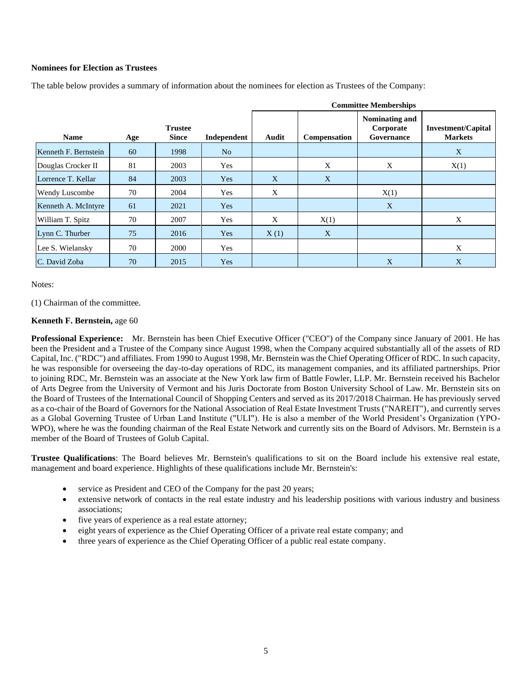## **Nominees for Election as Trustees**

|                       |     |                                |             | <b>Committee Memberships</b> |              |                                           |                                             |  |
|-----------------------|-----|--------------------------------|-------------|------------------------------|--------------|-------------------------------------------|---------------------------------------------|--|
| <b>Name</b>           | Age | <b>Trustee</b><br><b>Since</b> | Independent | Audit                        | Compensation | Nominating and<br>Corporate<br>Governance | <b>Investment/Capital</b><br><b>Markets</b> |  |
| Kenneth F. Bernstein  | 60  | 1998                           | No          |                              |              |                                           | X                                           |  |
| Douglas Crocker II    | 81  | 2003                           | Yes         |                              | X            | X                                         | X(1)                                        |  |
| Lorrence T. Kellar    | 84  | 2003                           | <b>Yes</b>  | X                            | X            |                                           |                                             |  |
| <b>Wendy Luscombe</b> | 70  | 2004                           | Yes         | X                            |              | X(1)                                      |                                             |  |
| Kenneth A. McIntyre   | 61  | 2021                           | Yes         |                              |              | X                                         |                                             |  |
| William T. Spitz      | 70  | 2007                           | Yes         | X                            | X(1)         |                                           | X                                           |  |
| Lynn C. Thurber       | 75  | 2016                           | Yes         | X(1)                         | X            |                                           |                                             |  |
| Lee S. Wielansky      | 70  | 2000                           | Yes         |                              |              |                                           | X                                           |  |
| C. David Zoba         | 70  | 2015                           | Yes         |                              |              | X                                         | X                                           |  |

The table below provides a summary of information about the nominees for election as Trustees of the Company:

Notes:

(1) Chairman of the committee.

### **Kenneth F. Bernstein,** age 60

**Professional Experience:** Mr. Bernstein has been Chief Executive Officer ("CEO") of the Company since January of 2001. He has been the President and a Trustee of the Company since August 1998, when the Company acquired substantially all of the assets of RD Capital, Inc. ("RDC") and affiliates. From 1990 to August 1998, Mr. Bernstein was the Chief Operating Officer of RDC. In such capacity, he was responsible for overseeing the day-to-day operations of RDC, its management companies, and its affiliated partnerships. Prior to joining RDC, Mr. Bernstein was an associate at the New York law firm of Battle Fowler, LLP. Mr. Bernstein received his Bachelor of Arts Degree from the University of Vermont and his Juris Doctorate from Boston University School of Law. Mr. Bernstein sits on the Board of Trustees of the International Council of Shopping Centers and served as its 2017/2018 Chairman. He has previously served as a co-chair of the Board of Governors for the National Association of Real Estate Investment Trusts ("NAREIT"), and currently serves as a Global Governing Trustee of Urban Land Institute ("ULI"). He is also a member of the World President's Organization (YPO-WPO), where he was the founding chairman of the Real Estate Network and currently sits on the Board of Advisors. Mr. Bernstein is a member of the Board of Trustees of Golub Capital.

**Trustee Qualifications**: The Board believes Mr. Bernstein's qualifications to sit on the Board include his extensive real estate, management and board experience. Highlights of these qualifications include Mr. Bernstein's:

- service as President and CEO of the Company for the past 20 years;
- extensive network of contacts in the real estate industry and his leadership positions with various industry and business associations;
- five years of experience as a real estate attorney;
- eight years of experience as the Chief Operating Officer of a private real estate company; and
- three years of experience as the Chief Operating Officer of a public real estate company.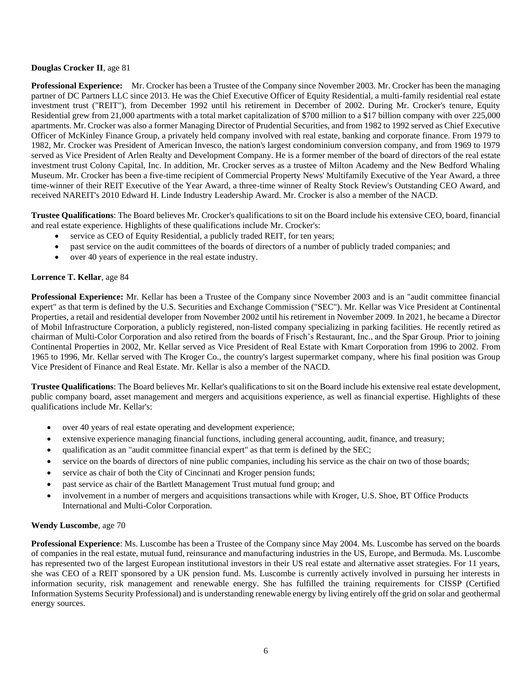## **Douglas Crocker II**, age 81

**Professional Experience:** Mr. Crocker has been a Trustee of the Company since November 2003. Mr. Crocker has been the managing partner of DC Partners LLC since 2013. He was the Chief Executive Officer of Equity Residential, a multi-family residential real estate investment trust ("REIT"), from December 1992 until his retirement in December of 2002. During Mr. Crocker's tenure, Equity Residential grew from 21,000 apartments with a total market capitalization of \$700 million to a \$17 billion company with over 225,000 apartments. Mr. Crocker was also a former Managing Director of Prudential Securities, and from 1982 to 1992 served as Chief Executive Officer of McKinley Finance Group, a privately held company involved with real estate, banking and corporate finance. From 1979 to 1982, Mr. Crocker was President of American Invesco, the nation's largest condominium conversion company, and from 1969 to 1979 served as Vice President of Arlen Realty and Development Company. He is a former member of the board of directors of the real estate investment trust Colony Capital, Inc. In addition, Mr. Crocker serves as a trustee of Milton Academy and the New Bedford Whaling Museum. Mr. Crocker has been a five-time recipient of Commercial Property News' Multifamily Executive of the Year Award, a three time-winner of their REIT Executive of the Year Award, a three-time winner of Realty Stock Review's Outstanding CEO Award, and received NAREIT's 2010 Edward H. Linde Industry Leadership Award. Mr. Crocker is also a member of the NACD.

**Trustee Qualifications**: The Board believes Mr. Crocker's qualifications to sit on the Board include his extensive CEO, board, financial and real estate experience. Highlights of these qualifications include Mr. Crocker's:

- service as CEO of Equity Residential, a publicly traded REIT, for ten years;
- past service on the audit committees of the boards of directors of a number of publicly traded companies; and
- over 40 years of experience in the real estate industry.

### **Lorrence T. Kellar**, age 84

**Professional Experience:** Mr. Kellar has been a Trustee of the Company since November 2003 and is an "audit committee financial expert" as that term is defined by the U.S. Securities and Exchange Commission ("SEC"). Mr. Kellar was Vice President at Continental Properties, a retail and residential developer from November 2002 until his retirement in November 2009. In 2021, he became a Director of Mobil Infrastructure Corporation, a publicly registered, non-listed company specializing in parking facilities. He recently retired as chairman of Multi-Color Corporation and also retired from the boards of Frisch's Restaurant, Inc., and the Spar Group. Prior to joining Continental Properties in 2002, Mr. Kellar served as Vice President of Real Estate with Kmart Corporation from 1996 to 2002. From 1965 to 1996, Mr. Kellar served with The Kroger Co., the country's largest supermarket company, where his final position was Group Vice President of Finance and Real Estate. Mr. Kellar is also a member of the NACD.

**Trustee Qualifications**: The Board believes Mr. Kellar's qualifications to sit on the Board include his extensive real estate development, public company board, asset management and mergers and acquisitions experience, as well as financial expertise. Highlights of these qualifications include Mr. Kellar's:

- over 40 years of real estate operating and development experience;
- extensive experience managing financial functions, including general accounting, audit, finance, and treasury;
- qualification as an "audit committee financial expert" as that term is defined by the SEC;
- service on the boards of directors of nine public companies, including his service as the chair on two of those boards;
- service as chair of both the City of Cincinnati and Kroger pension funds;
- past service as chair of the Bartlett Management Trust mutual fund group; and
- involvement in a number of mergers and acquisitions transactions while with Kroger, U.S. Shoe, BT Office Products International and Multi-Color Corporation.

### **Wendy Luscombe**, age 70

**Professional Experience**: Ms. Luscombe has been a Trustee of the Company since May 2004. Ms. Luscombe has served on the boards of companies in the real estate, mutual fund, reinsurance and manufacturing industries in the US, Europe, and Bermuda. Ms. Luscombe has represented two of the largest European institutional investors in their US real estate and alternative asset strategies. For 11 years, she was CEO of a REIT sponsored by a UK pension fund. Ms. Luscombe is currently actively involved in pursuing her interests in information security, risk management and renewable energy. She has fulfilled the training requirements for CISSP (Certified Information Systems Security Professional) and is understanding renewable energy by living entirely off the grid on solar and geothermal energy sources.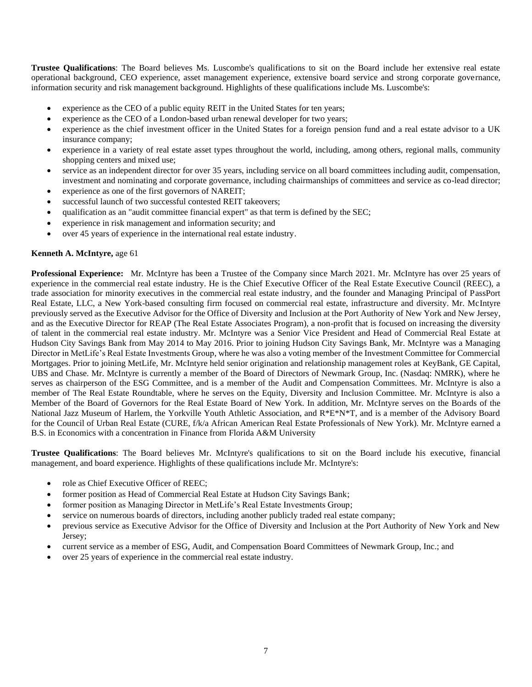**Trustee Qualifications**: The Board believes Ms. Luscombe's qualifications to sit on the Board include her extensive real estate operational background, CEO experience, asset management experience, extensive board service and strong corporate governance, information security and risk management background. Highlights of these qualifications include Ms. Luscombe's:

- experience as the CEO of a public equity REIT in the United States for ten years;
- experience as the CEO of a London-based urban renewal developer for two years;
- experience as the chief investment officer in the United States for a foreign pension fund and a real estate advisor to a UK insurance company;
- experience in a variety of real estate asset types throughout the world, including, among others, regional malls, community shopping centers and mixed use;
- service as an independent director for over 35 years, including service on all board committees including audit, compensation, investment and nominating and corporate governance, including chairmanships of committees and service as co-lead director;
- experience as one of the first governors of NAREIT;
- successful launch of two successful contested REIT takeovers;
- qualification as an "audit committee financial expert" as that term is defined by the SEC;
- experience in risk management and information security; and
- over 45 years of experience in the international real estate industry.

#### **Kenneth A. McIntyre,** age 61

**Professional Experience:** Mr. McIntyre has been a Trustee of the Company since March 2021. Mr. McIntyre has over 25 years of experience in the commercial real estate industry. He is the Chief Executive Officer of the Real Estate Executive Council (REEC), a trade association for minority executives in the commercial real estate industry, and the founder and Managing Principal of PassPort Real Estate, LLC, a New York-based consulting firm focused on commercial real estate, infrastructure and diversity. Mr. McIntyre previously served as the Executive Advisor for the Office of Diversity and Inclusion at the Port Authority of New York and New Jersey, and as the Executive Director for REAP (The Real Estate Associates Program), a non-profit that is focused on increasing the diversity of talent in the commercial real estate industry. Mr. McIntyre was a Senior Vice President and Head of Commercial Real Estate at Hudson City Savings Bank from May 2014 to May 2016. Prior to joining Hudson City Savings Bank, Mr. McIntyre was a Managing Director in MetLife's Real Estate Investments Group, where he was also a voting member of the Investment Committee for Commercial Mortgages. Prior to joining MetLife, Mr. McIntyre held senior origination and relationship management roles at KeyBank, GE Capital, UBS and Chase. Mr. McIntyre is currently a member of the Board of Directors of Newmark Group, Inc. (Nasdaq: NMRK), where he serves as chairperson of the ESG Committee, and is a member of the Audit and Compensation Committees. Mr. McIntyre is also a member of The Real Estate Roundtable, where he serves on the Equity, Diversity and Inclusion Committee. Mr. McIntyre is also a Member of the Board of Governors for the Real Estate Board of New York. In addition, Mr. McIntyre serves on the Boards of the National Jazz Museum of Harlem, the Yorkville Youth Athletic Association, and R\*E\*N\*T, and is a member of the Advisory Board for the Council of Urban Real Estate (CURE, f/k/a African American Real Estate Professionals of New York). Mr. McIntyre earned a B.S. in Economics with a concentration in Finance from Florida A&M University

**Trustee Qualifications**: The Board believes Mr. McIntyre's qualifications to sit on the Board include his executive, financial management, and board experience. Highlights of these qualifications include Mr. McIntyre's:

- role as Chief Executive Officer of REEC;
- former position as Head of Commercial Real Estate at Hudson City Savings Bank;
- former position as Managing Director in MetLife's Real Estate Investments Group;
- service on numerous boards of directors, including another publicly traded real estate company;
- previous service as Executive Advisor for the Office of Diversity and Inclusion at the Port Authority of New York and New Jersey;
- current service as a member of ESG, Audit, and Compensation Board Committees of Newmark Group, Inc.; and
- over 25 years of experience in the commercial real estate industry.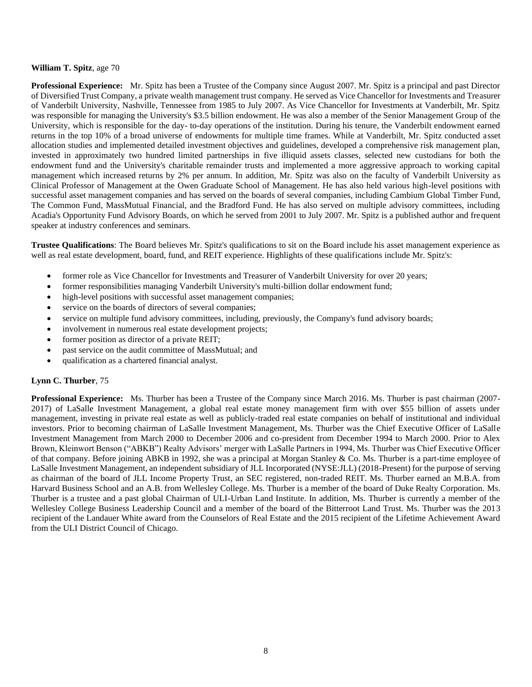### **William T. Spitz**, age 70

**Professional Experience:** Mr. Spitz has been a Trustee of the Company since August 2007. Mr. Spitz is a principal and past Director of Diversified Trust Company, a private wealth management trust company. He served as Vice Chancellor for Investments and Treasurer of Vanderbilt University, Nashville, Tennessee from 1985 to July 2007. As Vice Chancellor for Investments at Vanderbilt, Mr. Spitz was responsible for managing the University's \$3.5 billion endowment. He was also a member of the Senior Management Group of the University, which is responsible for the day- to-day operations of the institution. During his tenure, the Vanderbilt endowment earned returns in the top 10% of a broad universe of endowments for multiple time frames. While at Vanderbilt, Mr. Spitz conducted asset allocation studies and implemented detailed investment objectives and guidelines, developed a comprehensive risk management plan, invested in approximately two hundred limited partnerships in five illiquid assets classes, selected new custodians for both the endowment fund and the University's charitable remainder trusts and implemented a more aggressive approach to working capital management which increased returns by 2% per annum. In addition, Mr. Spitz was also on the faculty of Vanderbilt University as Clinical Professor of Management at the Owen Graduate School of Management. He has also held various high-level positions with successful asset management companies and has served on the boards of several companies, including Cambium Global Timber Fund, The Common Fund, MassMutual Financial, and the Bradford Fund. He has also served on multiple advisory committees, including Acadia's Opportunity Fund Advisory Boards, on which he served from 2001 to July 2007. Mr. Spitz is a published author and frequent speaker at industry conferences and seminars.

**Trustee Qualifications**: The Board believes Mr. Spitz's qualifications to sit on the Board include his asset management experience as well as real estate development, board, fund, and REIT experience. Highlights of these qualifications include Mr. Spitz's:

- former role as Vice Chancellor for Investments and Treasurer of Vanderbilt University for over 20 years;
- former responsibilities managing Vanderbilt University's multi-billion dollar endowment fund;
- high-level positions with successful asset management companies;
- service on the boards of directors of several companies;
- service on multiple fund advisory committees, including, previously, the Company's fund advisory boards;
- involvement in numerous real estate development projects;
- former position as director of a private REIT;
- past service on the audit committee of MassMutual; and
- qualification as a chartered financial analyst.

#### **Lynn C. Thurber**, 75

**Professional Experience:** Ms. Thurber has been a Trustee of the Company since March 2016. Ms. Thurber is past chairman (2007- 2017) of LaSalle Investment Management, a global real estate money management firm with over \$55 billion of assets under management, investing in private real estate as well as publicly-traded real estate companies on behalf of institutional and individual investors. Prior to becoming chairman of LaSalle Investment Management, Ms. Thurber was the Chief Executive Officer of LaSalle Investment Management from March 2000 to December 2006 and co-president from December 1994 to March 2000. Prior to Alex Brown, Kleinwort Benson ("ABKB") Realty Advisors' merger with LaSalle Partners in 1994, Ms. Thurber was Chief Executive Officer of that company. Before joining ABKB in 1992, she was a principal at Morgan Stanley & Co. Ms. Thurber is a part-time employee of LaSalle Investment Management, an independent subsidiary of JLL Incorporated (NYSE:JLL) (2018-Present) for the purpose of serving as chairman of the board of JLL Income Property Trust, an SEC registered, non-traded REIT. Ms. Thurber earned an M.B.A. from Harvard Business School and an A.B. from Wellesley College. Ms. Thurber is a member of the board of Duke Realty Corporation. Ms. Thurber is a trustee and a past global Chairman of ULI-Urban Land Institute. In addition, Ms. Thurber is currently a member of the Wellesley College Business Leadership Council and a member of the board of the Bitterroot Land Trust. Ms. Thurber was the 2013 recipient of the Landauer White award from the Counselors of Real Estate and the 2015 recipient of the Lifetime Achievement Award from the ULI District Council of Chicago.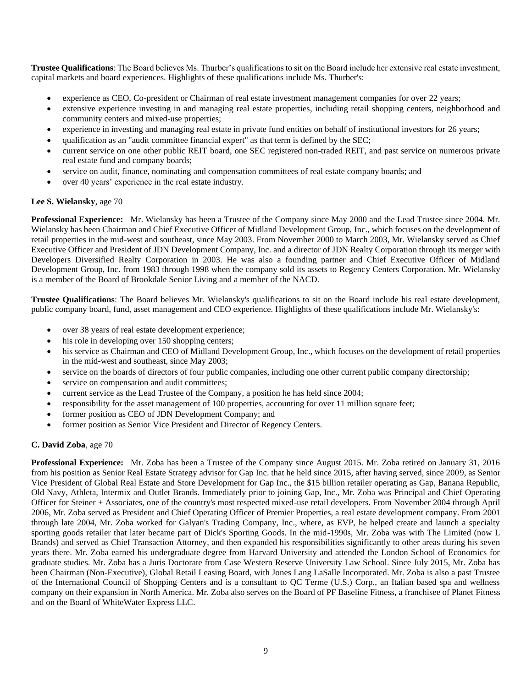**Trustee Qualifications**: The Board believes Ms. Thurber's qualifications to sit on the Board include her extensive real estate investment, capital markets and board experiences. Highlights of these qualifications include Ms. Thurber's:

- experience as CEO, Co-president or Chairman of real estate investment management companies for over 22 years;
- extensive experience investing in and managing real estate properties, including retail shopping centers, neighborhood and community centers and mixed-use properties;
- experience in investing and managing real estate in private fund entities on behalf of institutional investors for 26 years;
- qualification as an "audit committee financial expert" as that term is defined by the SEC;
- current service on one other public REIT board, one SEC registered non-traded REIT, and past service on numerous private real estate fund and company boards;
- service on audit, finance, nominating and compensation committees of real estate company boards; and
- over 40 years' experience in the real estate industry.

# **Lee S. Wielansky**, age 70

**Professional Experience:** Mr. Wielansky has been a Trustee of the Company since May 2000 and the Lead Trustee since 2004. Mr. Wielansky has been Chairman and Chief Executive Officer of Midland Development Group, Inc., which focuses on the development of retail properties in the mid-west and southeast, since May 2003. From November 2000 to March 2003, Mr. Wielansky served as Chief Executive Officer and President of JDN Development Company, Inc. and a director of JDN Realty Corporation through its merger with Developers Diversified Realty Corporation in 2003. He was also a founding partner and Chief Executive Officer of Midland Development Group, Inc. from 1983 through 1998 when the company sold its assets to Regency Centers Corporation. Mr. Wielansky is a member of the Board of Brookdale Senior Living and a member of the NACD.

**Trustee Qualifications**: The Board believes Mr. Wielansky's qualifications to sit on the Board include his real estate development, public company board, fund, asset management and CEO experience. Highlights of these qualifications include Mr. Wielansky's:

- over 38 years of real estate development experience;
- his role in developing over 150 shopping centers;
- his service as Chairman and CEO of Midland Development Group, Inc., which focuses on the development of retail properties in the mid-west and southeast, since May 2003;
- service on the boards of directors of four public companies, including one other current public company directorship;
- service on compensation and audit committees;
- current service as the Lead Trustee of the Company, a position he has held since 2004;
- responsibility for the asset management of 100 properties, accounting for over 11 million square feet;
- former position as CEO of JDN Development Company; and
- former position as Senior Vice President and Director of Regency Centers.

# **C. David Zoba**, age 70

**Professional Experience:** Mr. Zoba has been a Trustee of the Company since August 2015. Mr. Zoba retired on January 31, 2016 from his position as Senior Real Estate Strategy advisor for Gap Inc. that he held since 2015, after having served, since 2009, as Senior Vice President of Global Real Estate and Store Development for Gap Inc., the \$15 billion retailer operating as Gap, Banana Republic, Old Navy, Athleta, Intermix and Outlet Brands. Immediately prior to joining Gap, Inc., Mr. Zoba was Principal and Chief Operating Officer for Steiner + Associates, one of the country's most respected mixed-use retail developers. From November 2004 through April 2006, Mr. Zoba served as President and Chief Operating Officer of Premier Properties, a real estate development company. From 2001 through late 2004, Mr. Zoba worked for Galyan's Trading Company, Inc., where, as EVP, he helped create and launch a specialty sporting goods retailer that later became part of Dick's Sporting Goods. In the mid-1990s, Mr. Zoba was with The Limited (now L Brands) and served as Chief Transaction Attorney, and then expanded his responsibilities significantly to other areas during his seven years there. Mr. Zoba earned his undergraduate degree from Harvard University and attended the London School of Economics for graduate studies. Mr. Zoba has a Juris Doctorate from Case Western Reserve University Law School. Since July 2015, Mr. Zoba has been Chairman (Non-Executive), Global Retail Leasing Board, with Jones Lang LaSalle Incorporated. Mr. Zoba is also a past Trustee of the International Council of Shopping Centers and is a consultant to QC Terme (U.S.) Corp., an Italian based spa and wellness company on their expansion in North America. Mr. Zoba also serves on the Board of PF Baseline Fitness, a franchisee of Planet Fitness and on the Board of WhiteWater Express LLC.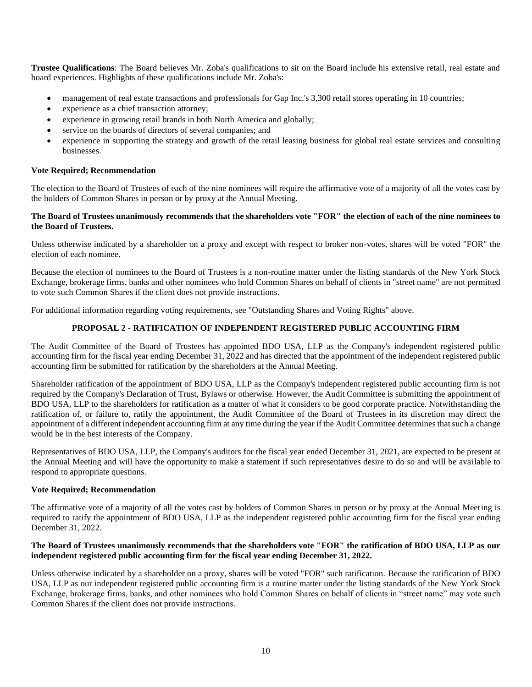**Trustee Qualifications**: The Board believes Mr. Zoba's qualifications to sit on the Board include his extensive retail, real estate and board experiences. Highlights of these qualifications include Mr. Zoba's:

- management of real estate transactions and professionals for Gap Inc.'s 3,300 retail stores operating in 10 countries;
- experience as a chief transaction attorney;
- experience in growing retail brands in both North America and globally;
- service on the boards of directors of several companies; and
- experience in supporting the strategy and growth of the retail leasing business for global real estate services and consulting businesses.

## **Vote Required; Recommendation**

The election to the Board of Trustees of each of the nine nominees will require the affirmative vote of a majority of all the votes cast by the holders of Common Shares in person or by proxy at the Annual Meeting.

### **The Board of Trustees unanimously recommends that the shareholders vote "FOR" the election of each of the nine nominees to the Board of Trustees.**

Unless otherwise indicated by a shareholder on a proxy and except with respect to broker non-votes, shares will be voted "FOR" the election of each nominee.

Because the election of nominees to the Board of Trustees is a non-routine matter under the listing standards of the New York Stock Exchange, brokerage firms, banks and other nominees who hold Common Shares on behalf of clients in "street name" are not permitted to vote such Common Shares if the client does not provide instructions.

For additional information regarding voting requirements, see "Outstanding Shares and Voting Rights" above.

# **PROPOSAL 2 - RATIFICATION OF INDEPENDENT REGISTERED PUBLIC ACCOUNTING FIRM**

The Audit Committee of the Board of Trustees has appointed BDO USA, LLP as the Company's independent registered public accounting firm for the fiscal year ending December 31, 2022 and has directed that the appointment of the independent registered public accounting firm be submitted for ratification by the shareholders at the Annual Meeting.

Shareholder ratification of the appointment of BDO USA, LLP as the Company's independent registered public accounting firm is not required by the Company's Declaration of Trust, Bylaws or otherwise. However, the Audit Committee is submitting the appointment of BDO USA, LLP to the shareholders for ratification as a matter of what it considers to be good corporate practice. Notwithstanding the ratification of, or failure to, ratify the appointment, the Audit Committee of the Board of Trustees in its discretion may direct the appointment of a different independent accounting firm at any time during the year if the Audit Committee determines that such a change would be in the best interests of the Company.

Representatives of BDO USA, LLP, the Company's auditors for the fiscal year ended December 31, 2021, are expected to be present at the Annual Meeting and will have the opportunity to make a statement if such representatives desire to do so and will be available to respond to appropriate questions.

# **Vote Required; Recommendation**

The affirmative vote of a majority of all the votes cast by holders of Common Shares in person or by proxy at the Annual Meeting is required to ratify the appointment of BDO USA, LLP as the independent registered public accounting firm for the fiscal year ending December 31, 2022.

# **The Board of Trustees unanimously recommends that the shareholders vote "FOR" the ratification of BDO USA, LLP as our independent registered public accounting firm for the fiscal year ending December 31, 2022.**

Unless otherwise indicated by a shareholder on a proxy, shares will be voted "FOR" such ratification. Because the ratification of BDO USA, LLP as our independent registered public accounting firm is a routine matter under the listing standards of the New York Stock Exchange, brokerage firms, banks, and other nominees who hold Common Shares on behalf of clients in "street name" may vote such Common Shares if the client does not provide instructions.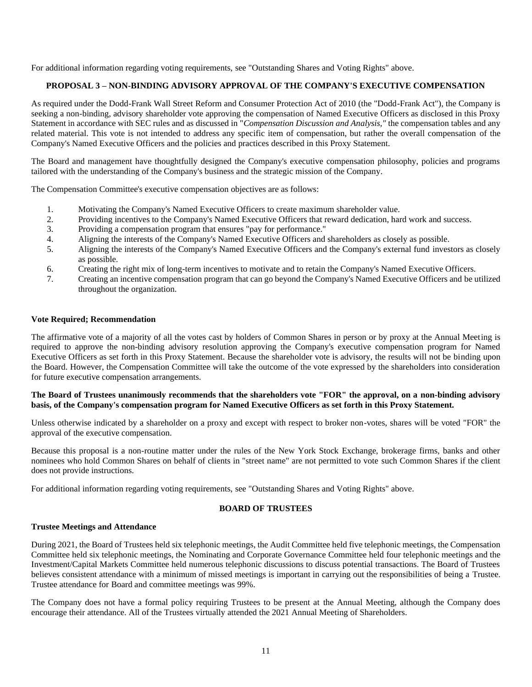For additional information regarding voting requirements, see "Outstanding Shares and Voting Rights" above.

# **PROPOSAL 3 – NON-BINDING ADVISORY APPROVAL OF THE COMPANY'S EXECUTIVE COMPENSATION**

As required under the Dodd-Frank Wall Street Reform and Consumer Protection Act of 2010 (the "Dodd-Frank Act"), the Company is seeking a non-binding, advisory shareholder vote approving the compensation of Named Executive Officers as disclosed in this Proxy Statement in accordance with SEC rules and as discussed in "*Compensation Discussion and Analysis,"* the compensation tables and any related material. This vote is not intended to address any specific item of compensation, but rather the overall compensation of the Company's Named Executive Officers and the policies and practices described in this Proxy Statement.

The Board and management have thoughtfully designed the Company's executive compensation philosophy, policies and programs tailored with the understanding of the Company's business and the strategic mission of the Company.

The Compensation Committee's executive compensation objectives are as follows:

- 1. Motivating the Company's Named Executive Officers to create maximum shareholder value.
- 2. Providing incentives to the Company's Named Executive Officers that reward dedication, hard work and success.
- 3. Providing a compensation program that ensures "pay for performance."
- 4. Aligning the interests of the Company's Named Executive Officers and shareholders as closely as possible.
- 5. Aligning the interests of the Company's Named Executive Officers and the Company's external fund investors as closely as possible.
- 6. Creating the right mix of long-term incentives to motivate and to retain the Company's Named Executive Officers.
- 7. Creating an incentive compensation program that can go beyond the Company's Named Executive Officers and be utilized throughout the organization.

### **Vote Required; Recommendation**

The affirmative vote of a majority of all the votes cast by holders of Common Shares in person or by proxy at the Annual Meeting is required to approve the non-binding advisory resolution approving the Company's executive compensation program for Named Executive Officers as set forth in this Proxy Statement. Because the shareholder vote is advisory, the results will not be binding upon the Board. However, the Compensation Committee will take the outcome of the vote expressed by the shareholders into consideration for future executive compensation arrangements.

### **The Board of Trustees unanimously recommends that the shareholders vote "FOR" the approval, on a non-binding advisory basis, of the Company's compensation program for Named Executive Officers as set forth in this Proxy Statement.**

Unless otherwise indicated by a shareholder on a proxy and except with respect to broker non-votes, shares will be voted "FOR" the approval of the executive compensation.

Because this proposal is a non-routine matter under the rules of the New York Stock Exchange, brokerage firms, banks and other nominees who hold Common Shares on behalf of clients in "street name" are not permitted to vote such Common Shares if the client does not provide instructions.

For additional information regarding voting requirements, see "Outstanding Shares and Voting Rights" above.

# **BOARD OF TRUSTEES**

#### **Trustee Meetings and Attendance**

During 2021, the Board of Trustees held six telephonic meetings, the Audit Committee held five telephonic meetings, the Compensation Committee held six telephonic meetings, the Nominating and Corporate Governance Committee held four telephonic meetings and the Investment/Capital Markets Committee held numerous telephonic discussions to discuss potential transactions. The Board of Trustees believes consistent attendance with a minimum of missed meetings is important in carrying out the responsibilities of being a Trustee. Trustee attendance for Board and committee meetings was 99%.

The Company does not have a formal policy requiring Trustees to be present at the Annual Meeting, although the Company does encourage their attendance. All of the Trustees virtually attended the 2021 Annual Meeting of Shareholders.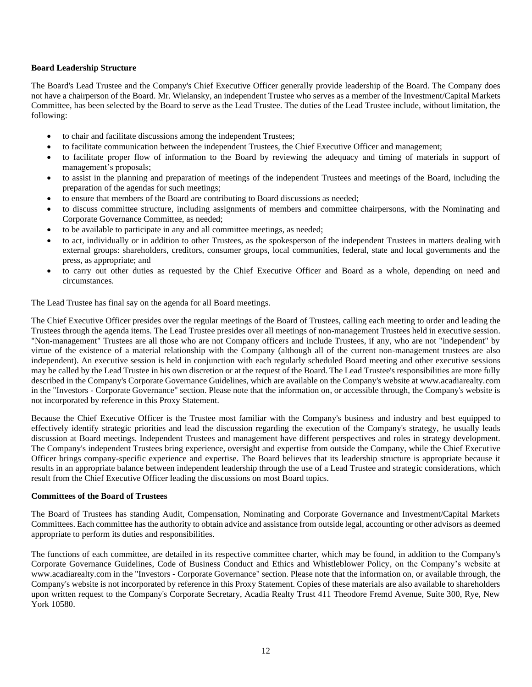### **Board Leadership Structure**

The Board's Lead Trustee and the Company's Chief Executive Officer generally provide leadership of the Board. The Company does not have a chairperson of the Board. Mr. Wielansky, an independent Trustee who serves as a member of the Investment/Capital Markets Committee, has been selected by the Board to serve as the Lead Trustee. The duties of the Lead Trustee include, without limitation, the following:

- to chair and facilitate discussions among the independent Trustees;
- to facilitate communication between the independent Trustees, the Chief Executive Officer and management;
- to facilitate proper flow of information to the Board by reviewing the adequacy and timing of materials in support of management's proposals;
- to assist in the planning and preparation of meetings of the independent Trustees and meetings of the Board, including the preparation of the agendas for such meetings;
- to ensure that members of the Board are contributing to Board discussions as needed;
- to discuss committee structure, including assignments of members and committee chairpersons, with the Nominating and Corporate Governance Committee, as needed;
- to be available to participate in any and all committee meetings, as needed;
- to act, individually or in addition to other Trustees, as the spokesperson of the independent Trustees in matters dealing with external groups: shareholders, creditors, consumer groups, local communities, federal, state and local governments and the press, as appropriate; and
- to carry out other duties as requested by the Chief Executive Officer and Board as a whole, depending on need and circumstances.

The Lead Trustee has final say on the agenda for all Board meetings.

The Chief Executive Officer presides over the regular meetings of the Board of Trustees, calling each meeting to order and leading the Trustees through the agenda items. The Lead Trustee presides over all meetings of non-management Trustees held in executive session. "Non-management" Trustees are all those who are not Company officers and include Trustees, if any, who are not "independent" by virtue of the existence of a material relationship with the Company (although all of the current non-management trustees are also independent). An executive session is held in conjunction with each regularly scheduled Board meeting and other executive sessions may be called by the Lead Trustee in his own discretion or at the request of the Board. The Lead Trustee's responsibilities are more fully described in the Company's Corporate Governance Guidelines, which are available on the Company's website at www.acadiarealty.com in the "Investors - Corporate Governance" section. Please note that the information on, or accessible through, the Company's website is not incorporated by reference in this Proxy Statement.

Because the Chief Executive Officer is the Trustee most familiar with the Company's business and industry and best equipped to effectively identify strategic priorities and lead the discussion regarding the execution of the Company's strategy, he usually leads discussion at Board meetings. Independent Trustees and management have different perspectives and roles in strategy development. The Company's independent Trustees bring experience, oversight and expertise from outside the Company, while the Chief Executive Officer brings company-specific experience and expertise. The Board believes that its leadership structure is appropriate because it results in an appropriate balance between independent leadership through the use of a Lead Trustee and strategic considerations, which result from the Chief Executive Officer leading the discussions on most Board topics.

#### **Committees of the Board of Trustees**

The Board of Trustees has standing Audit, Compensation, Nominating and Corporate Governance and Investment/Capital Markets Committees. Each committee has the authority to obtain advice and assistance from outside legal, accounting or other advisors as deemed appropriate to perform its duties and responsibilities.

The functions of each committee, are detailed in its respective committee charter, which may be found, in addition to the Company's Corporate Governance Guidelines, Code of Business Conduct and Ethics and Whistleblower Policy, on the Company's website at www.acadiarealty.com in the "Investors - Corporate Governance" section. Please note that the information on, or available through, the Company's website is not incorporated by reference in this Proxy Statement. Copies of these materials are also available to shareholders upon written request to the Company's Corporate Secretary, Acadia Realty Trust 411 Theodore Fremd Avenue, Suite 300, Rye, New York 10580.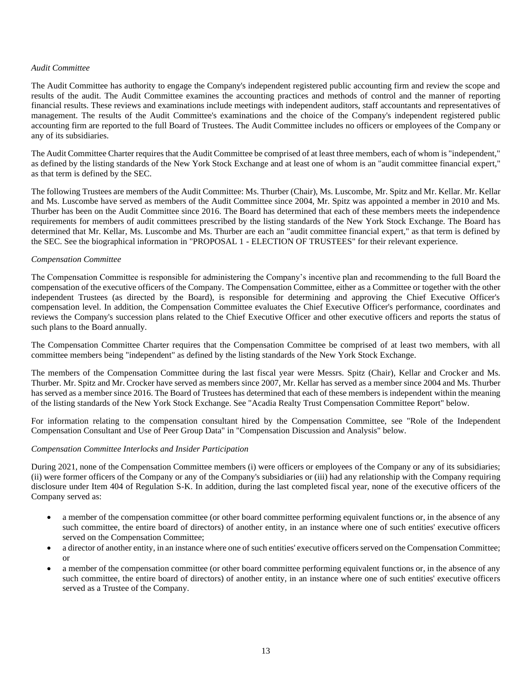#### *Audit Committee*

The Audit Committee has authority to engage the Company's independent registered public accounting firm and review the scope and results of the audit. The Audit Committee examines the accounting practices and methods of control and the manner of reporting financial results. These reviews and examinations include meetings with independent auditors, staff accountants and representatives of management. The results of the Audit Committee's examinations and the choice of the Company's independent registered public accounting firm are reported to the full Board of Trustees. The Audit Committee includes no officers or employees of the Company or any of its subsidiaries.

The Audit Committee Charter requires that the Audit Committee be comprised of at least three members, each of whom is "independent," as defined by the listing standards of the New York Stock Exchange and at least one of whom is an "audit committee financial expert," as that term is defined by the SEC.

The following Trustees are members of the Audit Committee: Ms. Thurber (Chair), Ms. Luscombe, Mr. Spitz and Mr. Kellar. Mr. Kellar and Ms. Luscombe have served as members of the Audit Committee since 2004, Mr. Spitz was appointed a member in 2010 and Ms. Thurber has been on the Audit Committee since 2016. The Board has determined that each of these members meets the independence requirements for members of audit committees prescribed by the listing standards of the New York Stock Exchange. The Board has determined that Mr. Kellar, Ms. Luscombe and Ms. Thurber are each an "audit committee financial expert," as that term is defined by the SEC. See the biographical information in "PROPOSAL 1 - ELECTION OF TRUSTEES" for their relevant experience.

#### *Compensation Committee*

The Compensation Committee is responsible for administering the Company's incentive plan and recommending to the full Board the compensation of the executive officers of the Company. The Compensation Committee, either as a Committee or together with the other independent Trustees (as directed by the Board), is responsible for determining and approving the Chief Executive Officer's compensation level. In addition, the Compensation Committee evaluates the Chief Executive Officer's performance, coordinates and reviews the Company's succession plans related to the Chief Executive Officer and other executive officers and reports the status of such plans to the Board annually.

The Compensation Committee Charter requires that the Compensation Committee be comprised of at least two members, with all committee members being "independent" as defined by the listing standards of the New York Stock Exchange.

The members of the Compensation Committee during the last fiscal year were Messrs. Spitz (Chair), Kellar and Crocker and Ms. Thurber. Mr. Spitz and Mr. Crocker have served as members since 2007, Mr. Kellar has served as a member since 2004 and Ms. Thurber has served as a member since 2016. The Board of Trustees has determined that each of these members is independent within the meaning of the listing standards of the New York Stock Exchange. See "Acadia Realty Trust Compensation Committee Report" below.

For information relating to the compensation consultant hired by the Compensation Committee, see "Role of the Independent Compensation Consultant and Use of Peer Group Data" in "Compensation Discussion and Analysis" below.

### *Compensation Committee Interlocks and Insider Participation*

During 2021, none of the Compensation Committee members (i) were officers or employees of the Company or any of its subsidiaries; (ii) were former officers of the Company or any of the Company's subsidiaries or (iii) had any relationship with the Company requiring disclosure under Item 404 of Regulation S-K. In addition, during the last completed fiscal year, none of the executive officers of the Company served as:

- a member of the compensation committee (or other board committee performing equivalent functions or, in the absence of any such committee, the entire board of directors) of another entity, in an instance where one of such entities' executive officers served on the Compensation Committee;
- a director of another entity, in an instance where one of such entities' executive officers served on the Compensation Committee; or
- a member of the compensation committee (or other board committee performing equivalent functions or, in the absence of any such committee, the entire board of directors) of another entity, in an instance where one of such entities' executive officers served as a Trustee of the Company.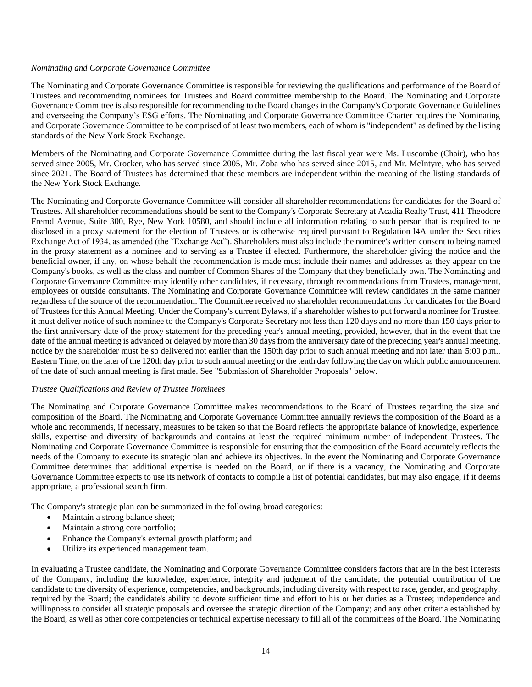#### *Nominating and Corporate Governance Committee*

The Nominating and Corporate Governance Committee is responsible for reviewing the qualifications and performance of the Board of Trustees and recommending nominees for Trustees and Board committee membership to the Board. The Nominating and Corporate Governance Committee is also responsible for recommending to the Board changes in the Company's Corporate Governance Guidelines and overseeing the Company's ESG efforts. The Nominating and Corporate Governance Committee Charter requires the Nominating and Corporate Governance Committee to be comprised of at least two members, each of whom is "independent" as defined by the listing standards of the New York Stock Exchange.

Members of the Nominating and Corporate Governance Committee during the last fiscal year were Ms. Luscombe (Chair), who has served since 2005, Mr. Crocker, who has served since 2005, Mr. Zoba who has served since 2015, and Mr. McIntyre, who has served since 2021. The Board of Trustees has determined that these members are independent within the meaning of the listing standards of the New York Stock Exchange.

The Nominating and Corporate Governance Committee will consider all shareholder recommendations for candidates for the Board of Trustees. All shareholder recommendations should be sent to the Company's Corporate Secretary at Acadia Realty Trust, 411 Theodore Fremd Avenue, Suite 300, Rye, New York 10580, and should include all information relating to such person that is required to be disclosed in a proxy statement for the election of Trustees or is otherwise required pursuant to Regulation l4A under the Securities Exchange Act of 1934, as amended (the "Exchange Act"). Shareholders must also include the nominee's written consent to being named in the proxy statement as a nominee and to serving as a Trustee if elected. Furthermore, the shareholder giving the notice and the beneficial owner, if any, on whose behalf the recommendation is made must include their names and addresses as they appear on the Company's books, as well as the class and number of Common Shares of the Company that they beneficially own. The Nominating and Corporate Governance Committee may identify other candidates, if necessary, through recommendations from Trustees, management, employees or outside consultants. The Nominating and Corporate Governance Committee will review candidates in the same manner regardless of the source of the recommendation. The Committee received no shareholder recommendations for candidates for the Board of Trustees for this Annual Meeting. Under the Company's current Bylaws, if a shareholder wishes to put forward a nominee for Trustee, it must deliver notice of such nominee to the Company's Corporate Secretary not less than 120 days and no more than 150 days prior to the first anniversary date of the proxy statement for the preceding year's annual meeting, provided, however, that in the event that the date of the annual meeting is advanced or delayed by more than 30 days from the anniversary date of the preceding year's annual meeting, notice by the shareholder must be so delivered not earlier than the 150th day prior to such annual meeting and not later than 5:00 p.m., Eastern Time, on the later of the 120th day prior to such annual meeting or the tenth day following the day on which public announcement of the date of such annual meeting is first made. See "Submission of Shareholder Proposals" below.

#### *Trustee Qualifications and Review of Trustee Nominees*

The Nominating and Corporate Governance Committee makes recommendations to the Board of Trustees regarding the size and composition of the Board. The Nominating and Corporate Governance Committee annually reviews the composition of the Board as a whole and recommends, if necessary, measures to be taken so that the Board reflects the appropriate balance of knowledge, experience, skills, expertise and diversity of backgrounds and contains at least the required minimum number of independent Trustees. The Nominating and Corporate Governance Committee is responsible for ensuring that the composition of the Board accurately reflects the needs of the Company to execute its strategic plan and achieve its objectives. In the event the Nominating and Corporate Governance Committee determines that additional expertise is needed on the Board, or if there is a vacancy, the Nominating and Corporate Governance Committee expects to use its network of contacts to compile a list of potential candidates, but may also engage, if it deems appropriate, a professional search firm.

The Company's strategic plan can be summarized in the following broad categories:

- Maintain a strong balance sheet;
- Maintain a strong core portfolio;
- Enhance the Company's external growth platform; and
- Utilize its experienced management team.

In evaluating a Trustee candidate, the Nominating and Corporate Governance Committee considers factors that are in the best interests of the Company, including the knowledge, experience, integrity and judgment of the candidate; the potential contribution of the candidate to the diversity of experience, competencies, and backgrounds, including diversity with respect to race, gender, and geography, required by the Board; the candidate's ability to devote sufficient time and effort to his or her duties as a Trustee; independence and willingness to consider all strategic proposals and oversee the strategic direction of the Company; and any other criteria established by the Board, as well as other core competencies or technical expertise necessary to fill all of the committees of the Board. The Nominating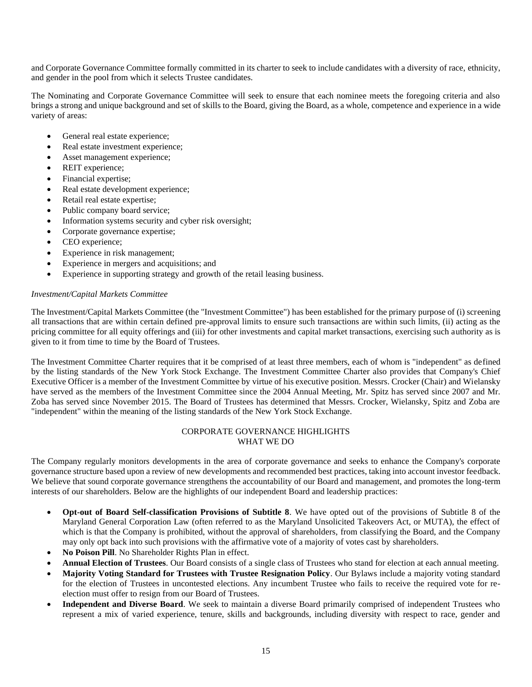and Corporate Governance Committee formally committed in its charter to seek to include candidates with a diversity of race, ethnicity, and gender in the pool from which it selects Trustee candidates.

The Nominating and Corporate Governance Committee will seek to ensure that each nominee meets the foregoing criteria and also brings a strong and unique background and set of skills to the Board, giving the Board, as a whole, competence and experience in a wide variety of areas:

- General real estate experience;
- Real estate investment experience;
- Asset management experience;
- REIT experience;
- Financial expertise;
- Real estate development experience;
- Retail real estate expertise;
- Public company board service;
- Information systems security and cyber risk oversight;
- Corporate governance expertise;
- CEO experience;
- Experience in risk management;
- Experience in mergers and acquisitions; and
- Experience in supporting strategy and growth of the retail leasing business.

# *Investment/Capital Markets Committee*

The Investment/Capital Markets Committee (the "Investment Committee") has been established for the primary purpose of (i) screening all transactions that are within certain defined pre-approval limits to ensure such transactions are within such limits, (ii) acting as the pricing committee for all equity offerings and (iii) for other investments and capital market transactions, exercising such authority as is given to it from time to time by the Board of Trustees.

The Investment Committee Charter requires that it be comprised of at least three members, each of whom is "independent" as defined by the listing standards of the New York Stock Exchange. The Investment Committee Charter also provides that Company's Chief Executive Officer is a member of the Investment Committee by virtue of his executive position. Messrs. Crocker (Chair) and Wielansky have served as the members of the Investment Committee since the 2004 Annual Meeting, Mr. Spitz has served since 2007 and Mr. Zoba has served since November 2015. The Board of Trustees has determined that Messrs. Crocker, Wielansky, Spitz and Zoba are "independent" within the meaning of the listing standards of the New York Stock Exchange.

### CORPORATE GOVERNANCE HIGHLIGHTS WHAT WE DO

The Company regularly monitors developments in the area of corporate governance and seeks to enhance the Company's corporate governance structure based upon a review of new developments and recommended best practices, taking into account investor feedback. We believe that sound corporate governance strengthens the accountability of our Board and management, and promotes the long-term interests of our shareholders. Below are the highlights of our independent Board and leadership practices:

- **Opt-out of Board Self-classification Provisions of Subtitle 8**. We have opted out of the provisions of Subtitle 8 of the Maryland General Corporation Law (often referred to as the Maryland Unsolicited Takeovers Act, or MUTA), the effect of which is that the Company is prohibited, without the approval of shareholders, from classifying the Board, and the Company may only opt back into such provisions with the affirmative vote of a majority of votes cast by shareholders.
- **No Poison Pill**. No Shareholder Rights Plan in effect.
- **Annual Election of Trustees**. Our Board consists of a single class of Trustees who stand for election at each annual meeting.
- **Majority Voting Standard for Trustees with Trustee Resignation Policy**. Our Bylaws include a majority voting standard for the election of Trustees in uncontested elections. Any incumbent Trustee who fails to receive the required vote for reelection must offer to resign from our Board of Trustees.
- **Independent and Diverse Board**. We seek to maintain a diverse Board primarily comprised of independent Trustees who represent a mix of varied experience, tenure, skills and backgrounds, including diversity with respect to race, gender and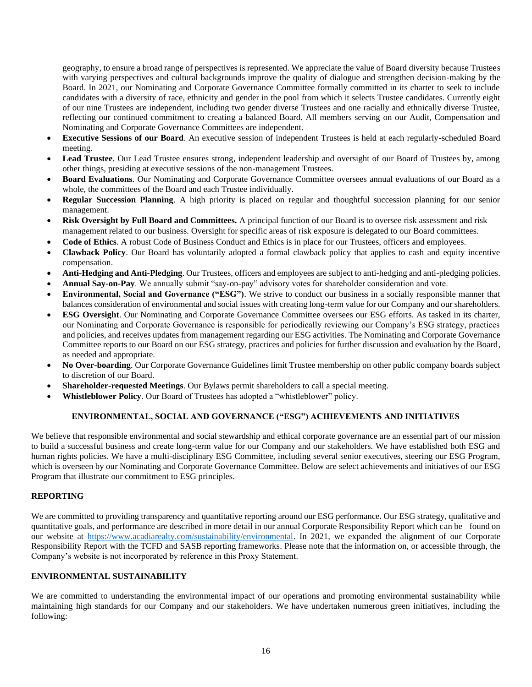geography, to ensure a broad range of perspectives is represented. We appreciate the value of Board diversity because Trustees with varying perspectives and cultural backgrounds improve the quality of dialogue and strengthen decision-making by the Board. In 2021, our Nominating and Corporate Governance Committee formally committed in its charter to seek to include candidates with a diversity of race, ethnicity and gender in the pool from which it selects Trustee candidates. Currently eight of our nine Trustees are independent, including two gender diverse Trustees and one racially and ethnically diverse Trustee, reflecting our continued commitment to creating a balanced Board. All members serving on our Audit, Compensation and Nominating and Corporate Governance Committees are independent.

- **Executive Sessions of our Board**. An executive session of independent Trustees is held at each regularly-scheduled Board meeting.
- **Lead Trustee**. Our Lead Trustee ensures strong, independent leadership and oversight of our Board of Trustees by, among other things, presiding at executive sessions of the non-management Trustees.
- **Board Evaluations**. Our Nominating and Corporate Governance Committee oversees annual evaluations of our Board as a whole, the committees of the Board and each Trustee individually.
- **Regular Succession Planning**. A high priority is placed on regular and thoughtful succession planning for our senior management.
- **Risk Oversight by Full Board and Committees.** A principal function of our Board is to oversee risk assessment and risk management related to our business. Oversight for specific areas of risk exposure is delegated to our Board committees.
- **Code of Ethics**. A robust Code of Business Conduct and Ethics is in place for our Trustees, officers and employees.
- **Clawback Policy**. Our Board has voluntarily adopted a formal clawback policy that applies to cash and equity incentive compensation.
- **Anti-Hedging and Anti-Pledging**. Our Trustees, officers and employees are subject to anti-hedging and anti-pledging policies.
- **Annual Say-on-Pay**. We annually submit "say-on-pay" advisory votes for shareholder consideration and vote.
- **Environmental, Social and Governance ("ESG")**. We strive to conduct our business in a socially responsible manner that balances consideration of environmental and social issues with creating long-term value for our Company and our shareholders.
- **ESG Oversight**. Our Nominating and Corporate Governance Committee oversees our ESG efforts. As tasked in its charter, our Nominating and Corporate Governance is responsible for periodically reviewing our Company's ESG strategy, practices and policies, and receives updates from management regarding our ESG activities. The Nominating and Corporate Governance Committee reports to our Board on our ESG strategy, practices and policies for further discussion and evaluation by the Board, as needed and appropriate.
- **No Over-boarding**. Our Corporate Governance Guidelines limit Trustee membership on other public company boards subject to discretion of our Board.
- **Shareholder-requested Meetings**. Our Bylaws permit shareholders to call a special meeting.
- **Whistleblower Policy**. Our Board of Trustees has adopted a "whistleblower" policy.

# **ENVIRONMENTAL, SOCIAL AND GOVERNANCE ("ESG") ACHIEVEMENTS AND INITIATIVES**

We believe that responsible environmental and social stewardship and ethical corporate governance are an essential part of our mission to build a successful business and create long-term value for our Company and our stakeholders. We have established both ESG and human rights policies. We have a multi-disciplinary ESG Committee, including several senior executives, steering our ESG Program, which is overseen by our Nominating and Corporate Governance Committee. Below are select achievements and initiatives of our ESG Program that illustrate our commitment to ESG principles.

# **REPORTING**

We are committed to providing transparency and quantitative reporting around our ESG performance. Our ESG strategy, qualitative and quantitative goals, and performance are described in more detail in our annual Corporate Responsibility Report which can be found on our website at [https://www.acadiarealty.com/sustainability/environmental.](https://www.acadiarealty.com/sustainability/environmental.%20In%202021) In 2021, we expanded the alignment of our Corporate Responsibility Report with the TCFD and SASB reporting frameworks. Please note that the information on, or accessible through, the Company's website is not incorporated by reference in this Proxy Statement.

# **ENVIRONMENTAL SUSTAINABILITY**

We are committed to understanding the environmental impact of our operations and promoting environmental sustainability while maintaining high standards for our Company and our stakeholders. We have undertaken numerous green initiatives, including the following: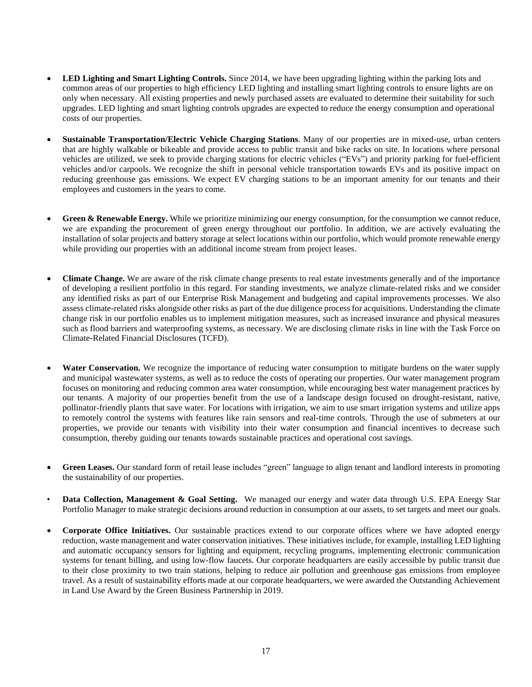- **LED Lighting and Smart Lighting Controls.** Since 2014, we have been upgrading lighting within the parking lots and common areas of our properties to high efficiency LED lighting and installing smart lighting controls to ensure lights are on only when necessary. All existing properties and newly purchased assets are evaluated to determine their suitability for such upgrades. LED lighting and smart lighting controls upgrades are expected to reduce the energy consumption and operational costs of our properties.
- **Sustainable Transportation/Electric Vehicle Charging Stations**. Many of our properties are in mixed-use, urban centers that are highly walkable or bikeable and provide access to public transit and bike racks on site. In locations where personal vehicles are utilized, we seek to provide charging stations for electric vehicles ("EVs") and priority parking for fuel-efficient vehicles and/or carpools. We recognize the shift in personal vehicle transportation towards EVs and its positive impact on reducing greenhouse gas emissions. We expect EV charging stations to be an important amenity for our tenants and their employees and customers in the years to come.
- **Green & Renewable Energy.** While we prioritize minimizing our energy consumption, for the consumption we cannot reduce, we are expanding the procurement of green energy throughout our portfolio. In addition, we are actively evaluating the installation of solar projects and battery storage at select locations within our portfolio, which would promote renewable energy while providing our properties with an additional income stream from project leases.
- **Climate Change.** We are aware of the risk climate change presents to real estate investments generally and of the importance of developing a resilient portfolio in this regard. For standing investments, we analyze climate-related risks and we consider any identified risks as part of our Enterprise Risk Management and budgeting and capital improvements processes. We also assess climate-related risks alongside other risks as part of the due diligence process for acquisitions. Understanding the climate change risk in our portfolio enables us to implement mitigation measures, such as increased insurance and physical measures such as flood barriers and waterproofing systems, as necessary. We are disclosing climate risks in line with the Task Force on Climate-Related Financial Disclosures (TCFD).
- **Water Conservation.** We recognize the importance of reducing water consumption to mitigate burdens on the water supply and municipal wastewater systems, as well as to reduce the costs of operating our properties. Our water management program focuses on monitoring and reducing common area water consumption, while encouraging best water management practices by our tenants. A majority of our properties benefit from the use of a landscape design focused on drought-resistant, native, pollinator-friendly plants that save water. For locations with irrigation, we aim to use smart irrigation systems and utilize apps to remotely control the systems with features like rain sensors and real-time controls. Through the use of submeters at our properties, we provide our tenants with visibility into their water consumption and financial incentives to decrease such consumption, thereby guiding our tenants towards sustainable practices and operational cost savings.
- **Green Leases.** Our standard form of retail lease includes "green" language to align tenant and landlord interests in promoting the sustainability of our properties.
- **Data Collection, Management & Goal Setting.** We managed our energy and water data through U.S. EPA Energy Star Portfolio Manager to make strategic decisions around reduction in consumption at our assets, to set targets and meet our goals.
- **Corporate Office Initiatives.** Our sustainable practices extend to our corporate offices where we have adopted energy reduction, waste management and water conservation initiatives. These initiatives include, for example, installing LED lighting and automatic occupancy sensors for lighting and equipment, recycling programs, implementing electronic communication systems for tenant billing, and using low-flow faucets. Our corporate headquarters are easily accessible by public transit due to their close proximity to two train stations, helping to reduce air pollution and greenhouse gas emissions from employee travel. As a result of sustainability efforts made at our corporate headquarters, we were awarded the Outstanding Achievement in Land Use Award by the Green Business Partnership in 2019.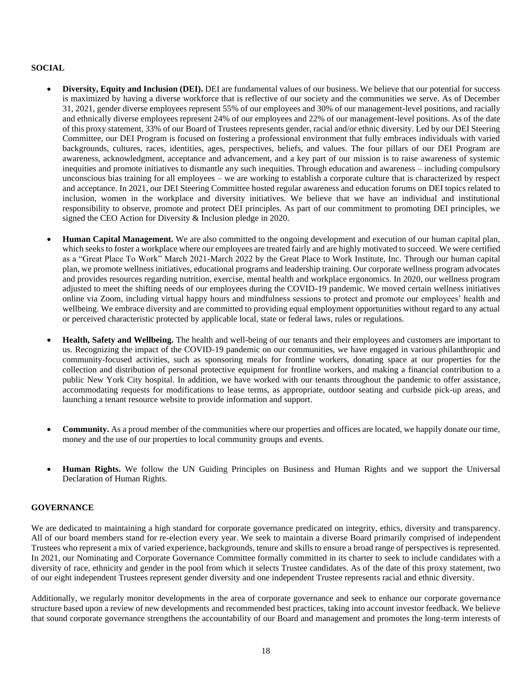# **SOCIAL**

- **Diversity, Equity and Inclusion (DEI).** DEI are fundamental values of our business. We believe that our potential for success is maximized by having a diverse workforce that is reflective of our society and the communities we serve. As of December 31, 2021, gender diverse employees represent 55% of our employees and 30% of our management-level positions, and racially and ethnically diverse employees represent 24% of our employees and 22% of our management-level positions. As of the date of this proxy statement, 33% of our Board of Trustees represents gender, racial and/or ethnic diversity. Led by our DEI Steering Committee, our DEI Program is focused on fostering a professional environment that fully embraces individuals with varied backgrounds, cultures, races, identities, ages, perspectives, beliefs, and values. The four pillars of our DEI Program are awareness, acknowledgment, acceptance and advancement, and a key part of our mission is to raise awareness of systemic inequities and promote initiatives to dismantle any such inequities. Through education and awareness – including compulsory unconscious bias training for all employees – we are working to establish a corporate culture that is characterized by respect and acceptance. In 2021, our DEI Steering Committee hosted regular awareness and education forums on DEI topics related to inclusion, women in the workplace and diversity initiatives. We believe that we have an individual and institutional responsibility to observe, promote and protect DEI principles. As part of our commitment to promoting DEI principles, we signed the CEO Action for Diversity & Inclusion pledge in 2020.
- **Human Capital Management.** We are also committed to the ongoing development and execution of our human capital plan, which seeks to foster a workplace where our employees are treated fairly and are highly motivated to succeed. We were certified as a "Great Place To Work" March 2021-March 2022 by the Great Place to Work Institute, Inc. Through our human capital plan, we promote wellness initiatives, educational programs and leadership training. Our corporate wellness program advocates and provides resources regarding nutrition, exercise, mental health and workplace ergonomics. In 2020, our wellness program adjusted to meet the shifting needs of our employees during the COVID-19 pandemic. We moved certain wellness initiatives online via Zoom, including virtual happy hours and mindfulness sessions to protect and promote our employees' health and wellbeing. We embrace diversity and are committed to providing equal employment opportunities without regard to any actual or perceived characteristic protected by applicable local, state or federal laws, rules or regulations.
- **Health, Safety and Wellbeing.** The health and well-being of our tenants and their employees and customers are important to us. Recognizing the impact of the COVID-19 pandemic on our communities, we have engaged in various philanthropic and community-focused activities, such as sponsoring meals for frontline workers, donating space at our properties for the collection and distribution of personal protective equipment for frontline workers, and making a financial contribution to a public New York City hospital. In addition, we have worked with our tenants throughout the pandemic to offer assistance, accommodating requests for modifications to lease terms, as appropriate, outdoor seating and curbside pick-up areas, and launching a tenant resource website to provide information and support.
- **Community.** As a proud member of the communities where our properties and offices are located, we happily donate our time, money and the use of our properties to local community groups and events.
- **Human Rights.** We follow the UN Guiding Principles on Business and Human Rights and we support the Universal Declaration of Human Rights.

# **GOVERNANCE**

We are dedicated to maintaining a high standard for corporate governance predicated on integrity, ethics, diversity and transparency. All of our board members stand for re-election every year. We seek to maintain a diverse Board primarily comprised of independent Trustees who represent a mix of varied experience, backgrounds, tenure and skills to ensure a broad range of perspectives is represented. In 2021, our Nominating and Corporate Governance Committee formally committed in its charter to seek to include candidates with a diversity of race, ethnicity and gender in the pool from which it selects Trustee candidates. As of the date of this proxy statement, two of our eight independent Trustees represent gender diversity and one independent Trustee represents racial and ethnic diversity.

Additionally, we regularly monitor developments in the area of corporate governance and seek to enhance our corporate governance structure based upon a review of new developments and recommended best practices, taking into account investor feedback. We believe that sound corporate governance strengthens the accountability of our Board and management and promotes the long-term interests of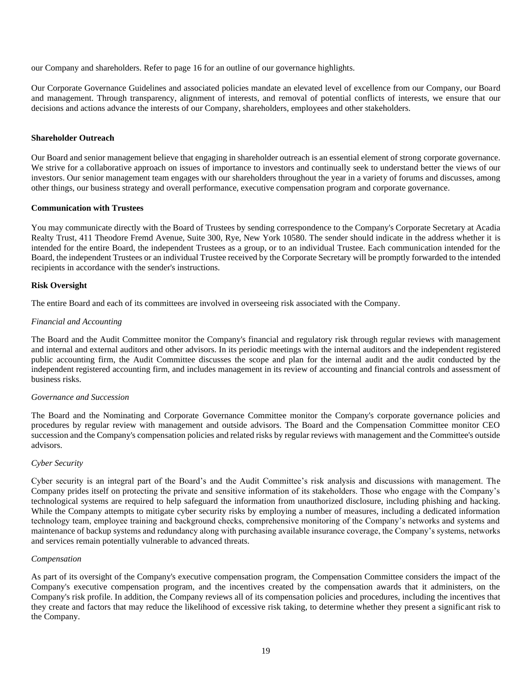our Company and shareholders. Refer to page 16 for an outline of our governance highlights.

Our Corporate Governance Guidelines and associated policies mandate an elevated level of excellence from our Company, our Board and management. Through transparency, alignment of interests, and removal of potential conflicts of interests, we ensure that our decisions and actions advance the interests of our Company, shareholders, employees and other stakeholders.

## **Shareholder Outreach**

Our Board and senior management believe that engaging in shareholder outreach is an essential element of strong corporate governance. We strive for a collaborative approach on issues of importance to investors and continually seek to understand better the views of our investors. Our senior management team engages with our shareholders throughout the year in a variety of forums and discusses, among other things, our business strategy and overall performance, executive compensation program and corporate governance.

### **Communication with Trustees**

You may communicate directly with the Board of Trustees by sending correspondence to the Company's Corporate Secretary at Acadia Realty Trust, 411 Theodore Fremd Avenue, Suite 300, Rye, New York 10580. The sender should indicate in the address whether it is intended for the entire Board, the independent Trustees as a group, or to an individual Trustee. Each communication intended for the Board, the independent Trustees or an individual Trustee received by the Corporate Secretary will be promptly forwarded to the intended recipients in accordance with the sender's instructions.

### **Risk Oversight**

The entire Board and each of its committees are involved in overseeing risk associated with the Company.

### *Financial and Accounting*

The Board and the Audit Committee monitor the Company's financial and regulatory risk through regular reviews with management and internal and external auditors and other advisors. In its periodic meetings with the internal auditors and the independent registered public accounting firm, the Audit Committee discusses the scope and plan for the internal audit and the audit conducted by the independent registered accounting firm, and includes management in its review of accounting and financial controls and assessment of business risks.

#### *Governance and Succession*

The Board and the Nominating and Corporate Governance Committee monitor the Company's corporate governance policies and procedures by regular review with management and outside advisors. The Board and the Compensation Committee monitor CEO succession and the Company's compensation policies and related risks by regular reviews with management and the Committee's outside advisors.

### *Cyber Security*

Cyber security is an integral part of the Board's and the Audit Committee's risk analysis and discussions with management. The Company prides itself on protecting the private and sensitive information of its stakeholders. Those who engage with the Company's technological systems are required to help safeguard the information from unauthorized disclosure, including phishing and hacking. While the Company attempts to mitigate cyber security risks by employing a number of measures, including a dedicated information technology team, employee training and background checks, comprehensive monitoring of the Company's networks and systems and maintenance of backup systems and redundancy along with purchasing available insurance coverage, the Company's systems, networks and services remain potentially vulnerable to advanced threats.

#### *Compensation*

As part of its oversight of the Company's executive compensation program, the Compensation Committee considers the impact of the Company's executive compensation program, and the incentives created by the compensation awards that it administers, on the Company's risk profile. In addition, the Company reviews all of its compensation policies and procedures, including the incentives that they create and factors that may reduce the likelihood of excessive risk taking, to determine whether they present a significant risk to the Company.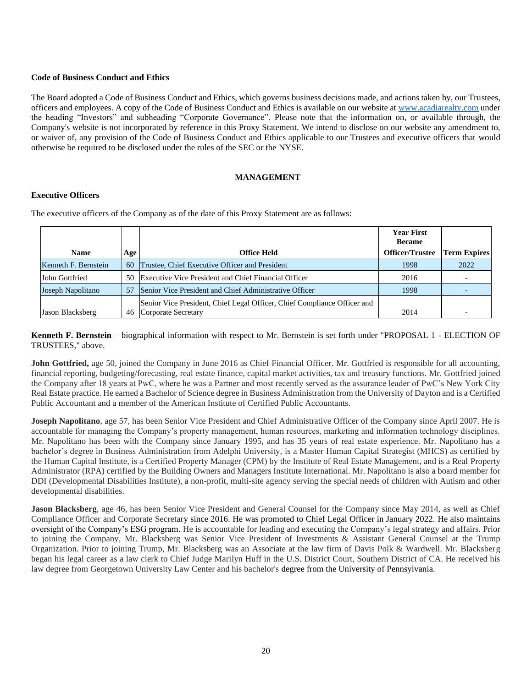## **Code of Business Conduct and Ethics**

The Board adopted a Code of Business Conduct and Ethics, which governs business decisions made, and actions taken by, our Trustees, officers and employees. A copy of the Code of Business Conduct and Ethics is available on our website at [www.acadiarealty.com](http://www.acadiarealty.com/) under the heading "Investors" and subheading "Corporate Governance". Please note that the information on, or available through, the Company's website is not incorporated by reference in this Proxy Statement. We intend to disclose on our website any amendment to, or waiver of, any provision of the Code of Business Conduct and Ethics applicable to our Trustees and executive officers that would otherwise be required to be disclosed under the rules of the SEC or the NYSE.

### **MANAGEMENT**

# **Executive Officers**

| <b>Name</b>          | Age | Office Held                                                                                     | <b>Year First</b><br><b>Became</b><br><b>Officer/Trustee</b> | <b>Term Expires</b>      |
|----------------------|-----|-------------------------------------------------------------------------------------------------|--------------------------------------------------------------|--------------------------|
| Kenneth F. Bernstein | 60  | Trustee, Chief Executive Officer and President                                                  | 1998                                                         | 2022                     |
| John Gottfried       | 50  | Executive Vice President and Chief Financial Officer                                            | 2016                                                         | $\overline{\phantom{0}}$ |
| Joseph Napolitano    | 57  | Senior Vice President and Chief Administrative Officer                                          | 1998                                                         | $\overline{\phantom{0}}$ |
| Jason Blacksberg     | 46  | Senior Vice President, Chief Legal Officer, Chief Compliance Officer and<br>Corporate Secretary | 2014                                                         | $\overline{\phantom{0}}$ |

The executive officers of the Company as of the date of this Proxy Statement are as follows:

**Kenneth F. Bernstein** – biographical information with respect to Mr. Bernstein is set forth under "PROPOSAL 1 - ELECTION OF TRUSTEES," above.

**John Gottfried,** age 50, joined the Company in June 2016 as Chief Financial Officer. Mr. Gottfried is responsible for all accounting, financial reporting, budgeting/forecasting, real estate finance, capital market activities, tax and treasury functions. Mr. Gottfried joined the Company after 18 years at PwC, where he was a Partner and most recently served as the assurance leader of PwC's New York City Real Estate practice. He earned a Bachelor of Science degree in Business Administration from the University of Dayton and is a Certified Public Accountant and a member of the American Institute of Certified Public Accountants.

**Joseph Napolitano**, age 57, has been Senior Vice President and Chief Administrative Officer of the Company since April 2007. He is accountable for managing the Company's property management, human resources, marketing and information technology disciplines. Mr. Napolitano has been with the Company since January 1995, and has 35 years of real estate experience. Mr. Napolitano has a bachelor's degree in Business Administration from Adelphi University, is a Master Human Capital Strategist (MHCS) as certified by the Human Capital Institute, is a Certified Property Manager (CPM) by the Institute of Real Estate Management, and is a Real Property Administrator (RPA) certified by the Building Owners and Managers Institute International. Mr. Napolitano is also a board member for DDI (Developmental Disabilities Institute), a non-profit, multi-site agency serving the special needs of children with Autism and other developmental disabilities.

**Jason Blacksberg**, age 46, has been Senior Vice President and General Counsel for the Company since May 2014, as well as Chief Compliance Officer and Corporate Secretary since 2016. He was promoted to Chief Legal Officer in January 2022. He also maintains oversight of the Company's ESG program. He is accountable for leading and executing the Company's legal strategy and affairs. Prior to joining the Company, Mr. Blacksberg was Senior Vice President of Investments & Assistant General Counsel at the Trump Organization. Prior to joining Trump, Mr. Blacksberg was an Associate at the law firm of Davis Polk & Wardwell. Mr. Blacksberg began his legal career as a law clerk to Chief Judge Marilyn Huff in the U.S. District Court, Southern District of CA. He received his law degree from Georgetown University Law Center and his bachelor's degree from the University of Pennsylvania.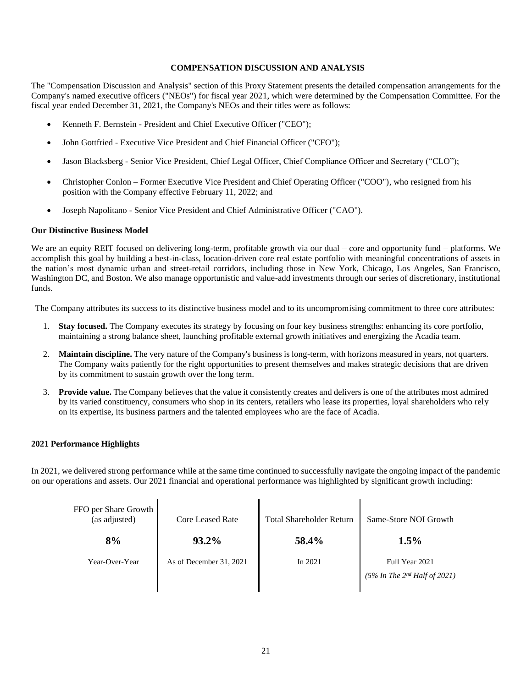## **COMPENSATION DISCUSSION AND ANALYSIS**

The "Compensation Discussion and Analysis" section of this Proxy Statement presents the detailed compensation arrangements for the Company's named executive officers ("NEOs") for fiscal year 2021, which were determined by the Compensation Committee. For the fiscal year ended December 31, 2021, the Company's NEOs and their titles were as follows:

- Kenneth F. Bernstein President and Chief Executive Officer ("CEO");
- John Gottfried Executive Vice President and Chief Financial Officer ("CFO");
- Jason Blacksberg Senior Vice President, Chief Legal Officer, Chief Compliance Officer and Secretary ("CLO");
- Christopher Conlon Former Executive Vice President and Chief Operating Officer ("COO"), who resigned from his position with the Company effective February 11, 2022; and
- Joseph Napolitano Senior Vice President and Chief Administrative Officer ("CAO").

# **Our Distinctive Business Model**

We are an equity REIT focused on delivering long-term, profitable growth via our dual – core and opportunity fund – platforms. We accomplish this goal by building a best-in-class, location-driven core real estate portfolio with meaningful concentrations of assets in the nation's most dynamic urban and street-retail corridors, including those in New York, Chicago, Los Angeles, San Francisco, Washington DC, and Boston. We also manage opportunistic and value-add investments through our series of discretionary, institutional funds.

The Company attributes its success to its distinctive business model and to its uncompromising commitment to three core attributes:

- 1. **Stay focused.** The Company executes its strategy by focusing on four key business strengths: enhancing its core portfolio, maintaining a strong balance sheet, launching profitable external growth initiatives and energizing the Acadia team.
- 2. **Maintain discipline.** The very nature of the Company's business is long-term, with horizons measured in years, not quarters. The Company waits patiently for the right opportunities to present themselves and makes strategic decisions that are driven by its commitment to sustain growth over the long term.
- 3. **Provide value.** The Company believes that the value it consistently creates and delivers is one of the attributes most admired by its varied constituency, consumers who shop in its centers, retailers who lease its properties, loyal shareholders who rely on its expertise, its business partners and the talented employees who are the face of Acadia.

# **2021 Performance Highlights**

In 2021, we delivered strong performance while at the same time continued to successfully navigate the ongoing impact of the pandemic on our operations and assets. Our 2021 financial and operational performance was highlighted by significant growth including:

| FFO per Share Growth<br>(as adjusted) | Core Leased Rate        | <b>Total Shareholder Return</b> | Same-Store NOI Growth                                  |
|---------------------------------------|-------------------------|---------------------------------|--------------------------------------------------------|
| 8%                                    | 93.2%                   | 58.4%                           | 1.5%                                                   |
| Year-Over-Year                        | As of December 31, 2021 | In $2021$                       | Full Year 2021<br>$(5\%$ In The $2^{nd}$ Half of 2021) |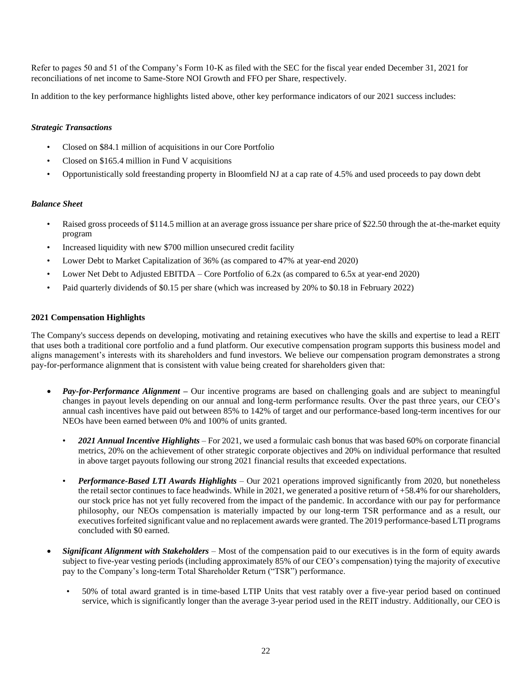Refer to pages 50 and 51 of the Company's Form 10-K as filed with the SEC for the fiscal year ended December 31, 2021 for reconciliations of net income to Same-Store NOI Growth and FFO per Share, respectively.

In addition to the key performance highlights listed above, other key performance indicators of our 2021 success includes:

# *Strategic Transactions*

- Closed on \$84.1 million of acquisitions in our Core Portfolio
- Closed on \$165.4 million in Fund V acquisitions
- Opportunistically sold freestanding property in Bloomfield NJ at a cap rate of 4.5% and used proceeds to pay down debt

# *Balance Sheet*

- Raised gross proceeds of \$114.5 million at an average gross issuance per share price of \$22.50 through the at-the-market equity program
- Increased liquidity with new \$700 million unsecured credit facility
- Lower Debt to Market Capitalization of 36% (as compared to 47% at year-end 2020)
- Lower Net Debt to Adjusted EBITDA Core Portfolio of 6.2x (as compared to 6.5x at year-end 2020)
- Paid quarterly dividends of \$0.15 per share (which was increased by 20% to \$0.18 in February 2022)

# **2021 Compensation Highlights**

The Company's success depends on developing, motivating and retaining executives who have the skills and expertise to lead a REIT that uses both a traditional core portfolio and a fund platform. Our executive compensation program supports this business model and aligns management's interests with its shareholders and fund investors. We believe our compensation program demonstrates a strong pay-for-performance alignment that is consistent with value being created for shareholders given that:

- *Pay-for-Performance Alignment –* Our incentive programs are based on challenging goals and are subject to meaningful changes in payout levels depending on our annual and long-term performance results. Over the past three years, our CEO's annual cash incentives have paid out between 85% to 142% of target and our performance-based long-term incentives for our NEOs have been earned between 0% and 100% of units granted.
	- *2021 Annual Incentive Highlights* For 2021, we used a formulaic cash bonus that was based 60% on corporate financial metrics, 20% on the achievement of other strategic corporate objectives and 20% on individual performance that resulted in above target payouts following our strong 2021 financial results that exceeded expectations.
	- *Performance-Based LTI Awards Highlights* Our 2021 operations improved significantly from 2020, but nonetheless the retail sector continues to face headwinds. While in 2021, we generated a positive return of +58.4% for our shareholders, our stock price has not yet fully recovered from the impact of the pandemic. In accordance with our pay for performance philosophy, our NEOs compensation is materially impacted by our long-term TSR performance and as a result, our executives forfeited significant value and no replacement awards were granted. The 2019 performance-based LTI programs concluded with \$0 earned.
- *Significant Alignment with Stakeholders* Most of the compensation paid to our executives is in the form of equity awards subject to five-year vesting periods (including approximately 85% of our CEO's compensation) tying the majority of executive pay to the Company's long-term Total Shareholder Return ("TSR") performance.
	- 50% of total award granted is in time-based LTIP Units that vest ratably over a five-year period based on continued service, which is significantly longer than the average 3-year period used in the REIT industry. Additionally, our CEO is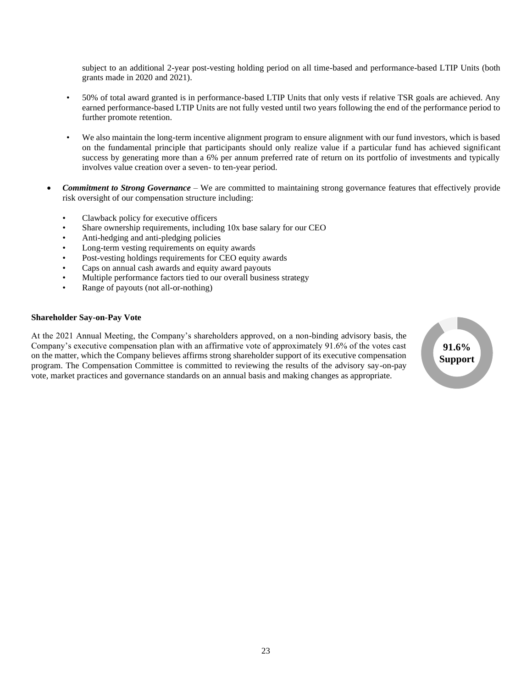subject to an additional 2-year post-vesting holding period on all time-based and performance-based LTIP Units (both grants made in 2020 and 2021).

- 50% of total award granted is in performance-based LTIP Units that only vests if relative TSR goals are achieved. Any earned performance-based LTIP Units are not fully vested until two years following the end of the performance period to further promote retention.
- We also maintain the long-term incentive alignment program to ensure alignment with our fund investors, which is based on the fundamental principle that participants should only realize value if a particular fund has achieved significant success by generating more than a 6% per annum preferred rate of return on its portfolio of investments and typically involves value creation over a seven- to ten-year period.
- *Commitment to Strong Governance*  We are committed to maintaining strong governance features that effectively provide risk oversight of our compensation structure including:
	- Clawback policy for executive officers
	- Share ownership requirements, including 10x base salary for our CEO
	- Anti-hedging and anti-pledging policies
	- Long-term vesting requirements on equity awards
	- Post-vesting holdings requirements for CEO equity awards
	- Caps on annual cash awards and equity award payouts
	- Multiple performance factors tied to our overall business strategy
	- Range of payouts (not all-or-nothing)

#### **Shareholder Say-on-Pay Vote**

At the 2021 Annual Meeting, the Company's shareholders approved, on a non-binding advisory basis, the Company's executive compensation plan with an affirmative vote of approximately 91.6% of the votes cast on the matter, which the Company believes affirms strong shareholder support of its executive compensation program. The Compensation Committee is committed to reviewing the results of the advisory say-on-pay vote, market practices and governance standards on an annual basis and making changes as appropriate.

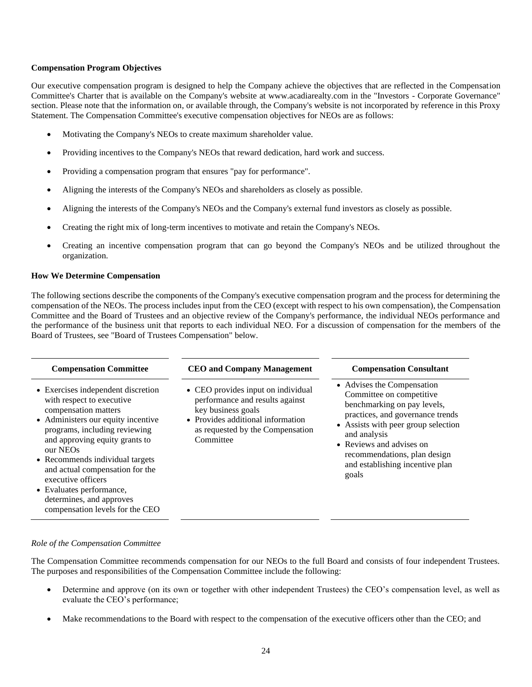### **Compensation Program Objectives**

Our executive compensation program is designed to help the Company achieve the objectives that are reflected in the Compensation Committee's Charter that is available on the Company's website at www.acadiarealty.com in the "Investors - Corporate Governance" section. Please note that the information on, or available through, the Company's website is not incorporated by reference in this Proxy Statement. The Compensation Committee's executive compensation objectives for NEOs are as follows:

- Motivating the Company's NEOs to create maximum shareholder value.
- Providing incentives to the Company's NEOs that reward dedication, hard work and success.
- Providing a compensation program that ensures "pay for performance".
- Aligning the interests of the Company's NEOs and shareholders as closely as possible.
- Aligning the interests of the Company's NEOs and the Company's external fund investors as closely as possible.
- Creating the right mix of long-term incentives to motivate and retain the Company's NEOs.
- Creating an incentive compensation program that can go beyond the Company's NEOs and be utilized throughout the organization.

#### **How We Determine Compensation**

The following sections describe the components of the Company's executive compensation program and the process for determining the compensation of the NEOs. The process includes input from the CEO (except with respect to his own compensation), the Compensation Committee and the Board of Trustees and an objective review of the Company's performance, the individual NEOs performance and the performance of the business unit that reports to each individual NEO. For a discussion of compensation for the members of the Board of Trustees, see "Board of Trustees Compensation" below.

| <b>Compensation Committee</b>                                                                                                                                                                                                                                                                                                                                                                       | <b>CEO</b> and Company Management                                                                                                                                                 | <b>Compensation Consultant</b>                                                                                                                                                                                                                                                           |
|-----------------------------------------------------------------------------------------------------------------------------------------------------------------------------------------------------------------------------------------------------------------------------------------------------------------------------------------------------------------------------------------------------|-----------------------------------------------------------------------------------------------------------------------------------------------------------------------------------|------------------------------------------------------------------------------------------------------------------------------------------------------------------------------------------------------------------------------------------------------------------------------------------|
| • Exercises independent discretion<br>with respect to executive<br>compensation matters<br>• Administers our equity incentive<br>programs, including reviewing<br>and approving equity grants to<br>our NEOs<br>• Recommends individual targets<br>and actual compensation for the<br>executive officers<br>• Evaluates performance,<br>determines, and approves<br>compensation levels for the CEO | • CEO provides input on individual<br>performance and results against<br>key business goals<br>• Provides additional information<br>as requested by the Compensation<br>Committee | • Advises the Compensation<br>Committee on competitive<br>benchmarking on pay levels,<br>practices, and governance trends<br>• Assists with peer group selection<br>and analysis<br>• Reviews and advises on<br>recommendations, plan design<br>and establishing incentive plan<br>goals |

#### *Role of the Compensation Committee*

The Compensation Committee recommends compensation for our NEOs to the full Board and consists of four independent Trustees. The purposes and responsibilities of the Compensation Committee include the following:

- Determine and approve (on its own or together with other independent Trustees) the CEO's compensation level, as well as evaluate the CEO's performance;
- Make recommendations to the Board with respect to the compensation of the executive officers other than the CEO; and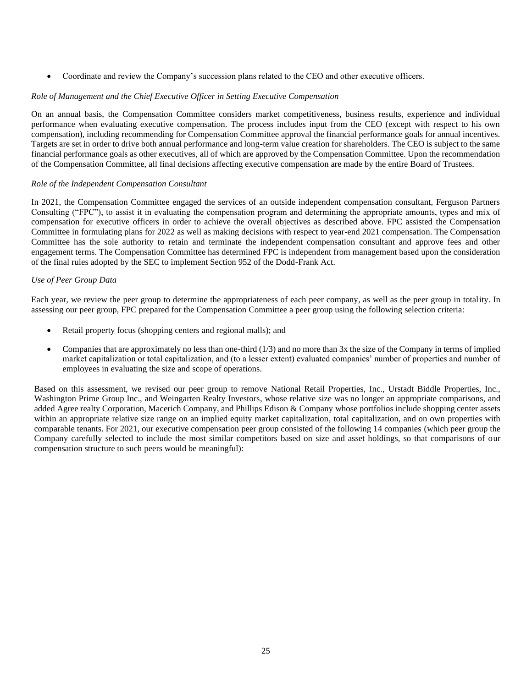• Coordinate and review the Company's succession plans related to the CEO and other executive officers.

# *Role of Management and the Chief Executive Officer in Setting Executive Compensation*

On an annual basis, the Compensation Committee considers market competitiveness, business results, experience and individual performance when evaluating executive compensation. The process includes input from the CEO (except with respect to his own compensation), including recommending for Compensation Committee approval the financial performance goals for annual incentives. Targets are set in order to drive both annual performance and long-term value creation for shareholders. The CEO is subject to the same financial performance goals as other executives, all of which are approved by the Compensation Committee. Upon the recommendation of the Compensation Committee, all final decisions affecting executive compensation are made by the entire Board of Trustees.

# *Role of the Independent Compensation Consultant*

In 2021, the Compensation Committee engaged the services of an outside independent compensation consultant, Ferguson Partners Consulting ("FPC"), to assist it in evaluating the compensation program and determining the appropriate amounts, types and mix of compensation for executive officers in order to achieve the overall objectives as described above. FPC assisted the Compensation Committee in formulating plans for 2022 as well as making decisions with respect to year-end 2021 compensation. The Compensation Committee has the sole authority to retain and terminate the independent compensation consultant and approve fees and other engagement terms. The Compensation Committee has determined FPC is independent from management based upon the consideration of the final rules adopted by the SEC to implement Section 952 of the Dodd-Frank Act.

# *Use of Peer Group Data*

Each year, we review the peer group to determine the appropriateness of each peer company, as well as the peer group in totality. In assessing our peer group, FPC prepared for the Compensation Committee a peer group using the following selection criteria:

- Retail property focus (shopping centers and regional malls); and
- Companies that are approximately no less than one-third (1/3) and no more than 3x the size of the Company in terms of implied market capitalization or total capitalization, and (to a lesser extent) evaluated companies' number of properties and number of employees in evaluating the size and scope of operations.

Based on this assessment, we revised our peer group to remove National Retail Properties, Inc., Urstadt Biddle Properties, Inc., Washington Prime Group Inc., and Weingarten Realty Investors, whose relative size was no longer an appropriate comparisons, and added Agree realty Corporation, Macerich Company, and Phillips Edison & Company whose portfolios include shopping center assets within an appropriate relative size range on an implied equity market capitalization, total capitalization, and on own properties with comparable tenants. For 2021, our executive compensation peer group consisted of the following 14 companies (which peer group the Company carefully selected to include the most similar competitors based on size and asset holdings, so that comparisons of our compensation structure to such peers would be meaningful):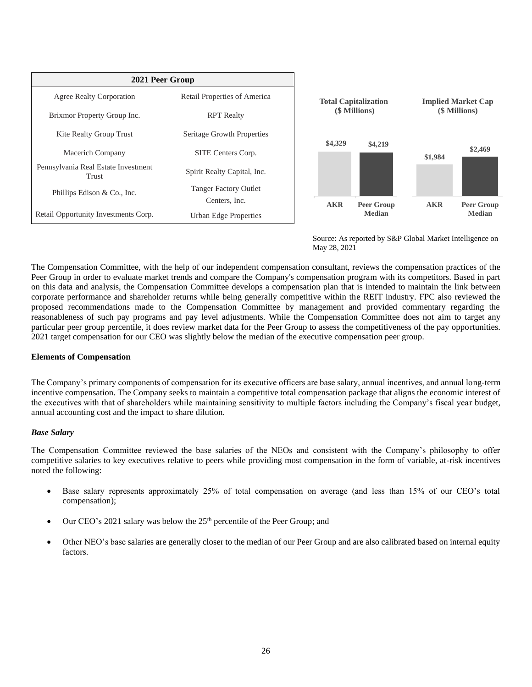



Source: As reported by S&P Global Market Intelligence on May 28, 2021

The Compensation Committee, with the help of our independent compensation consultant, reviews the compensation practices of the Peer Group in order to evaluate market trends and compare the Company's compensation program with its competitors. Based in part on this data and analysis, the Compensation Committee develops a compensation plan that is intended to maintain the link between corporate performance and shareholder returns while being generally competitive within the REIT industry. FPC also reviewed the proposed recommendations made to the Compensation Committee by management and provided commentary regarding the reasonableness of such pay programs and pay level adjustments. While the Compensation Committee does not aim to target any particular peer group percentile, it does review market data for the Peer Group to assess the competitiveness of the pay opportunities. 2021 target compensation for our CEO was slightly below the median of the executive compensation peer group.

# **Elements of Compensation**

The Company's primary components of compensation for its executive officers are base salary, annual incentives, and annual long-term incentive compensation. The Company seeks to maintain a competitive total compensation package that aligns the economic interest of the executives with that of shareholders while maintaining sensitivity to multiple factors including the Company's fiscal year budget, annual accounting cost and the impact to share dilution.

# *Base Salary*

The Compensation Committee reviewed the base salaries of the NEOs and consistent with the Company's philosophy to offer competitive salaries to key executives relative to peers while providing most compensation in the form of variable, at-risk incentives noted the following:

- Base salary represents approximately 25% of total compensation on average (and less than 15% of our CEO's total compensation);
- Our CEO's 2021 salary was below the 25<sup>th</sup> percentile of the Peer Group; and
- Other NEO's base salaries are generally closer to the median of our Peer Group and are also calibrated based on internal equity factors.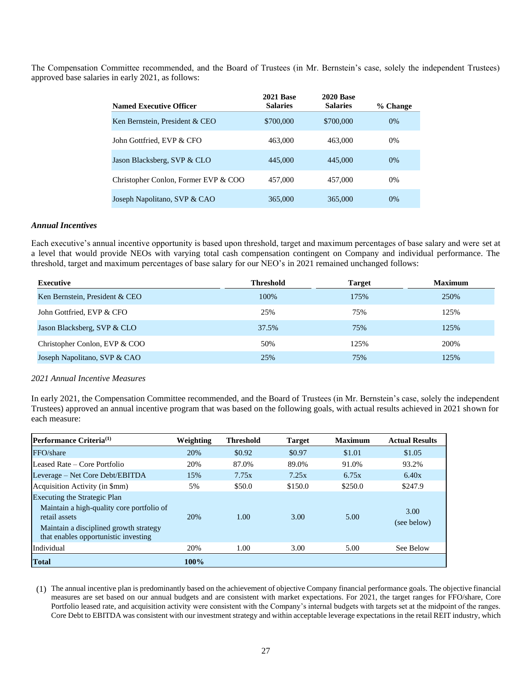The Compensation Committee recommended, and the Board of Trustees (in Mr. Bernstein's case, solely the independent Trustees) approved base salaries in early 2021, as follows:

| <b>Named Executive Officer</b>       | <b>2021 Base</b><br><b>Salaries</b> | <b>2020 Base</b><br><b>Salaries</b> | % Change |
|--------------------------------------|-------------------------------------|-------------------------------------|----------|
| Ken Bernstein, President & CEO       | \$700,000                           | \$700,000                           | $0\%$    |
| John Gottfried, EVP & CFO            | 463,000                             | 463,000                             | $0\%$    |
| Jason Blacksberg, SVP & CLO          | 445,000                             | 445,000                             | $0\%$    |
| Christopher Conlon, Former EVP & COO | 457,000                             | 457,000                             | $0\%$    |
| Joseph Napolitano, SVP & CAO         | 365,000                             | 365,000                             | $0\%$    |

### *Annual Incentives*

Each executive's annual incentive opportunity is based upon threshold, target and maximum percentages of base salary and were set at a level that would provide NEOs with varying total cash compensation contingent on Company and individual performance. The threshold, target and maximum percentages of base salary for our NEO's in 2021 remained unchanged follows:

| <b>Executive</b>               | <b>Threshold</b> | <b>Target</b> | <b>Maximum</b> |
|--------------------------------|------------------|---------------|----------------|
| Ken Bernstein, President & CEO | 100%             | 175%          | 250%           |
| John Gottfried, EVP & CFO      | 25%              | 75%           | 125%           |
| Jason Blacksberg, SVP & CLO    | 37.5%            | 75%           | 125%           |
| Christopher Conlon, EVP & COO  | 50%              | 125%          | 200%           |
| Joseph Napolitano, SVP & CAO   | 25%              | 75%           | 125%           |

### *2021 Annual Incentive Measures*

In early 2021, the Compensation Committee recommended, and the Board of Trustees (in Mr. Bernstein's case, solely the independent Trustees) approved an annual incentive program that was based on the following goals, with actual results achieved in 2021 shown for each measure:

| Performance Criteria <sup>(1)</sup>                                                                                                                                          | Weighting | <b>Threshold</b> | <b>Target</b> | <b>Maximum</b> | <b>Actual Results</b> |
|------------------------------------------------------------------------------------------------------------------------------------------------------------------------------|-----------|------------------|---------------|----------------|-----------------------|
| FFO/share                                                                                                                                                                    | 20%       | \$0.92           | \$0.97        | \$1.01         | \$1.05                |
| Leased Rate – Core Portfolio                                                                                                                                                 | 20%       | 87.0%            | 89.0%         | 91.0%          | 93.2%                 |
| Leverage – Net Core Debt/EBITDA                                                                                                                                              | 15%       | 7.75x            | 7.25x         | 6.75x          | 6.40x                 |
| Acquisition Activity (in \$mm)                                                                                                                                               | 5%        | \$50.0           | \$150.0       | \$250.0        | \$247.9               |
| Executing the Strategic Plan<br>Maintain a high-quality core portfolio of<br>retail assets<br>Maintain a disciplined growth strategy<br>that enables opportunistic investing | 20%       | 1.00             | 3.00          | 5.00           | 3.00<br>(see below)   |
| Individual                                                                                                                                                                   | 20%       | 1.00             | 3.00          | 5.00           | See Below             |
| <b>Total</b>                                                                                                                                                                 | $100\%$   |                  |               |                |                       |

(1) The annual incentive plan is predominantly based on the achievement of objective Company financial performance goals. The objective financial measures are set based on our annual budgets and are consistent with market expectations. For 2021, the target ranges for FFO/share, Core Portfolio leased rate, and acquisition activity were consistent with the Company's internal budgets with targets set at the midpoint of the ranges. Core Debt to EBITDA was consistent with our investment strategy and within acceptable leverage expectations in the retail REIT industry, which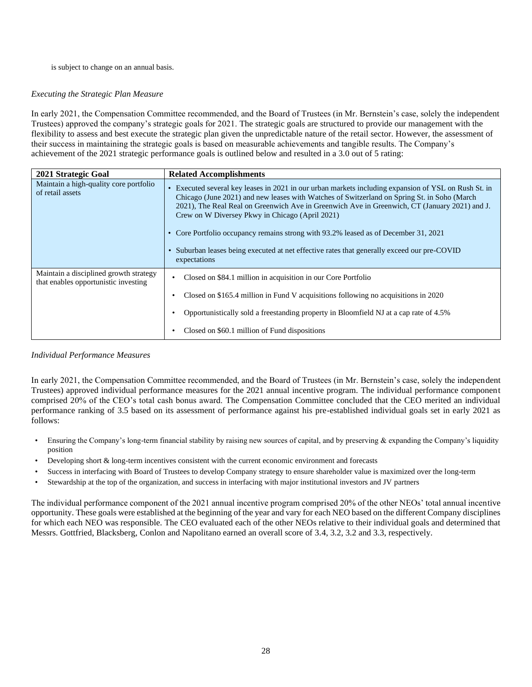### is subject to change on an annual basis.

# *Executing the Strategic Plan Measure*

In early 2021, the Compensation Committee recommended, and the Board of Trustees (in Mr. Bernstein's case, solely the independent Trustees) approved the company's strategic goals for 2021. The strategic goals are structured to provide our management with the flexibility to assess and best execute the strategic plan given the unpredictable nature of the retail sector. However, the assessment of their success in maintaining the strategic goals is based on measurable achievements and tangible results. The Company's achievement of the 2021 strategic performance goals is outlined below and resulted in a 3.0 out of 5 rating:

| 2021 Strategic Goal                                                            | <b>Related Accomplishments</b>                                                                                                                                                                                                                                                                                                                                                                                                                                                                                                                              |
|--------------------------------------------------------------------------------|-------------------------------------------------------------------------------------------------------------------------------------------------------------------------------------------------------------------------------------------------------------------------------------------------------------------------------------------------------------------------------------------------------------------------------------------------------------------------------------------------------------------------------------------------------------|
| Maintain a high-quality core portfolio<br>of retail assets                     | Executed several key leases in 2021 in our urban markets including expansion of YSL on Rush St. in<br>Chicago (June 2021) and new leases with Watches of Switzerland on Spring St. in Soho (March<br>2021), The Real Real on Greenwich Ave in Greenwich Ave in Greenwich, CT (January 2021) and J.<br>Crew on W Diversey Pkwy in Chicago (April 2021)<br>• Core Portfolio occupancy remains strong with 93.2% leased as of December 31, 2021<br>• Suburban leases being executed at net effective rates that generally exceed our pre-COVID<br>expectations |
| Maintain a disciplined growth strategy<br>that enables opportunistic investing | Closed on \$84.1 million in acquisition in our Core Portfolio<br>Closed on \$165.4 million in Fund V acquisitions following no acquisitions in 2020<br>Opportunistically sold a freestanding property in Bloomfield NJ at a cap rate of 4.5%                                                                                                                                                                                                                                                                                                                |
|                                                                                | Closed on \$60.1 million of Fund dispositions                                                                                                                                                                                                                                                                                                                                                                                                                                                                                                               |

# *Individual Performance Measures*

In early 2021, the Compensation Committee recommended, and the Board of Trustees (in Mr. Bernstein's case, solely the independent Trustees) approved individual performance measures for the 2021 annual incentive program. The individual performance component comprised 20% of the CEO's total cash bonus award. The Compensation Committee concluded that the CEO merited an individual performance ranking of 3.5 based on its assessment of performance against his pre-established individual goals set in early 2021 as follows:

- Ensuring the Company's long-term financial stability by raising new sources of capital, and by preserving & expanding the Company's liquidity position
- Developing short & long-term incentives consistent with the current economic environment and forecasts
- Success in interfacing with Board of Trustees to develop Company strategy to ensure shareholder value is maximized over the long-term
- Stewardship at the top of the organization, and success in interfacing with major institutional investors and JV partners

The individual performance component of the 2021 annual incentive program comprised 20% of the other NEOs' total annual incentive opportunity. These goals were established at the beginning of the year and vary for each NEO based on the different Company disciplines for which each NEO was responsible. The CEO evaluated each of the other NEOs relative to their individual goals and determined that Messrs. Gottfried, Blacksberg, Conlon and Napolitano earned an overall score of 3.4, 3.2, 3.2 and 3.3, respectively.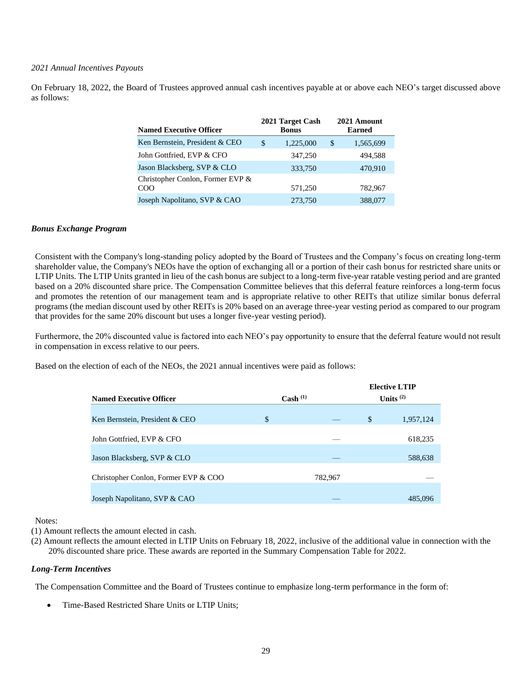### *2021 Annual Incentives Payouts*

On February 18, 2022, the Board of Trustees approved annual cash incentives payable at or above each NEO's target discussed above as follows:

| <b>Named Executive Officer</b>          | 2021 Target Cash<br><b>Bonus</b> | 2021 Amount<br><b>Earned</b> |
|-----------------------------------------|----------------------------------|------------------------------|
| Ken Bernstein, President & CEO          | \$<br>1,225,000                  | \$<br>1,565,699              |
| John Gottfried, EVP & CFO               | 347,250                          | 494,588                      |
| Jason Blacksberg, SVP & CLO             | 333,750                          | 470,910                      |
| Christopher Conlon, Former EVP &<br>COO | 571,250                          | 782,967                      |
| Joseph Napolitano, SVP & CAO            | 273,750                          | 388,077                      |

### *Bonus Exchange Program*

Consistent with the Company's long-standing policy adopted by the Board of Trustees and the Company's focus on creating long-term shareholder value, the Company's NEOs have the option of exchanging all or a portion of their cash bonus for restricted share units or LTIP Units. The LTIP Units granted in lieu of the cash bonus are subject to a long-term five-year ratable vesting period and are granted based on a 20% discounted share price. The Compensation Committee believes that this deferral feature reinforces a long-term focus and promotes the retention of our management team and is appropriate relative to other REITs that utilize similar bonus deferral programs (the median discount used by other REITs is 20% based on an average three-year vesting period as compared to our program that provides for the same 20% discount but uses a longer five-year vesting period).

Furthermore, the 20% discounted value is factored into each NEO's pay opportunity to ensure that the deferral feature would not result in compensation in excess relative to our peers.

Based on the election of each of the NEOs, the 2021 annual incentives were paid as follows:

|                                      |                      | <b>Elective LTIP</b> |
|--------------------------------------|----------------------|----------------------|
| <b>Named Executive Officer</b>       | $\text{Cash }^{(1)}$ | Units $(2)$          |
|                                      |                      |                      |
| Ken Bernstein, President & CEO       | \$                   | \$<br>1,957,124      |
|                                      |                      |                      |
| John Gottfried, EVP & CFO            |                      | 618,235              |
|                                      |                      |                      |
| Jason Blacksberg, SVP & CLO          |                      | 588,638              |
|                                      |                      |                      |
| Christopher Conlon, Former EVP & COO | 782,967              |                      |
|                                      |                      |                      |
| Joseph Napolitano, SVP & CAO         |                      | 485,096              |

Notes:

(1) Amount reflects the amount elected in cash.

(2) Amount reflects the amount elected in LTIP Units on February 18, 2022, inclusive of the additional value in connection with the 20% discounted share price. These awards are reported in the Summary Compensation Table for 2022.

#### *Long-Term Incentives*

The Compensation Committee and the Board of Trustees continue to emphasize long-term performance in the form of:

Time-Based Restricted Share Units or LTIP Units;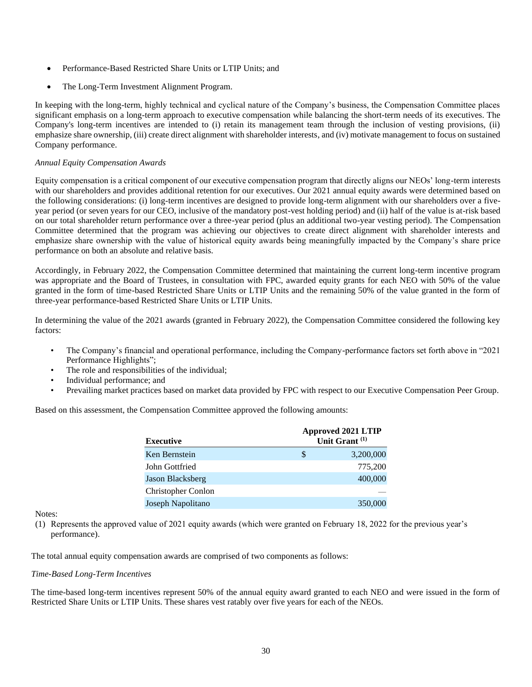- Performance-Based Restricted Share Units or LTIP Units; and
- The Long-Term Investment Alignment Program.

In keeping with the long-term, highly technical and cyclical nature of the Company's business, the Compensation Committee places significant emphasis on a long-term approach to executive compensation while balancing the short-term needs of its executives. The Company's long-term incentives are intended to (i) retain its management team through the inclusion of vesting provisions, (ii) emphasize share ownership, (iii) create direct alignment with shareholder interests, and (iv) motivate management to focus on sustained Company performance.

## *Annual Equity Compensation Awards*

Equity compensation is a critical component of our executive compensation program that directly aligns our NEOs' long-term interests with our shareholders and provides additional retention for our executives. Our 2021 annual equity awards were determined based on the following considerations: (i) long-term incentives are designed to provide long-term alignment with our shareholders over a fiveyear period (or seven years for our CEO, inclusive of the mandatory post-vest holding period) and (ii) half of the value is at-risk based on our total shareholder return performance over a three-year period (plus an additional two-year vesting period). The Compensation Committee determined that the program was achieving our objectives to create direct alignment with shareholder interests and emphasize share ownership with the value of historical equity awards being meaningfully impacted by the Company's share price performance on both an absolute and relative basis.

Accordingly, in February 2022, the Compensation Committee determined that maintaining the current long-term incentive program was appropriate and the Board of Trustees, in consultation with FPC, awarded equity grants for each NEO with 50% of the value granted in the form of time-based Restricted Share Units or LTIP Units and the remaining 50% of the value granted in the form of three-year performance-based Restricted Share Units or LTIP Units.

In determining the value of the 2021 awards (granted in February 2022), the Compensation Committee considered the following key factors:

- The Company's financial and operational performance, including the Company-performance factors set forth above in "2021 Performance Highlights";
- The role and responsibilities of the individual;
- Individual performance; and
- Prevailing market practices based on market data provided by FPC with respect to our Executive Compensation Peer Group.

Based on this assessment, the Compensation Committee approved the following amounts:

| <b>Executive</b>          |   | <b>Approved 2021 LTIP</b><br>Unit Grant <sup>(1)</sup> |
|---------------------------|---|--------------------------------------------------------|
| Ken Bernstein             | S | 3,200,000                                              |
| John Gottfried            |   | 775,200                                                |
| Jason Blacksberg          |   | 400,000                                                |
| <b>Christopher Conlon</b> |   |                                                        |
| Joseph Napolitano         |   | 350,000                                                |

#### Notes:

(1) Represents the approved value of 2021 equity awards (which were granted on February 18, 2022 for the previous year's performance).

The total annual equity compensation awards are comprised of two components as follows:

#### *Time-Based Long-Term Incentives*

The time-based long-term incentives represent 50% of the annual equity award granted to each NEO and were issued in the form of Restricted Share Units or LTIP Units. These shares vest ratably over five years for each of the NEOs.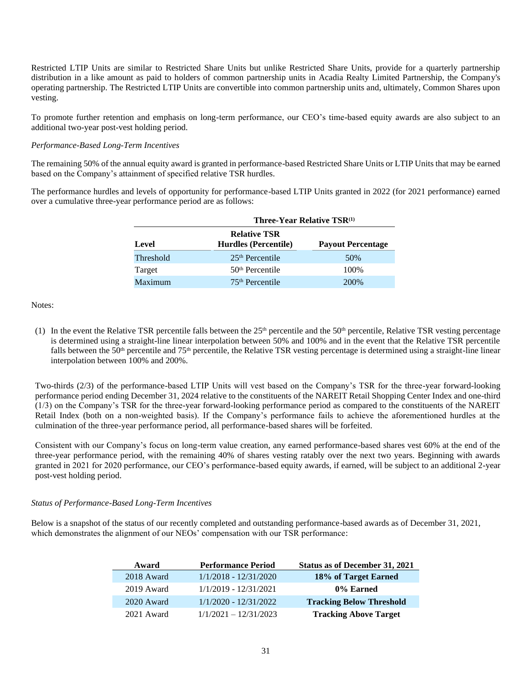Restricted LTIP Units are similar to Restricted Share Units but unlike Restricted Share Units, provide for a quarterly partnership distribution in a like amount as paid to holders of common partnership units in Acadia Realty Limited Partnership, the Company's operating partnership. The Restricted LTIP Units are convertible into common partnership units and, ultimately, Common Shares upon vesting.

To promote further retention and emphasis on long-term performance, our CEO's time-based equity awards are also subject to an additional two-year post-vest holding period.

# *Performance-Based Long-Term Incentives*

The remaining 50% of the annual equity award is granted in performance-based Restricted Share Units or LTIP Units that may be earned based on the Company's attainment of specified relative TSR hurdles.

The performance hurdles and levels of opportunity for performance-based LTIP Units granted in 2022 (for 2021 performance) earned over a cumulative three-year performance period are as follows:

|           | Three-Year Relative TSR <sup>(1)</sup>      |                          |  |  |  |  |  |  |  |
|-----------|---------------------------------------------|--------------------------|--|--|--|--|--|--|--|
| Level     | <b>Relative TSR</b><br>Hurdles (Percentile) | <b>Payout Percentage</b> |  |  |  |  |  |  |  |
| Threshold | $25th$ Percentile                           | 50%                      |  |  |  |  |  |  |  |
| Target    | $50th$ Percentile                           | 100%                     |  |  |  |  |  |  |  |
| Maximum   | 75 <sup>th</sup> Percentile                 | 200\%                    |  |  |  |  |  |  |  |

Notes:

(1) In the event the Relative TSR percentile falls between the  $25<sup>th</sup>$  percentile and the  $50<sup>th</sup>$  percentile, Relative TSR vesting percentage is determined using a straight-line linear interpolation between 50% and 100% and in the event that the Relative TSR percentile falls between the 50<sup>th</sup> percentile and 75<sup>th</sup> percentile, the Relative TSR vesting percentage is determined using a straight-line linear interpolation between 100% and 200%.

Two-thirds (2/3) of the performance-based LTIP Units will vest based on the Company's TSR for the three-year forward-looking performance period ending December 31, 2024 relative to the constituents of the NAREIT Retail Shopping Center Index and one-third (1/3) on the Company's TSR for the three-year forward-looking performance period as compared to the constituents of the NAREIT Retail Index (both on a non-weighted basis). If the Company's performance fails to achieve the aforementioned hurdles at the culmination of the three-year performance period, all performance-based shares will be forfeited.

Consistent with our Company's focus on long-term value creation, any earned performance-based shares vest 60% at the end of the three-year performance period, with the remaining 40% of shares vesting ratably over the next two years. Beginning with awards granted in 2021 for 2020 performance, our CEO's performance-based equity awards, if earned, will be subject to an additional 2-year post-vest holding period.

#### *Status of Performance-Based Long-Term Incentives*

Below is a snapshot of the status of our recently completed and outstanding performance-based awards as of December 31, 2021, which demonstrates the alignment of our NEOs' compensation with our TSR performance:

| Status as of December 31, 2021  | <b>Performance Period</b> | Award        |
|---------------------------------|---------------------------|--------------|
| 18% of Target Earned            | $1/1/2018 - 12/31/2020$   | 2018 Award   |
| 0% Earned                       | 1/1/2019 - 12/31/2021     | 2019 Award   |
| <b>Tracking Below Threshold</b> | $1/1/2020 - 12/31/2022$   | $2020$ Award |
| <b>Tracking Above Target</b>    | $1/1/2021 - 12/31/2023$   | 2021 Award   |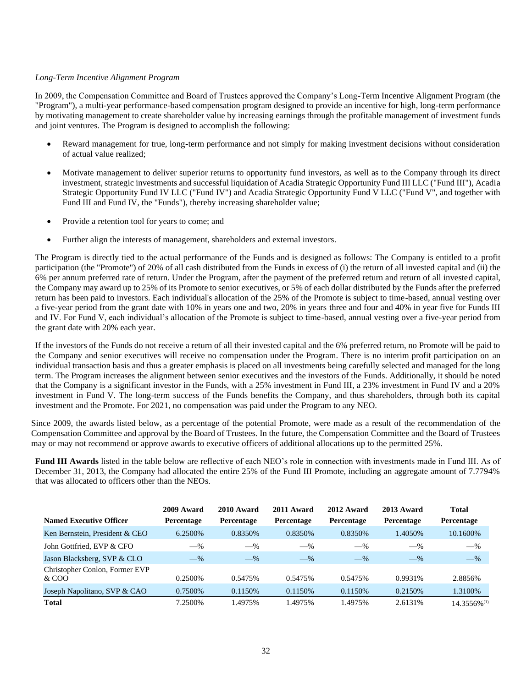### *Long-Term Incentive Alignment Program*

In 2009, the Compensation Committee and Board of Trustees approved the Company's Long-Term Incentive Alignment Program (the "Program"), a multi-year performance-based compensation program designed to provide an incentive for high, long-term performance by motivating management to create shareholder value by increasing earnings through the profitable management of investment funds and joint ventures. The Program is designed to accomplish the following:

- Reward management for true, long-term performance and not simply for making investment decisions without consideration of actual value realized;
- Motivate management to deliver superior returns to opportunity fund investors, as well as to the Company through its direct investment, strategic investments and successful liquidation of Acadia Strategic Opportunity Fund III LLC ("Fund III"), Acadia Strategic Opportunity Fund IV LLC ("Fund IV") and Acadia Strategic Opportunity Fund V LLC ("Fund V", and together with Fund III and Fund IV, the "Funds"), thereby increasing shareholder value;
- Provide a retention tool for years to come; and
- Further align the interests of management, shareholders and external investors.

The Program is directly tied to the actual performance of the Funds and is designed as follows: The Company is entitled to a profit participation (the "Promote") of 20% of all cash distributed from the Funds in excess of (i) the return of all invested capital and (ii) the 6% per annum preferred rate of return. Under the Program, after the payment of the preferred return and return of all invested capital, the Company may award up to 25% of its Promote to senior executives, or 5% of each dollar distributed by the Funds after the preferred return has been paid to investors. Each individual's allocation of the 25% of the Promote is subject to time-based, annual vesting over a five-year period from the grant date with 10% in years one and two, 20% in years three and four and 40% in year five for Funds III and IV. For Fund V, each individual's allocation of the Promote is subject to time-based, annual vesting over a five-year period from the grant date with 20% each year.

If the investors of the Funds do not receive a return of all their invested capital and the 6% preferred return, no Promote will be paid to the Company and senior executives will receive no compensation under the Program. There is no interim profit participation on an individual transaction basis and thus a greater emphasis is placed on all investments being carefully selected and managed for the long term. The Program increases the alignment between senior executives and the investors of the Funds. Additionally, it should be noted that the Company is a significant investor in the Funds, with a 25% investment in Fund III, a 23% investment in Fund IV and a 20% investment in Fund V. The long-term success of the Funds benefits the Company, and thus shareholders, through both its capital investment and the Promote. For 2021, no compensation was paid under the Program to any NEO.

Since 2009, the awards listed below, as a percentage of the potential Promote, were made as a result of the recommendation of the Compensation Committee and approval by the Board of Trustees. In the future, the Compensation Committee and the Board of Trustees may or may not recommend or approve awards to executive officers of additional allocations up to the permitted 25%.

**Fund III Awards** listed in the table below are reflective of each NEO's role in connection with investments made in Fund III. As of December 31, 2013, the Company had allocated the entire 25% of the Fund III Promote, including an aggregate amount of 7.7794% that was allocated to officers other than the NEOs.

| <b>Named Executive Officer</b>          | 2009 Award<br>Percentage | 2010 Award<br>Percentage | 2011 Award<br><b>Percentage</b> | 2012 Award<br>Percentage | 2013 Award<br>Percentage | <b>Total</b><br>Percentage |
|-----------------------------------------|--------------------------|--------------------------|---------------------------------|--------------------------|--------------------------|----------------------------|
| Ken Bernstein, President & CEO          | 6.2500%                  | 0.8350\%                 | 0.8350\%                        | 0.8350\%                 | 1.4050%                  | 10.1600%                   |
| John Gottfried, EVP & CFO               | $-$ %                    | $-$ %                    | $-$ %                           | $-$ %                    | $-$ %                    | $-$ %                      |
| Jason Blacksberg, SVP & CLO             | $-$ %                    | $-$ %                    | $-\%$                           | $-$ %                    | $-$ %                    | $-$ %                      |
| Christopher Conlon, Former EVP<br>& COO | 0.2500%                  | 0.5475%                  | 0.5475%                         | 0.5475%                  | 0.9931\%                 | 2.8856%                    |
| Joseph Napolitano, SVP & CAO            | 0.7500\%                 | 0.1150\%                 | 0.1150\%                        | 0.1150\%                 | 0.2150\%                 | 1.3100%                    |
| <b>Total</b>                            | 7.2500%                  | 1.4975%                  | 1.4975%                         | 1.4975%                  | 2.6131%                  | $14.3556\%$ <sup>(1)</sup> |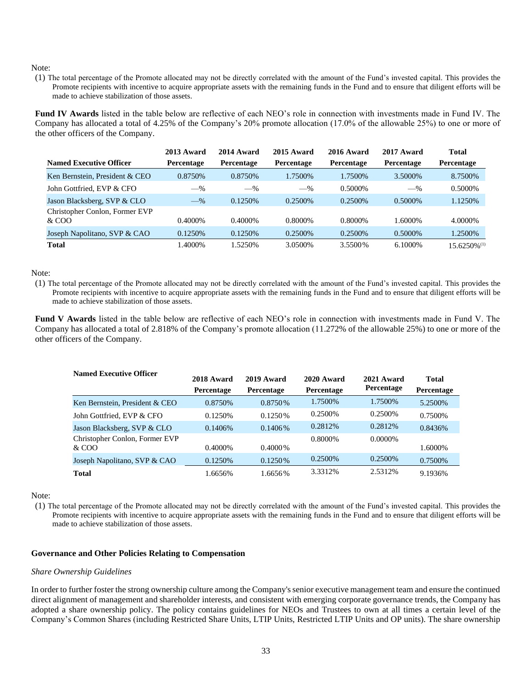(1) The total percentage of the Promote allocated may not be directly correlated with the amount of the Fund's invested capital. This provides the Promote recipients with incentive to acquire appropriate assets with the remaining funds in the Fund and to ensure that diligent efforts will be made to achieve stabilization of those assets.

Fund IV Awards listed in the table below are reflective of each NEO's role in connection with investments made in Fund IV. The Company has allocated a total of 4.25% of the Company's 20% promote allocation (17.0% of the allowable 25%) to one or more of the other officers of the Company.

|                                         | 2013 Award | 2014 Award        | 2015 Award | 2016 Award | 2017 Award        | Total                      |
|-----------------------------------------|------------|-------------------|------------|------------|-------------------|----------------------------|
| <b>Named Executive Officer</b>          | Percentage | <b>Percentage</b> | Percentage | Percentage | <b>Percentage</b> | <b>Percentage</b>          |
| Ken Bernstein, President & CEO          | 0.8750\%   | 0.8750\%          | 1.7500\%   | 1.7500%    | 3.5000\%          | 8.7500\%                   |
| John Gottfried, EVP & CFO               | $-$ %      | $-$ %             | $-$ %      | 0.5000\%   | $-$ %             | 0.5000\%                   |
| Jason Blacksberg, SVP & CLO             | $-$ %      | 0.1250\%          | 0.2500\%   | 0.2500\%   | 0.5000\%          | 1.1250\%                   |
| Christopher Conlon, Former EVP<br>& COO | 0.4000\%   | $0.4000\%$        | 0.8000\%   | 0.8000\%   | 1.6000%           | 4.0000\%                   |
| Joseph Napolitano, SVP & CAO            | 0.1250\%   | 0.1250\%          | 0.2500\%   | 0.2500\%   | 0.5000%           | 1.2500%                    |
| <b>Total</b>                            | 1.4000%    | 1.5250%           | 3.0500\%   | 3.5500\%   | 6.1000\%          | $15.6250\%$ <sup>(1)</sup> |

#### Note:

(1) The total percentage of the Promote allocated may not be directly correlated with the amount of the Fund's invested capital. This provides the Promote recipients with incentive to acquire appropriate assets with the remaining funds in the Fund and to ensure that diligent efforts will be made to achieve stabilization of those assets.

**Fund V Awards** listed in the table below are reflective of each NEO's role in connection with investments made in Fund V. The Company has allocated a total of 2.818% of the Company's promote allocation (11.272% of the allowable 25%) to one or more of the other officers of the Company.

| <b>Named Executive Officer</b> | 2018 Award        | 2019 Award | 2020 Award | 2021 Award | <b>Total</b> |
|--------------------------------|-------------------|------------|------------|------------|--------------|
|                                | <b>Percentage</b> | Percentage | Percentage | Percentage | Percentage   |
| Ken Bernstein, President & CEO | 0.8750\%          | $0.8750\%$ | 1.7500\%   | 1.7500\%   | 5.2500\%     |
| John Gottfried. EVP & CFO      | 0.1250\%          | $0.1250\%$ | 0.2500\%   | 0.2500\%   | 0.7500\%     |
| Jason Blacksberg, SVP & CLO    | 0.1406%           | $0.1406\%$ | 0.2812\%   | 0.2812\%   | 0.8436%      |
| Christopher Conlon, Former EVP |                   |            | 0.8000\%   | $0.0000\%$ |              |
| $&$ COO                        | $0.4000\%$        | $0.4000\%$ |            |            | 1.6000%      |
| Joseph Napolitano, SVP & CAO   | 0.1250\%          | $0.1250\%$ | 0.2500\%   | 0.2500\%   | 0.7500\%     |
| <b>Total</b>                   | 1.6656%           | 1.6656%    | 3.3312\%   | 2.5312%    | 9.1936%      |

#### Note:

(1) The total percentage of the Promote allocated may not be directly correlated with the amount of the Fund's invested capital. This provides the Promote recipients with incentive to acquire appropriate assets with the remaining funds in the Fund and to ensure that diligent efforts will be made to achieve stabilization of those assets.

# **Governance and Other Policies Relating to Compensation**

#### *Share Ownership Guidelines*

In order to further foster the strong ownership culture among the Company's senior executive management team and ensure the continued direct alignment of management and shareholder interests, and consistent with emerging corporate governance trends, the Company has adopted a share ownership policy. The policy contains guidelines for NEOs and Trustees to own at all times a certain level of the Company's Common Shares (including Restricted Share Units, LTIP Units, Restricted LTIP Units and OP units). The share ownership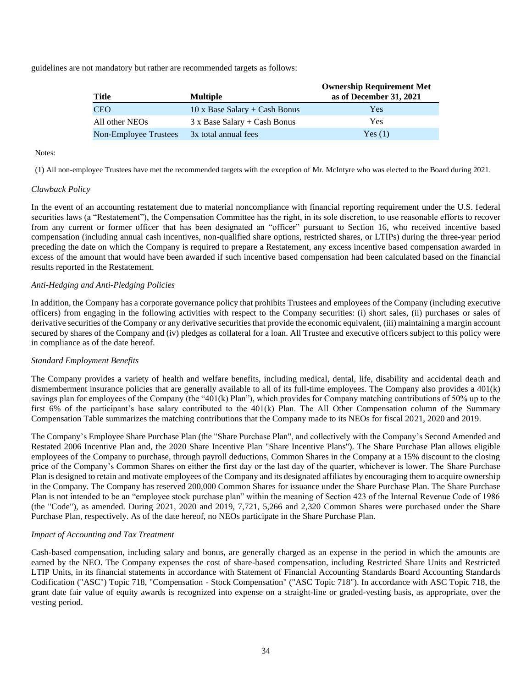guidelines are not mandatory but rather are recommended targets as follows:

| Title                 | <b>Multiple</b>                      | <b>Ownership Requirement Met</b><br>as of December 31, 2021 |
|-----------------------|--------------------------------------|-------------------------------------------------------------|
| <b>CEO</b>            | $10 \times$ Base Salary + Cash Bonus | Yes                                                         |
| All other NEOs        | $3x$ Base Salary + Cash Bonus        | Yes                                                         |
| Non-Employee Trustees | 3x total annual fees                 | Yes(1)                                                      |

### Notes:

(1) All non-employee Trustees have met the recommended targets with the exception of Mr. McIntyre who was elected to the Board during 2021.

# *Clawback Policy*

In the event of an accounting restatement due to material noncompliance with financial reporting requirement under the U.S. federal securities laws (a "Restatement"), the Compensation Committee has the right, in its sole discretion, to use reasonable efforts to recover from any current or former officer that has been designated an "officer" pursuant to Section 16, who received incentive based compensation (including annual cash incentives, non-qualified share options, restricted shares, or LTIPs) during the three-year period preceding the date on which the Company is required to prepare a Restatement, any excess incentive based compensation awarded in excess of the amount that would have been awarded if such incentive based compensation had been calculated based on the financial results reported in the Restatement.

### *Anti-Hedging and Anti-Pledging Policies*

In addition, the Company has a corporate governance policy that prohibits Trustees and employees of the Company (including executive officers) from engaging in the following activities with respect to the Company securities: (i) short sales, (ii) purchases or sales of derivative securities of the Company or any derivative securities that provide the economic equivalent, (iii) maintaining a margin account secured by shares of the Company and (iv) pledges as collateral for a loan. All Trustee and executive officers subject to this policy were in compliance as of the date hereof.

#### *Standard Employment Benefits*

The Company provides a variety of health and welfare benefits, including medical, dental, life, disability and accidental death and dismemberment insurance policies that are generally available to all of its full-time employees. The Company also provides a 401(k) savings plan for employees of the Company (the "401(k) Plan"), which provides for Company matching contributions of 50% up to the first 6% of the participant's base salary contributed to the 401(k) Plan. The All Other Compensation column of the Summary Compensation Table summarizes the matching contributions that the Company made to its NEOs for fiscal 2021, 2020 and 2019.

The Company's Employee Share Purchase Plan (the "Share Purchase Plan", and collectively with the Company's Second Amended and Restated 2006 Incentive Plan and, the 2020 Share Incentive Plan "Share Incentive Plans"). The Share Purchase Plan allows eligible employees of the Company to purchase, through payroll deductions, Common Shares in the Company at a 15% discount to the closing price of the Company's Common Shares on either the first day or the last day of the quarter, whichever is lower. The Share Purchase Plan is designed to retain and motivate employees of the Company and its designated affiliates by encouraging them to acquire ownership in the Company. The Company has reserved 200,000 Common Shares for issuance under the Share Purchase Plan. The Share Purchase Plan is not intended to be an "employee stock purchase plan" within the meaning of Section 423 of the Internal Revenue Code of 1986 (the "Code"), as amended. During 2021, 2020 and 2019, 7,721, 5,266 and 2,320 Common Shares were purchased under the Share Purchase Plan, respectively. As of the date hereof, no NEOs participate in the Share Purchase Plan.

#### *Impact of Accounting and Tax Treatment*

Cash-based compensation, including salary and bonus, are generally charged as an expense in the period in which the amounts are earned by the NEO. The Company expenses the cost of share-based compensation, including Restricted Share Units and Restricted LTIP Units, in its financial statements in accordance with Statement of Financial Accounting Standards Board Accounting Standards Codification ("ASC") Topic 718, "Compensation - Stock Compensation" ("ASC Topic 718"). In accordance with ASC Topic 718, the grant date fair value of equity awards is recognized into expense on a straight-line or graded-vesting basis, as appropriate, over the vesting period.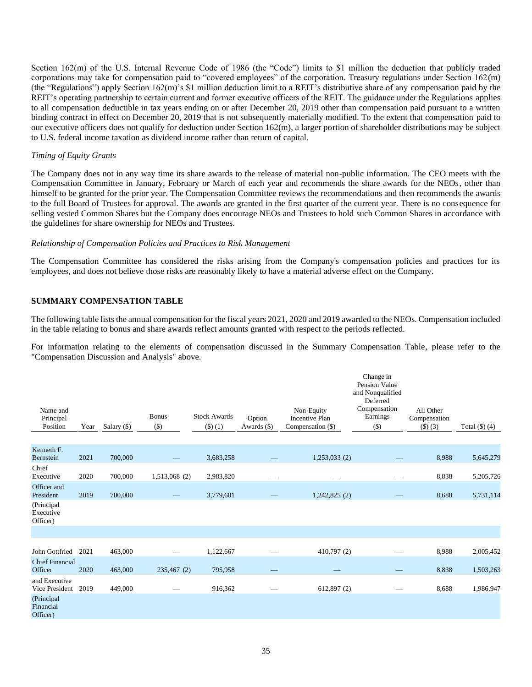Section 162(m) of the U.S. Internal Revenue Code of 1986 (the "Code") limits to \$1 million the deduction that publicly traded corporations may take for compensation paid to "covered employees" of the corporation. Treasury regulations under Section 162(m) (the "Regulations") apply Section 162(m)'s \$1 million deduction limit to a REIT's distributive share of any compensation paid by the REIT's operating partnership to certain current and former executive officers of the REIT. The guidance under the Regulations applies to all compensation deductible in tax years ending on or after December 20, 2019 other than compensation paid pursuant to a written binding contract in effect on December 20, 2019 that is not subsequently materially modified. To the extent that compensation paid to our executive officers does not qualify for deduction under Section 162(m), a larger portion of shareholder distributions may be subject to U.S. federal income taxation as dividend income rather than return of capital.

## *Timing of Equity Grants*

The Company does not in any way time its share awards to the release of material non-public information. The CEO meets with the Compensation Committee in January, February or March of each year and recommends the share awards for the NEOs, other than himself to be granted for the prior year. The Compensation Committee reviews the recommendations and then recommends the awards to the full Board of Trustees for approval. The awards are granted in the first quarter of the current year. There is no consequence for selling vested Common Shares but the Company does encourage NEOs and Trustees to hold such Common Shares in accordance with the guidelines for share ownership for NEOs and Trustees.

### *Relationship of Compensation Policies and Practices to Risk Management*

The Compensation Committee has considered the risks arising from the Company's compensation policies and practices for its employees, and does not believe those risks are reasonably likely to have a material adverse effect on the Company.

# **SUMMARY COMPENSATION TABLE**

The following table lists the annual compensation for the fiscal years 2021, 2020 and 2019 awarded to the NEOs. Compensation included in the table relating to bonus and share awards reflect amounts granted with respect to the periods reflected.

For information relating to the elements of compensation discussed in the Summary Compensation Table, please refer to the "Compensation Discussion and Analysis" above.

|                                     |      |             |                         |                               |                       |                                                          | Change in<br><b>Pension Value</b><br>and Nonqualified<br>Deferred |                                     |                    |
|-------------------------------------|------|-------------|-------------------------|-------------------------------|-----------------------|----------------------------------------------------------|-------------------------------------------------------------------|-------------------------------------|--------------------|
| Name and<br>Principal<br>Position   | Year | Salary (\$) | <b>Bonus</b><br>$($ \$) | <b>Stock Awards</b><br>(3)(1) | Option<br>Awards (\$) | Non-Equity<br><b>Incentive Plan</b><br>Compensation (\$) | Compensation<br>Earnings<br>$($ \$)                               | All Other<br>Compensation<br>(3)(3) | Total $(\$)$ $(4)$ |
| Kenneth F.<br>Bernstein             | 2021 | 700,000     |                         | 3,683,258                     |                       | 1,253,033(2)                                             |                                                                   | 8,988                               | 5,645,279          |
| Chief<br>Executive                  | 2020 | 700,000     | 1,513,068 (2)           | 2,983,820                     | -                     | -                                                        |                                                                   | 8,838                               | 5,205,726          |
| Officer and<br>President            | 2019 | 700,000     |                         | 3,779,601                     |                       | 1,242,825(2)                                             |                                                                   | 8,688                               | 5,731,114          |
| (Principal<br>Executive<br>Officer) |      |             |                         |                               |                       |                                                          |                                                                   |                                     |                    |
|                                     |      |             |                         |                               |                       |                                                          |                                                                   |                                     |                    |
| John Gottfried                      | 2021 | 463,000     |                         | 1,122,667                     |                       | 410,797(2)                                               |                                                                   | 8,988                               | 2,005,452          |
| <b>Chief Financial</b><br>Officer   | 2020 | 463,000     | 235,467 (2)             | 795,958                       |                       |                                                          |                                                                   | 8,838                               | 1,503,263          |
| and Executive<br>Vice President     | 2019 | 449,000     |                         | 916,362                       |                       | 612,897 (2)                                              |                                                                   | 8,688                               | 1,986,947          |
| (Principal<br>Financial<br>Officer) |      |             |                         |                               |                       |                                                          |                                                                   |                                     |                    |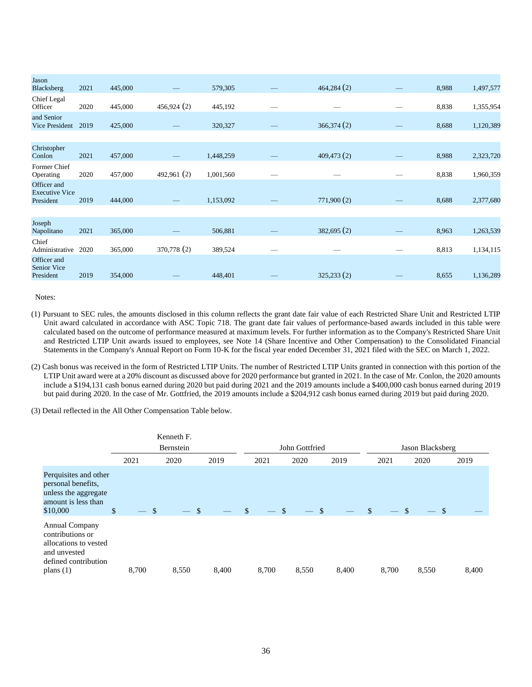| Jason<br>Blacksberg                               | 2021 | 445,000 |             | 579,305   | 464,284(2) | 8,988 | 1,497,577 |
|---------------------------------------------------|------|---------|-------------|-----------|------------|-------|-----------|
| Chief Legal<br>Officer                            | 2020 | 445,000 | 456,924 (2) | 445,192   |            | 8,838 | 1,355,954 |
| and Senior<br>Vice President                      | 2019 | 425,000 |             | 320,327   | 366,374(2) | 8,688 | 1,120,389 |
|                                                   |      |         |             |           |            |       |           |
| Christopher<br>Conlon                             | 2021 | 457,000 |             | 1,448,259 | 409,473(2) | 8,988 | 2,323,720 |
| Former Chief<br>Operating                         | 2020 | 457,000 | 492,961 (2) | 1,001,560 |            | 8,838 | 1,960,359 |
| Officer and<br><b>Executive Vice</b><br>President | 2019 | 444,000 |             | 1,153,092 | 771,900(2) | 8,688 | 2,377,680 |
|                                                   |      |         |             |           |            |       |           |
| Joseph<br>Napolitano                              | 2021 | 365,000 |             | 506,881   | 382,695(2) | 8,963 | 1,263,539 |
| Chief<br>Administrative                           | 2020 | 365,000 | 370,778 (2) | 389,524   |            | 8,813 | 1,134,115 |
| Officer and<br>Senior Vice<br>President           | 2019 | 354,000 |             | 448,401   | 325,233(2) | 8,655 | 1,136,289 |
|                                                   |      |         |             |           |            |       |           |

- (1) Pursuant to SEC rules, the amounts disclosed in this column reflects the grant date fair value of each Restricted Share Unit and Restricted LTIP Unit award calculated in accordance with ASC Topic 718. The grant date fair values of performance-based awards included in this table were calculated based on the outcome of performance measured at maximum levels. For further information as to the Company's Restricted Share Unit and Restricted LTIP Unit awards issued to employees, see Note 14 (Share Incentive and Other Compensation) to the Consolidated Financial Statements in the Company's Annual Report on Form 10-K for the fiscal year ended December 31, 2021 filed with the SEC on March 1, 2022.
- (2) Cash bonus was received in the form of Restricted LTIP Units. The number of Restricted LTIP Units granted in connection with this portion of the LTIP Unit award were at a 20% discount as discussed above for 2020 performance but granted in 2021. In the case of Mr. Conlon, the 2020 amounts include a \$194,131 cash bonus earned during 2020 but paid during 2021 and the 2019 amounts include a \$400,000 cash bonus earned during 2019 but paid during 2020. In the case of Mr. Gottfried, the 2019 amounts include a \$204,912 cash bonus earned during 2019 but paid during 2020.

(3) Detail reflected in the All Other Compensation Table below.

|                                                                                                                           |       | Kenneth F. |              |              |                |       |                         |                  |       |  |  |
|---------------------------------------------------------------------------------------------------------------------------|-------|------------|--------------|--------------|----------------|-------|-------------------------|------------------|-------|--|--|
|                                                                                                                           |       | Bernstein  |              |              | John Gottfried |       |                         | Jason Blacksberg |       |  |  |
|                                                                                                                           | 2021  | 2020       | 2019         | 2021         | 2020           | 2019  | 2021                    | 2020             | 2019  |  |  |
| Perquisites and other<br>personal benefits,<br>unless the aggregate<br>amount is less than<br>\$10,000                    | \$    | -\$        | $\mathbb{S}$ | \$<br>$-$ \$ | - \$           |       | <sup>\$</sup><br>$-$ \$ | $-$ \$           |       |  |  |
| <b>Annual Company</b><br>contributions or<br>allocations to vested<br>and unvested<br>defined contribution<br>plans $(1)$ | 8,700 | 8,550      | 8,400        | 8,700        | 8,550          | 8,400 | 8,700                   | 8,550            | 8,400 |  |  |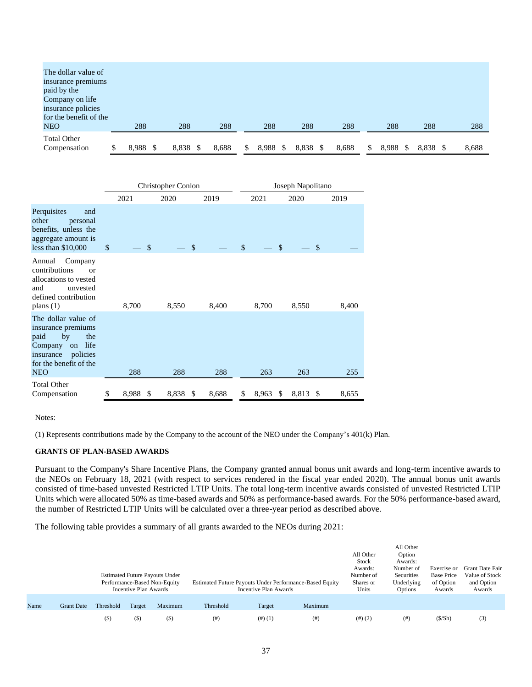| The dollar value of                |   |       |       |       |             |       |       |       |       |       |
|------------------------------------|---|-------|-------|-------|-------------|-------|-------|-------|-------|-------|
| insurance premiums                 |   |       |       |       |             |       |       |       |       |       |
| paid by the                        |   |       |       |       |             |       |       |       |       |       |
| Company on life                    |   |       |       |       |             |       |       |       |       |       |
| insurance policies                 |   |       |       |       |             |       |       |       |       |       |
| for the benefit of the             |   |       |       |       |             |       |       |       |       |       |
| <b>NEO</b>                         |   | 288   | 288   | 288   | 288         | 288   | 288   | 288   | 288   | 288   |
| <b>Total Other</b><br>Compensation | S | 8.988 | 8,838 | 8,688 | \$<br>8.988 | 8,838 | 8,688 | 8.988 | 8.838 | 8,688 |

|                                                                                                                                                          |              |       |               | Christopher Conlon |       | Joseph Napolitano |       |      |          |    |       |
|----------------------------------------------------------------------------------------------------------------------------------------------------------|--------------|-------|---------------|--------------------|-------|-------------------|-------|------|----------|----|-------|
|                                                                                                                                                          |              | 2021  |               | 2020               | 2019  |                   | 2021  |      | 2020     |    | 2019  |
| Perquisites<br>and<br>other<br>personal<br>benefits, unless the<br>aggregate amount is<br>less than $$10,000$                                            | $\mathbb{S}$ |       | \$            |                    | \$    | $\mathbb{S}$      |       | \$   |          | \$ |       |
| Annual<br>Company<br>contributions<br>$\alpha$<br>allocations to vested<br>and<br>unvested<br>defined contribution<br>plans $(1)$                        |              | 8,700 |               | 8,550              | 8,400 |                   | 8,700 |      | 8,550    |    | 8,400 |
| The dollar value of<br>insurance premiums<br>paid<br>by<br>the<br>life<br>Company<br>on<br>policies<br>insurance<br>for the benefit of the<br><b>NEO</b> |              | 288   |               | 288                | 288   |                   | 263   |      | 263      |    | 255   |
| <b>Total Other</b><br>Compensation                                                                                                                       | \$           | 8,988 | <sup>\$</sup> | 8,838 \$           | 8,688 | \$                | 8,963 | - \$ | 8,813 \$ |    | 8,655 |

(1) Represents contributions made by the Company to the account of the NEO under the Company's 401(k) Plan.

#### **GRANTS OF PLAN-BASED AWARDS**

Pursuant to the Company's Share Incentive Plans, the Company granted annual bonus unit awards and long-term incentive awards to the NEOs on February 18, 2021 (with respect to services rendered in the fiscal year ended 2020). The annual bonus unit awards consisted of time-based unvested Restricted LTIP Units. The total long-term incentive awards consisted of unvested Restricted LTIP Units which were allocated 50% as time-based awards and 50% as performance-based awards. For the 50% performance-based award, the number of Restricted LTIP Units will be calculated over a three-year period as described above.

The following table provides a summary of all grants awarded to the NEOs during 2021:

|      |                   |           | Incentive Plan Awards | <b>Estimated Future Payouts Under</b><br>Performance-Based Non-Equity<br>Estimated Future Payouts Under Performance-Based Equity<br>Maximum<br>Threshold | Incentive Plan Awards |        | All Other<br>Stock<br>Awards:<br>Number of<br>Shares or<br>Units | All Other<br>Option<br>Awards:<br>Number of<br>Securities<br>Underlying<br>Options | Exercise or<br><b>Base Price</b><br>of Option<br>Awards | <b>Grant Date Fair</b><br>Value of Stock<br>and Option<br>Awards |     |
|------|-------------------|-----------|-----------------------|----------------------------------------------------------------------------------------------------------------------------------------------------------|-----------------------|--------|------------------------------------------------------------------|------------------------------------------------------------------------------------|---------------------------------------------------------|------------------------------------------------------------------|-----|
| Name | <b>Grant Date</b> | Threshold | Target                |                                                                                                                                                          |                       | Target | Maximum                                                          |                                                                                    |                                                         |                                                                  |     |
|      |                   | $(\$)$    | $($ \$)               | $($ \$                                                                                                                                                   | (# )                  | (4)(1) | (# )                                                             | (4)(2)                                                                             | $($ # $)$                                               | (S/Sh)                                                           | (3) |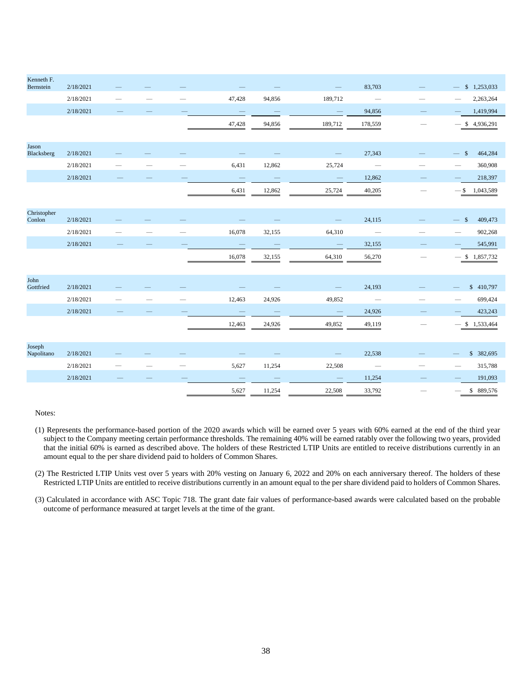| Kenneth F.<br>Bernstein | 2/18/2021 |                          |  |        |        |                          | 83,703                   | $-$ \$ 1,253,033                                     |
|-------------------------|-----------|--------------------------|--|--------|--------|--------------------------|--------------------------|------------------------------------------------------|
|                         | 2/18/2021 |                          |  | 47,428 | 94,856 | 189,712                  | $\frac{1}{2}$            | 2,263,264                                            |
|                         | 2/18/2021 |                          |  |        |        |                          | 94,856                   | 1,419,994                                            |
|                         |           |                          |  | 47,428 | 94,856 | 189,712                  | 178,559                  | \$4,936,291                                          |
| Jason<br>Blacksberg     | 2/18/2021 |                          |  |        |        |                          | 27,343                   | $\mathcal{S}$<br>464,284<br>$\overline{\phantom{0}}$ |
|                         | 2/18/2021 |                          |  | 6,431  | 12,862 | 25,724                   | $\overline{\phantom{m}}$ | 360,908                                              |
|                         | 2/18/2021 |                          |  |        |        | $\overline{\phantom{0}}$ | 12,862                   | 218,397                                              |
|                         |           |                          |  | 6,431  | 12,862 | 25,724                   | 40,205                   | $-$ \$ 1,043,589                                     |
| Christopher<br>Conlon   | 2/18/2021 |                          |  |        |        |                          | 24,115                   | 409,473<br>$\mathcal{S}$                             |
|                         | 2/18/2021 |                          |  | 16,078 | 32,155 | 64,310                   | $\overline{\phantom{a}}$ | 902,268                                              |
|                         | 2/18/2021 |                          |  |        |        | $\overline{\phantom{a}}$ | 32,155                   | 545,991                                              |
|                         |           |                          |  | 16,078 | 32,155 | 64,310                   | 56,270                   | $-$ \$ 1,857,732                                     |
| John<br>Gottfried       | 2/18/2021 |                          |  |        |        |                          | 24,193                   | \$410,797                                            |
|                         | 2/18/2021 | $\overline{\phantom{0}}$ |  | 12,463 | 24,926 | 49,852                   | $\overline{\phantom{0}}$ | 699,424                                              |
|                         | 2/18/2021 |                          |  |        |        | $\overline{\phantom{a}}$ | 24,926                   | 423,243                                              |
|                         |           |                          |  | 12,463 | 24,926 | 49,852                   | 49,119                   | \$1,533,464                                          |
| Joseph<br>Napolitano    | 2/18/2021 |                          |  |        |        |                          | 22,538                   | \$ 382,695                                           |
|                         | 2/18/2021 |                          |  | 5,627  | 11,254 | 22,508                   | $\overline{\phantom{m}}$ | 315,788                                              |
|                         | 2/18/2021 |                          |  |        |        |                          | 11,254                   | 191,093                                              |
|                         |           |                          |  | 5,627  | 11,254 | 22,508                   | 33,792                   | \$889,576                                            |

(1) Represents the performance-based portion of the 2020 awards which will be earned over 5 years with 60% earned at the end of the third year subject to the Company meeting certain performance thresholds. The remaining 40% will be earned ratably over the following two years, provided that the initial 60% is earned as described above. The holders of these Restricted LTIP Units are entitled to receive distributions currently in an amount equal to the per share dividend paid to holders of Common Shares.

(2) The Restricted LTIP Units vest over 5 years with 20% vesting on January 6, 2022 and 20% on each anniversary thereof. The holders of these Restricted LTIP Units are entitled to receive distributions currently in an amount equal to the per share dividend paid to holders of Common Shares.

(3) Calculated in accordance with ASC Topic 718. The grant date fair values of performance-based awards were calculated based on the probable outcome of performance measured at target levels at the time of the grant.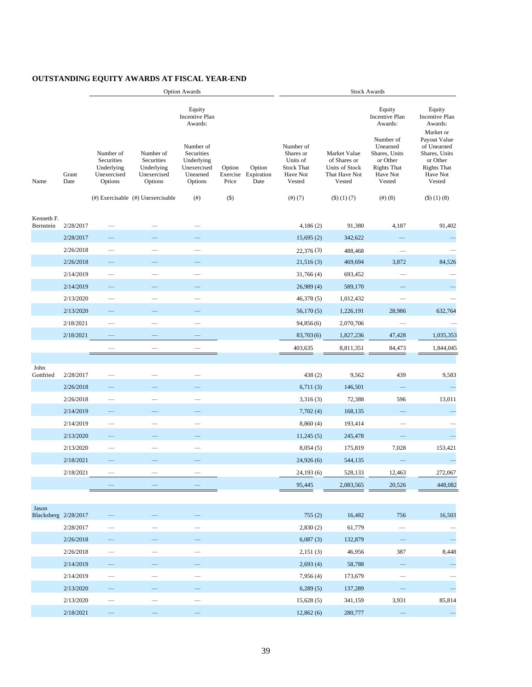# **OUTSTANDING EQUITY AWARDS AT FISCAL YEAR-END**

|                               |               |                                                                 |                                                                 | <b>Option Awards</b>                                                                                               |                             |                              | <b>Stock Awards</b>                                                           |                                                                           |                                                                                                                                       |                                                                                                                                                          |
|-------------------------------|---------------|-----------------------------------------------------------------|-----------------------------------------------------------------|--------------------------------------------------------------------------------------------------------------------|-----------------------------|------------------------------|-------------------------------------------------------------------------------|---------------------------------------------------------------------------|---------------------------------------------------------------------------------------------------------------------------------------|----------------------------------------------------------------------------------------------------------------------------------------------------------|
| Name                          | Grant<br>Date | Number of<br>Securities<br>Underlying<br>Unexercised<br>Options | Number of<br>Securities<br>Underlying<br>Unexercised<br>Options | Equity<br>Incentive Plan<br>Awards:<br>Number of<br>Securities<br>Underlying<br>Unexercised<br>Unearned<br>Options | Option<br>Exercise<br>Price | Option<br>Expiration<br>Date | Number of<br>Shares or<br>Units of<br><b>Stock That</b><br>Have Not<br>Vested | Market Value<br>of Shares or<br>Units of Stock<br>That Have Not<br>Vested | Equity<br>Incentive Plan<br>Awards:<br>Number of<br>Unearned<br>Shares, Units<br>or Other<br><b>Rights That</b><br>Have Not<br>Vested | Equity<br>Incentive Plan<br>Awards:<br>Market or<br>Payout Value<br>of Unearned<br>Shares, Units<br>or Other<br><b>Rights That</b><br>Have Not<br>Vested |
|                               |               |                                                                 | $(\#)$ Exercisable $(\#)$ Unexercisable                         | (# )                                                                                                               | $($ \$ $)$                  |                              | (#) (7)                                                                       | $($ \$) $(1)$ $(7)$                                                       | (#)(8)                                                                                                                                | $($ \$) $(1)$ $(8)$                                                                                                                                      |
| Kenneth F.<br>Bernstein       | 2/28/2017     |                                                                 |                                                                 |                                                                                                                    |                             |                              | 4,186(2)                                                                      | 91,380                                                                    | 4,187                                                                                                                                 | 91,402                                                                                                                                                   |
|                               | 2/28/2017     |                                                                 |                                                                 |                                                                                                                    |                             |                              | 15,695(2)                                                                     | 342,622                                                                   |                                                                                                                                       |                                                                                                                                                          |
|                               | 2/26/2018     |                                                                 |                                                                 |                                                                                                                    |                             |                              | 22,376(3)                                                                     | 488,468                                                                   |                                                                                                                                       |                                                                                                                                                          |
|                               | 2/26/2018     |                                                                 |                                                                 |                                                                                                                    |                             |                              | 21,516(3)                                                                     | 469,694                                                                   | 3,872                                                                                                                                 | 84,526                                                                                                                                                   |
|                               | 2/14/2019     |                                                                 |                                                                 |                                                                                                                    |                             |                              | 31,766(4)                                                                     | 693,452                                                                   |                                                                                                                                       |                                                                                                                                                          |
|                               | 2/14/2019     |                                                                 |                                                                 |                                                                                                                    |                             |                              | 26,989(4)                                                                     | 589,170                                                                   |                                                                                                                                       |                                                                                                                                                          |
|                               | 2/13/2020     |                                                                 |                                                                 |                                                                                                                    |                             |                              | 46,378(5)                                                                     | 1,012,432                                                                 | $\overline{\phantom{0}}$                                                                                                              |                                                                                                                                                          |
|                               | 2/13/2020     |                                                                 |                                                                 |                                                                                                                    |                             |                              | 56,170(5)                                                                     | 1,226,191                                                                 | 28,986                                                                                                                                | 632,764                                                                                                                                                  |
|                               | 2/18/2021     |                                                                 |                                                                 |                                                                                                                    |                             |                              | 94,856(6)                                                                     | 2,070,706                                                                 |                                                                                                                                       |                                                                                                                                                          |
|                               | 2/18/2021     |                                                                 |                                                                 |                                                                                                                    |                             |                              | 83,703(6)                                                                     | 1,827,236                                                                 | 47,428                                                                                                                                | 1,035,353                                                                                                                                                |
|                               |               |                                                                 |                                                                 |                                                                                                                    |                             |                              | 403,635                                                                       | 8,811,351                                                                 | 84,473                                                                                                                                | 1,844,045                                                                                                                                                |
|                               |               |                                                                 |                                                                 |                                                                                                                    |                             |                              |                                                                               |                                                                           |                                                                                                                                       |                                                                                                                                                          |
| John<br>Gottfried             | 2/28/2017     |                                                                 |                                                                 |                                                                                                                    |                             |                              | 438 (2)                                                                       | 9,562                                                                     | 439                                                                                                                                   | 9,583                                                                                                                                                    |
|                               | 2/26/2018     |                                                                 |                                                                 |                                                                                                                    |                             |                              | 6,711(3)                                                                      | 146,501                                                                   |                                                                                                                                       |                                                                                                                                                          |
|                               | 2/26/2018     |                                                                 |                                                                 |                                                                                                                    |                             |                              | 3,316(3)                                                                      | 72,388                                                                    | 596                                                                                                                                   | 13,011                                                                                                                                                   |
|                               | 2/14/2019     |                                                                 |                                                                 |                                                                                                                    |                             |                              | 7,702(4)                                                                      | 168,135                                                                   |                                                                                                                                       |                                                                                                                                                          |
|                               | 2/14/2019     |                                                                 |                                                                 | $\sim$                                                                                                             |                             |                              | 8,860(4)                                                                      | 193,414                                                                   | $\overline{\phantom{0}}$                                                                                                              |                                                                                                                                                          |
|                               | 2/13/2020     |                                                                 |                                                                 |                                                                                                                    |                             |                              | 11,245(5)                                                                     | 245,478                                                                   |                                                                                                                                       |                                                                                                                                                          |
|                               | 2/13/2020     |                                                                 |                                                                 |                                                                                                                    |                             |                              | 8,054(5)                                                                      | 175,819                                                                   | 7,028                                                                                                                                 | 153,421                                                                                                                                                  |
|                               | 2/18/2021     |                                                                 |                                                                 |                                                                                                                    |                             |                              | 24,926(6)                                                                     | 544,135                                                                   |                                                                                                                                       |                                                                                                                                                          |
|                               | 2/18/2021     |                                                                 |                                                                 |                                                                                                                    |                             |                              | 24,193(6)                                                                     | 528,133                                                                   | 12,463                                                                                                                                | 272,067                                                                                                                                                  |
|                               |               |                                                                 |                                                                 |                                                                                                                    |                             |                              | 95,445                                                                        | 2,083,565                                                                 | 20,526                                                                                                                                | 448,082                                                                                                                                                  |
|                               |               |                                                                 |                                                                 |                                                                                                                    |                             |                              |                                                                               |                                                                           |                                                                                                                                       |                                                                                                                                                          |
| Jason<br>Blacksberg 2/28/2017 |               |                                                                 |                                                                 |                                                                                                                    |                             |                              | 755(2)                                                                        | 16,482                                                                    | 756                                                                                                                                   | 16,503                                                                                                                                                   |
|                               | 2/28/2017     |                                                                 |                                                                 |                                                                                                                    |                             |                              | 2,830(2)                                                                      | 61,779                                                                    |                                                                                                                                       |                                                                                                                                                          |
|                               | 2/26/2018     |                                                                 |                                                                 |                                                                                                                    |                             |                              | 6,087(3)                                                                      | 132,879                                                                   |                                                                                                                                       |                                                                                                                                                          |
|                               | 2/26/2018     |                                                                 |                                                                 | $\overline{\phantom{0}}$                                                                                           |                             |                              | 2,151(3)                                                                      | 46,956                                                                    | 387                                                                                                                                   | 8,448                                                                                                                                                    |
|                               | 2/14/2019     |                                                                 |                                                                 |                                                                                                                    |                             |                              | 2,693(4)                                                                      | 58,788                                                                    |                                                                                                                                       |                                                                                                                                                          |
|                               | 2/14/2019     |                                                                 |                                                                 |                                                                                                                    |                             |                              | 7,956(4)                                                                      | 173,679                                                                   |                                                                                                                                       |                                                                                                                                                          |
|                               | 2/13/2020     |                                                                 |                                                                 |                                                                                                                    |                             |                              | 6,289(5)                                                                      | 137,289                                                                   |                                                                                                                                       |                                                                                                                                                          |
|                               | 2/13/2020     |                                                                 |                                                                 |                                                                                                                    |                             |                              | 15,628(5)                                                                     | 341,159                                                                   | 3,931                                                                                                                                 | 85,814                                                                                                                                                   |
|                               | 2/18/2021     |                                                                 |                                                                 |                                                                                                                    |                             |                              | 12,862(6)                                                                     | 280,777                                                                   |                                                                                                                                       |                                                                                                                                                          |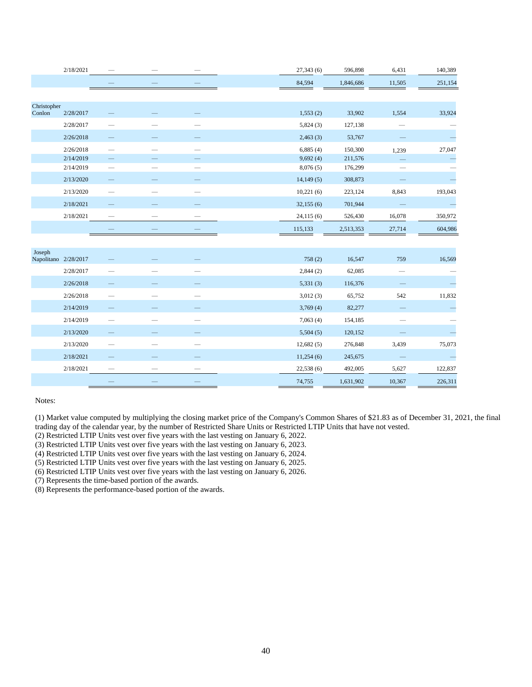|                       | 2/18/2021            |                          |  | 27,343 (6) | 596,898   | 6,431                    | 140,389                  |
|-----------------------|----------------------|--------------------------|--|------------|-----------|--------------------------|--------------------------|
|                       |                      |                          |  | 84,594     | 1,846,686 | 11,505                   | 251,154                  |
|                       |                      |                          |  |            |           |                          |                          |
| Christopher<br>Conlon | 2/28/2017            |                          |  | 1,553(2)   | 33,902    | 1,554                    | 33,924                   |
|                       | 2/28/2017            |                          |  | 5,824(3)   | 127,138   |                          |                          |
|                       | 2/26/2018            |                          |  | 2,463(3)   | 53,767    |                          | $\overline{\phantom{a}}$ |
|                       | 2/26/2018            |                          |  | 6,885(4)   | 150,300   | 1,239                    | 27,047                   |
|                       | 2/14/2019            |                          |  | 9,692(4)   | 211,576   |                          | $\overline{\phantom{0}}$ |
|                       | 2/14/2019            |                          |  | 8,076(5)   | 176,299   |                          |                          |
|                       | 2/13/2020            |                          |  | 14,149(5)  | 308,873   |                          |                          |
|                       | 2/13/2020            |                          |  | 10,221(6)  | 223,124   | 8,843                    | 193,043                  |
|                       | 2/18/2021            |                          |  | 32,155(6)  | 701,944   |                          | $\overline{\phantom{0}}$ |
|                       | 2/18/2021            |                          |  | 24,115(6)  | 526,430   | 16,078                   | 350,972                  |
|                       |                      |                          |  | 115,133    | 2,513,353 | 27,714                   | 604,986                  |
|                       |                      |                          |  |            |           |                          |                          |
| Joseph                | Napolitano 2/28/2017 |                          |  | 758(2)     | 16,547    | 759                      | 16,569                   |
|                       | 2/28/2017            |                          |  | 2,844(2)   | 62,085    | $\overline{\phantom{0}}$ |                          |
|                       | 2/26/2018            |                          |  | 5,331(3)   | 116,376   |                          | $\overline{\phantom{0}}$ |
|                       | 2/26/2018            |                          |  | 3,012(3)   | 65,752    | 542                      | 11,832                   |
|                       | 2/14/2019            |                          |  | 3,769(4)   | 82,277    |                          | ۰                        |
|                       | 2/14/2019            |                          |  | 7,063(4)   | 154,185   |                          |                          |
|                       | 2/13/2020            |                          |  | 5,504(5)   | 120,152   |                          |                          |
|                       | 2/13/2020            |                          |  | 12,682(5)  | 276,848   | 3,439                    | 75,073                   |
|                       | 2/18/2021            |                          |  | 11,254(6)  | 245,675   |                          |                          |
|                       | 2/18/2021            | $\overline{\phantom{0}}$ |  | 22,538(6)  | 492,005   | 5,627                    | 122,837                  |
|                       |                      |                          |  | 74,755     | 1,631,902 | 10,367                   | 226,311                  |

(1) Market value computed by multiplying the closing market price of the Company's Common Shares of \$21.83 as of December 31, 2021, the final trading day of the calendar year, by the number of Restricted Share Units or Restricted LTIP Units that have not vested.

(2) Restricted LTIP Units vest over five years with the last vesting on January 6, 2022.

(3) Restricted LTIP Units vest over five years with the last vesting on January 6, 2023.

(4) Restricted LTIP Units vest over five years with the last vesting on January 6, 2024.

(5) Restricted LTIP Units vest over five years with the last vesting on January 6, 2025.

(6) Restricted LTIP Units vest over five years with the last vesting on January 6, 2026.

(7) Represents the time-based portion of the awards.

(8) Represents the performance-based portion of the awards.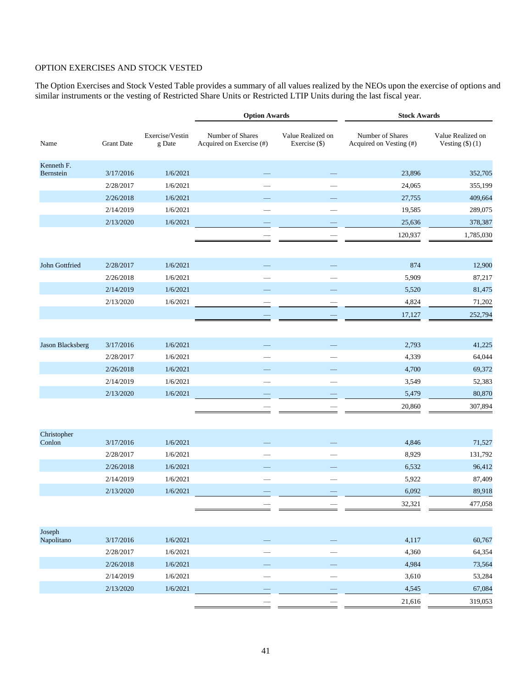# OPTION EXERCISES AND STOCK VESTED

The Option Exercises and Stock Vested Table provides a summary of all values realized by the NEOs upon the exercise of options and similar instruments or the vesting of Restricted Share Units or Restricted LTIP Units during the last fiscal year.

|                         |                   |                           | <b>Option Awards</b>                         |                                    | <b>Stock Awards</b>                         |                                     |
|-------------------------|-------------------|---------------------------|----------------------------------------------|------------------------------------|---------------------------------------------|-------------------------------------|
| Name                    | <b>Grant Date</b> | Exercise/Vestin<br>g Date | Number of Shares<br>Acquired on Exercise (#) | Value Realized on<br>Exercise (\$) | Number of Shares<br>Acquired on Vesting (#) | Value Realized on<br>Vesting $($ 1) |
| Kenneth F.<br>Bernstein | 3/17/2016         | 1/6/2021                  |                                              |                                    | 23,896                                      | 352,705                             |
|                         | 2/28/2017         | 1/6/2021                  |                                              |                                    | 24,065                                      | 355,199                             |
|                         | 2/26/2018         | 1/6/2021                  |                                              |                                    | 27,755                                      | 409,664                             |
|                         | 2/14/2019         | 1/6/2021                  |                                              |                                    | 19,585                                      | 289,075                             |
|                         | 2/13/2020         | 1/6/2021                  |                                              |                                    | 25,636                                      | 378,387                             |
|                         |                   |                           |                                              |                                    | 120,937                                     | 1,785,030                           |
| John Gottfried          | 2/28/2017         | 1/6/2021                  |                                              |                                    | 874                                         | 12,900                              |
|                         | 2/26/2018         | 1/6/2021                  |                                              |                                    | 5,909                                       | 87,217                              |
|                         | 2/14/2019         | 1/6/2021                  |                                              |                                    | 5,520                                       | 81,475                              |
|                         | 2/13/2020         | 1/6/2021                  |                                              |                                    | 4,824                                       | 71,202                              |
|                         |                   |                           |                                              |                                    | 17,127                                      | 252,794                             |
| Jason Blacksberg        | 3/17/2016         | 1/6/2021                  |                                              |                                    | 2,793                                       | 41,225                              |
|                         | 2/28/2017         | 1/6/2021                  |                                              |                                    | 4,339                                       | 64,044                              |
|                         | 2/26/2018         | 1/6/2021                  |                                              |                                    | 4,700                                       | 69,372                              |
|                         | 2/14/2019         | 1/6/2021                  |                                              |                                    | 3,549                                       | 52,383                              |
|                         | 2/13/2020         | 1/6/2021                  |                                              |                                    | 5,479                                       | 80,870                              |
|                         |                   |                           |                                              |                                    | 20,860                                      | 307,894                             |
| Christopher             |                   |                           |                                              |                                    |                                             |                                     |
| Conlon                  | 3/17/2016         | 1/6/2021                  |                                              |                                    | 4,846                                       | 71,527                              |
|                         | 2/28/2017         | 1/6/2021                  |                                              |                                    | 8,929                                       | 131,792                             |
|                         | 2/26/2018         | 1/6/2021                  |                                              |                                    | 6,532                                       | 96,412                              |
|                         | 2/14/2019         | 1/6/2021                  |                                              |                                    | 5,922                                       | 87,409                              |
|                         | 2/13/2020         | 1/6/2021                  |                                              |                                    | 6,092                                       | 89,918                              |
|                         |                   |                           |                                              |                                    | 32,321                                      | 477,058                             |
| Joseph                  |                   |                           |                                              |                                    |                                             |                                     |
| Napolitano              | 3/17/2016         | 1/6/2021                  |                                              |                                    | 4,117                                       | 60,767                              |
|                         | 2/28/2017         | 1/6/2021                  |                                              |                                    | 4,360                                       | 64,354                              |
|                         | 2/26/2018         | 1/6/2021                  |                                              |                                    | 4,984                                       | 73,564                              |
|                         | 2/14/2019         | 1/6/2021                  |                                              |                                    | 3,610                                       | 53,284                              |
|                         | 2/13/2020         | 1/6/2021                  |                                              |                                    | 4,545                                       | 67,084                              |
|                         |                   |                           |                                              |                                    | 21,616                                      | 319,053                             |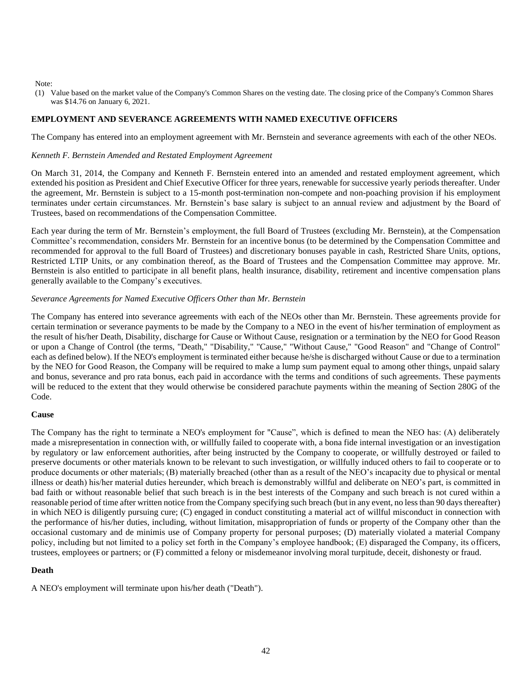(1) Value based on the market value of the Company's Common Shares on the vesting date. The closing price of the Company's Common Shares was \$14.76 on January 6, 2021.

## **EMPLOYMENT AND SEVERANCE AGREEMENTS WITH NAMED EXECUTIVE OFFICERS**

The Company has entered into an employment agreement with Mr. Bernstein and severance agreements with each of the other NEOs.

#### *Kenneth F. Bernstein Amended and Restated Employment Agreement*

On March 31, 2014, the Company and Kenneth F. Bernstein entered into an amended and restated employment agreement, which extended his position as President and Chief Executive Officer for three years, renewable for successive yearly periods thereafter. Under the agreement, Mr. Bernstein is subject to a 15-month post-termination non-compete and non-poaching provision if his employment terminates under certain circumstances. Mr. Bernstein's base salary is subject to an annual review and adjustment by the Board of Trustees, based on recommendations of the Compensation Committee.

Each year during the term of Mr. Bernstein's employment, the full Board of Trustees (excluding Mr. Bernstein), at the Compensation Committee's recommendation, considers Mr. Bernstein for an incentive bonus (to be determined by the Compensation Committee and recommended for approval to the full Board of Trustees) and discretionary bonuses payable in cash, Restricted Share Units, options, Restricted LTIP Units, or any combination thereof, as the Board of Trustees and the Compensation Committee may approve. Mr. Bernstein is also entitled to participate in all benefit plans, health insurance, disability, retirement and incentive compensation plans generally available to the Company's executives.

#### *Severance Agreements for Named Executive Officers Other than Mr. Bernstein*

The Company has entered into severance agreements with each of the NEOs other than Mr. Bernstein. These agreements provide for certain termination or severance payments to be made by the Company to a NEO in the event of his/her termination of employment as the result of his/her Death, Disability, discharge for Cause or Without Cause, resignation or a termination by the NEO for Good Reason or upon a Change of Control (the terms, "Death," "Disability," "Cause," "Without Cause," "Good Reason" and "Change of Control" each as defined below). If the NEO's employment is terminated either because he/she is discharged without Cause or due to a termination by the NEO for Good Reason, the Company will be required to make a lump sum payment equal to among other things, unpaid salary and bonus, severance and pro rata bonus, each paid in accordance with the terms and conditions of such agreements. These payments will be reduced to the extent that they would otherwise be considered parachute payments within the meaning of Section 280G of the Code.

#### **Cause**

The Company has the right to terminate a NEO's employment for "Cause", which is defined to mean the NEO has: (A) deliberately made a misrepresentation in connection with, or willfully failed to cooperate with, a bona fide internal investigation or an investigation by regulatory or law enforcement authorities, after being instructed by the Company to cooperate, or willfully destroyed or failed to preserve documents or other materials known to be relevant to such investigation, or willfully induced others to fail to cooperate or to produce documents or other materials; (B) materially breached (other than as a result of the NEO's incapacity due to physical or mental illness or death) his/her material duties hereunder, which breach is demonstrably willful and deliberate on NEO's part, is committed in bad faith or without reasonable belief that such breach is in the best interests of the Company and such breach is not cured within a reasonable period of time after written notice from the Company specifying such breach (but in any event, no less than 90 days thereafter) in which NEO is diligently pursuing cure; (C) engaged in conduct constituting a material act of willful misconduct in connection with the performance of his/her duties, including, without limitation, misappropriation of funds or property of the Company other than the occasional customary and de minimis use of Company property for personal purposes; (D) materially violated a material Company policy, including but not limited to a policy set forth in the Company's employee handbook; (E) disparaged the Company, its officers, trustees, employees or partners; or (F) committed a felony or misdemeanor involving moral turpitude, deceit, dishonesty or fraud.

#### **Death**

A NEO's employment will terminate upon his/her death ("Death").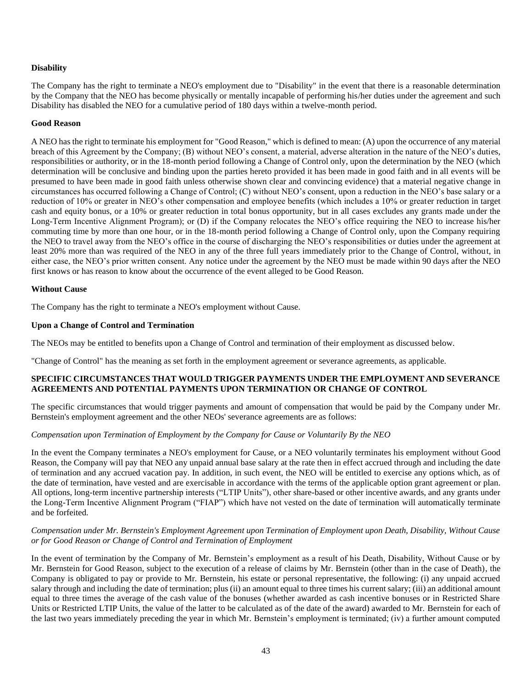# **Disability**

The Company has the right to terminate a NEO's employment due to "Disability" in the event that there is a reasonable determination by the Company that the NEO has become physically or mentally incapable of performing his/her duties under the agreement and such Disability has disabled the NEO for a cumulative period of 180 days within a twelve-month period.

#### **Good Reason**

A NEO has the right to terminate his employment for "Good Reason," which is defined to mean: (A) upon the occurrence of any material breach of this Agreement by the Company; (B) without NEO's consent, a material, adverse alteration in the nature of the NEO's duties, responsibilities or authority, or in the 18-month period following a Change of Control only, upon the determination by the NEO (which determination will be conclusive and binding upon the parties hereto provided it has been made in good faith and in all events will be presumed to have been made in good faith unless otherwise shown clear and convincing evidence) that a material negative change in circumstances has occurred following a Change of Control; (C) without NEO's consent, upon a reduction in the NEO's base salary or a reduction of 10% or greater in NEO's other compensation and employee benefits (which includes a 10% or greater reduction in target cash and equity bonus, or a 10% or greater reduction in total bonus opportunity, but in all cases excludes any grants made under the Long-Term Incentive Alignment Program); or (D) if the Company relocates the NEO's office requiring the NEO to increase his/her commuting time by more than one hour, or in the 18-month period following a Change of Control only, upon the Company requiring the NEO to travel away from the NEO's office in the course of discharging the NEO's responsibilities or duties under the agreement at least 20% more than was required of the NEO in any of the three full years immediately prior to the Change of Control, without, in either case, the NEO's prior written consent. Any notice under the agreement by the NEO must be made within 90 days after the NEO first knows or has reason to know about the occurrence of the event alleged to be Good Reason.

### **Without Cause**

The Company has the right to terminate a NEO's employment without Cause.

### **Upon a Change of Control and Termination**

The NEOs may be entitled to benefits upon a Change of Control and termination of their employment as discussed below.

"Change of Control" has the meaning as set forth in the employment agreement or severance agreements, as applicable.

### **SPECIFIC CIRCUMSTANCES THAT WOULD TRIGGER PAYMENTS UNDER THE EMPLOYMENT AND SEVERANCE AGREEMENTS AND POTENTIAL PAYMENTS UPON TERMINATION OR CHANGE OF CONTROL**

The specific circumstances that would trigger payments and amount of compensation that would be paid by the Company under Mr. Bernstein's employment agreement and the other NEOs' severance agreements are as follows:

# *Compensation upon Termination of Employment by the Company for Cause or Voluntarily By the NEO*

In the event the Company terminates a NEO's employment for Cause, or a NEO voluntarily terminates his employment without Good Reason, the Company will pay that NEO any unpaid annual base salary at the rate then in effect accrued through and including the date of termination and any accrued vacation pay. In addition, in such event, the NEO will be entitled to exercise any options which, as of the date of termination, have vested and are exercisable in accordance with the terms of the applicable option grant agreement or plan. All options, long-term incentive partnership interests ("LTIP Units"), other share-based or other incentive awards, and any grants under the Long-Term Incentive Alignment Program ("FIAP") which have not vested on the date of termination will automatically terminate and be forfeited.

### *Compensation under Mr. Bernstein's Employment Agreement upon Termination of Employment upon Death, Disability, Without Cause or for Good Reason or Change of Control and Termination of Employment*

In the event of termination by the Company of Mr. Bernstein's employment as a result of his Death, Disability, Without Cause or by Mr. Bernstein for Good Reason, subject to the execution of a release of claims by Mr. Bernstein (other than in the case of Death), the Company is obligated to pay or provide to Mr. Bernstein, his estate or personal representative, the following: (i) any unpaid accrued salary through and including the date of termination; plus (ii) an amount equal to three times his current salary; (iii) an additional amount equal to three times the average of the cash value of the bonuses (whether awarded as cash incentive bonuses or in Restricted Share Units or Restricted LTIP Units, the value of the latter to be calculated as of the date of the award) awarded to Mr. Bernstein for each of the last two years immediately preceding the year in which Mr. Bernstein's employment is terminated; (iv) a further amount computed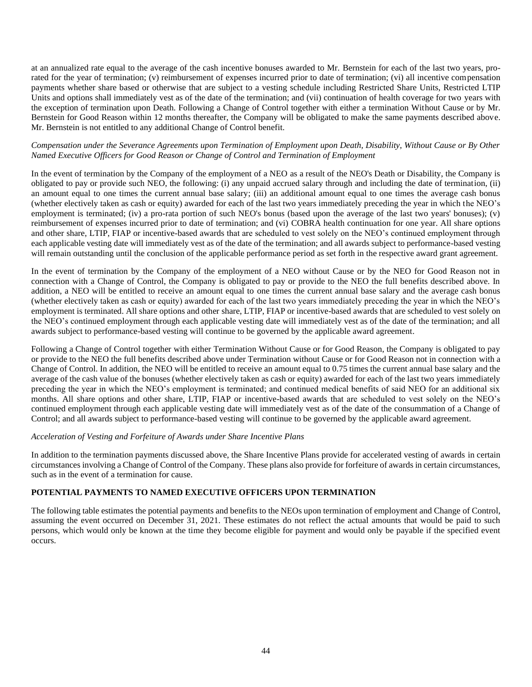at an annualized rate equal to the average of the cash incentive bonuses awarded to Mr. Bernstein for each of the last two years, prorated for the year of termination; (v) reimbursement of expenses incurred prior to date of termination; (vi) all incentive compensation payments whether share based or otherwise that are subject to a vesting schedule including Restricted Share Units, Restricted LTIP Units and options shall immediately vest as of the date of the termination; and (vii) continuation of health coverage for two years with the exception of termination upon Death. Following a Change of Control together with either a termination Without Cause or by Mr. Bernstein for Good Reason within 12 months thereafter, the Company will be obligated to make the same payments described above. Mr. Bernstein is not entitled to any additional Change of Control benefit.

## *Compensation under the Severance Agreements upon Termination of Employment upon Death, Disability, Without Cause or By Other Named Executive Officers for Good Reason or Change of Control and Termination of Employment*

In the event of termination by the Company of the employment of a NEO as a result of the NEO's Death or Disability, the Company is obligated to pay or provide such NEO, the following: (i) any unpaid accrued salary through and including the date of termination, (ii) an amount equal to one times the current annual base salary; (iii) an additional amount equal to one times the average cash bonus (whether electively taken as cash or equity) awarded for each of the last two years immediately preceding the year in which the NEO's employment is terminated; (iv) a pro-rata portion of such NEO's bonus (based upon the average of the last two years' bonuses); (v) reimbursement of expenses incurred prior to date of termination; and (vi) COBRA health continuation for one year. All share options and other share, LTIP, FIAP or incentive-based awards that are scheduled to vest solely on the NEO's continued employment through each applicable vesting date will immediately vest as of the date of the termination; and all awards subject to performance-based vesting will remain outstanding until the conclusion of the applicable performance period as set forth in the respective award grant agreement.

In the event of termination by the Company of the employment of a NEO without Cause or by the NEO for Good Reason not in connection with a Change of Control, the Company is obligated to pay or provide to the NEO the full benefits described above. In addition, a NEO will be entitled to receive an amount equal to one times the current annual base salary and the average cash bonus (whether electively taken as cash or equity) awarded for each of the last two years immediately preceding the year in which the NEO's employment is terminated. All share options and other share, LTIP, FIAP or incentive-based awards that are scheduled to vest solely on the NEO's continued employment through each applicable vesting date will immediately vest as of the date of the termination; and all awards subject to performance-based vesting will continue to be governed by the applicable award agreement.

Following a Change of Control together with either Termination Without Cause or for Good Reason, the Company is obligated to pay or provide to the NEO the full benefits described above under Termination without Cause or for Good Reason not in connection with a Change of Control. In addition, the NEO will be entitled to receive an amount equal to 0.75 times the current annual base salary and the average of the cash value of the bonuses (whether electively taken as cash or equity) awarded for each of the last two years immediately preceding the year in which the NEO's employment is terminated; and continued medical benefits of said NEO for an additional six months. All share options and other share, LTIP, FIAP or incentive-based awards that are scheduled to vest solely on the NEO's continued employment through each applicable vesting date will immediately vest as of the date of the consummation of a Change of Control; and all awards subject to performance-based vesting will continue to be governed by the applicable award agreement.

#### *Acceleration of Vesting and Forfeiture of Awards under Share Incentive Plans*

In addition to the termination payments discussed above, the Share Incentive Plans provide for accelerated vesting of awards in certain circumstances involving a Change of Control of the Company. These plans also provide for forfeiture of awards in certain circumstances, such as in the event of a termination for cause.

# **POTENTIAL PAYMENTS TO NAMED EXECUTIVE OFFICERS UPON TERMINATION**

The following table estimates the potential payments and benefits to the NEOs upon termination of employment and Change of Control, assuming the event occurred on December 31, 2021. These estimates do not reflect the actual amounts that would be paid to such persons, which would only be known at the time they become eligible for payment and would only be payable if the specified event occurs.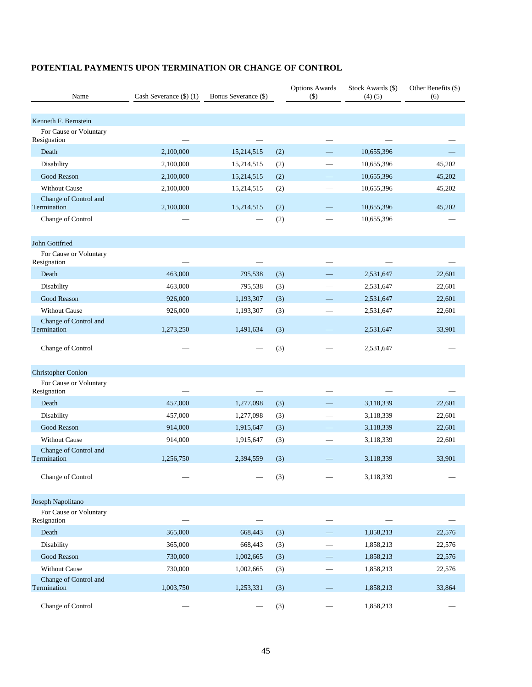| Name                                  | Cash Severance $(\$)$ (1) | Bonus Severance (\$) |     | <b>Options Awards</b><br>$($ \$) | Stock Awards (\$)<br>(4)(5) | Other Benefits (\$)<br>(6) |
|---------------------------------------|---------------------------|----------------------|-----|----------------------------------|-----------------------------|----------------------------|
|                                       |                           |                      |     |                                  |                             |                            |
| Kenneth F. Bernstein                  |                           |                      |     |                                  |                             |                            |
| For Cause or Voluntary<br>Resignation |                           |                      |     |                                  |                             |                            |
| Death                                 | 2,100,000                 | 15,214,515           | (2) |                                  | 10,655,396                  |                            |
| Disability                            | 2,100,000                 | 15,214,515           | (2) |                                  | 10,655,396                  | 45,202                     |
| Good Reason                           | 2,100,000                 | 15,214,515           | (2) |                                  | 10,655,396                  | 45,202                     |
| <b>Without Cause</b>                  | 2,100,000                 | 15,214,515           | (2) |                                  | 10,655,396                  | 45,202                     |
| Change of Control and<br>Termination  | 2,100,000                 | 15,214,515           | (2) |                                  | 10,655,396                  | 45,202                     |
| Change of Control                     |                           |                      | (2) |                                  | 10,655,396                  |                            |
| John Gottfried                        |                           |                      |     |                                  |                             |                            |
| For Cause or Voluntary<br>Resignation |                           |                      |     |                                  |                             |                            |
| Death                                 | 463,000                   | 795,538              | (3) |                                  | 2,531,647                   | 22,601                     |
| Disability                            | 463,000                   | 795,538              | (3) |                                  | 2,531,647                   | 22,601                     |
| Good Reason                           | 926,000                   | 1,193,307            | (3) |                                  | 2,531,647                   | 22,601                     |
| <b>Without Cause</b>                  | 926,000                   | 1,193,307            | (3) |                                  | 2,531,647                   | 22,601                     |
| Change of Control and                 |                           |                      |     |                                  |                             |                            |
| Termination                           | 1,273,250                 | 1,491,634            | (3) |                                  | 2,531,647                   | 33,901                     |
| Change of Control                     |                           |                      | (3) |                                  | 2,531,647                   |                            |
| <b>Christopher Conlon</b>             |                           |                      |     |                                  |                             |                            |
| For Cause or Voluntary<br>Resignation |                           |                      |     |                                  |                             |                            |
| Death                                 | 457,000                   | 1,277,098            | (3) |                                  | 3,118,339                   | 22,601                     |
| Disability                            | 457,000                   | 1,277,098            | (3) |                                  | 3,118,339                   | 22,601                     |
| Good Reason                           | 914,000                   | 1,915,647            | (3) |                                  | 3,118,339                   | 22,601                     |
| <b>Without Cause</b>                  | 914,000                   | 1,915,647            | (3) |                                  | 3,118,339                   | 22,601                     |
| Change of Control and<br>Termination  | 1,256,750                 | 2,394,559            | (3) |                                  | 3,118,339                   | 33,901                     |
| Change of Control                     |                           |                      | (3) |                                  | 3,118,339                   |                            |
| Joseph Napolitano                     |                           |                      |     |                                  |                             |                            |
| For Cause or Voluntary<br>Resignation |                           |                      |     |                                  |                             |                            |
| Death                                 | 365,000                   | 668,443              | (3) |                                  | 1,858,213                   | 22,576                     |
| Disability                            | 365,000                   | 668,443              | (3) |                                  | 1,858,213                   | 22,576                     |
| Good Reason                           | 730,000                   | 1,002,665            | (3) |                                  | 1,858,213                   | 22,576                     |
| Without Cause                         | 730,000                   | 1,002,665            | (3) |                                  | 1,858,213                   | 22,576                     |
| Change of Control and<br>Termination  | 1,003,750                 | 1,253,331            | (3) |                                  | 1,858,213                   | 33,864                     |
| Change of Control                     |                           |                      | (3) |                                  | 1,858,213                   |                            |

# **POTENTIAL PAYMENTS UPON TERMINATION OR CHANGE OF CONTROL**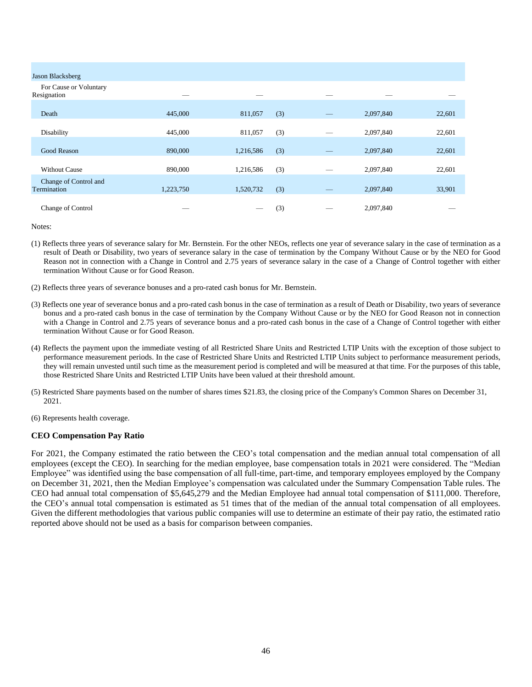| Jason Blacksberg                      |           |           |     |                                |           |        |
|---------------------------------------|-----------|-----------|-----|--------------------------------|-----------|--------|
| For Cause or Voluntary<br>Resignation |           |           |     |                                |           |        |
| Death                                 | 445,000   | 811,057   | (3) |                                | 2,097,840 | 22,601 |
| Disability                            | 445,000   | 811,057   | (3) |                                | 2,097,840 | 22,601 |
| Good Reason                           | 890,000   | 1,216,586 | (3) |                                | 2,097,840 | 22,601 |
| <b>Without Cause</b>                  | 890,000   | 1,216,586 | (3) | $\overbrace{\hspace{25mm}}^{}$ | 2,097,840 | 22,601 |
| Change of Control and<br>Termination  | 1,223,750 | 1,520,732 | (3) |                                | 2,097,840 | 33,901 |
| Change of Control                     |           |           | (3) |                                | 2,097,840 |        |
|                                       |           |           |     |                                |           |        |

- (1) Reflects three years of severance salary for Mr. Bernstein. For the other NEOs, reflects one year of severance salary in the case of termination as a result of Death or Disability, two years of severance salary in the case of termination by the Company Without Cause or by the NEO for Good Reason not in connection with a Change in Control and 2.75 years of severance salary in the case of a Change of Control together with either termination Without Cause or for Good Reason.
- (2) Reflects three years of severance bonuses and a pro-rated cash bonus for Mr. Bernstein.
- (3) Reflects one year of severance bonus and a pro-rated cash bonus in the case of termination as a result of Death or Disability, two years of severance bonus and a pro-rated cash bonus in the case of termination by the Company Without Cause or by the NEO for Good Reason not in connection with a Change in Control and 2.75 years of severance bonus and a pro-rated cash bonus in the case of a Change of Control together with either termination Without Cause or for Good Reason.
- (4) Reflects the payment upon the immediate vesting of all Restricted Share Units and Restricted LTIP Units with the exception of those subject to performance measurement periods. In the case of Restricted Share Units and Restricted LTIP Units subject to performance measurement periods, they will remain unvested until such time as the measurement period is completed and will be measured at that time. For the purposes of this table, those Restricted Share Units and Restricted LTIP Units have been valued at their threshold amount.
- (5) Restricted Share payments based on the number of shares times \$21.83, the closing price of the Company's Common Shares on December 31, 2021.
- (6) Represents health coverage.

#### **CEO Compensation Pay Ratio**

For 2021, the Company estimated the ratio between the CEO's total compensation and the median annual total compensation of all employees (except the CEO). In searching for the median employee, base compensation totals in 2021 were considered. The "Median Employee" was identified using the base compensation of all full-time, part-time, and temporary employees employed by the Company on December 31, 2021, then the Median Employee's compensation was calculated under the Summary Compensation Table rules. The CEO had annual total compensation of \$5,645,279 and the Median Employee had annual total compensation of \$111,000. Therefore, the CEO's annual total compensation is estimated as 51 times that of the median of the annual total compensation of all employees. Given the different methodologies that various public companies will use to determine an estimate of their pay ratio, the estimated ratio reported above should not be used as a basis for comparison between companies.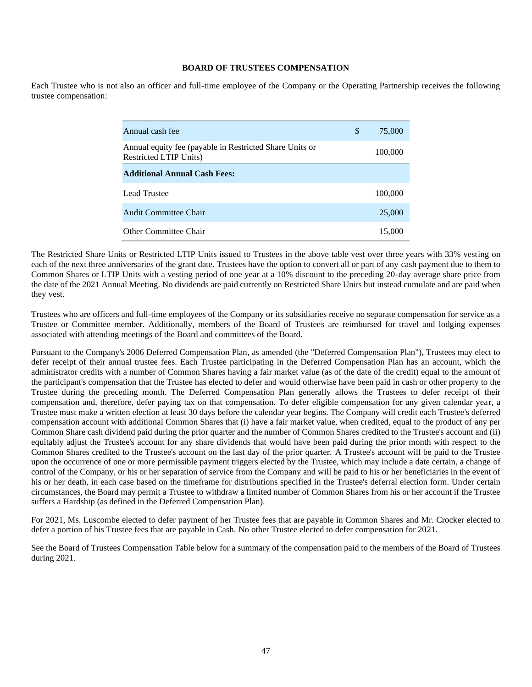### **BOARD OF TRUSTEES COMPENSATION**

Each Trustee who is not also an officer and full-time employee of the Company or the Operating Partnership receives the following trustee compensation:

| Annual cash fee                                                                           | \$<br>75,000 |
|-------------------------------------------------------------------------------------------|--------------|
| Annual equity fee (payable in Restricted Share Units or<br><b>Restricted LTIP Units</b> ) | 100,000      |
| <b>Additional Annual Cash Fees:</b>                                                       |              |
| Lead Trustee                                                                              | 100,000      |
| Audit Committee Chair                                                                     | 25,000       |
| Other Committee Chair                                                                     | 15,000       |

The Restricted Share Units or Restricted LTIP Units issued to Trustees in the above table vest over three years with 33% vesting on each of the next three anniversaries of the grant date. Trustees have the option to convert all or part of any cash payment due to them to Common Shares or LTIP Units with a vesting period of one year at a 10% discount to the preceding 20-day average share price from the date of the 2021 Annual Meeting. No dividends are paid currently on Restricted Share Units but instead cumulate and are paid when they vest.

Trustees who are officers and full-time employees of the Company or its subsidiaries receive no separate compensation for service as a Trustee or Committee member. Additionally, members of the Board of Trustees are reimbursed for travel and lodging expenses associated with attending meetings of the Board and committees of the Board.

Pursuant to the Company's 2006 Deferred Compensation Plan, as amended (the "Deferred Compensation Plan"), Trustees may elect to defer receipt of their annual trustee fees. Each Trustee participating in the Deferred Compensation Plan has an account, which the administrator credits with a number of Common Shares having a fair market value (as of the date of the credit) equal to the amount of the participant's compensation that the Trustee has elected to defer and would otherwise have been paid in cash or other property to the Trustee during the preceding month. The Deferred Compensation Plan generally allows the Trustees to defer receipt of their compensation and, therefore, defer paying tax on that compensation. To defer eligible compensation for any given calendar year, a Trustee must make a written election at least 30 days before the calendar year begins. The Company will credit each Trustee's deferred compensation account with additional Common Shares that (i) have a fair market value, when credited, equal to the product of any per Common Share cash dividend paid during the prior quarter and the number of Common Shares credited to the Trustee's account and (ii) equitably adjust the Trustee's account for any share dividends that would have been paid during the prior month with respect to the Common Shares credited to the Trustee's account on the last day of the prior quarter. A Trustee's account will be paid to the Trustee upon the occurrence of one or more permissible payment triggers elected by the Trustee, which may include a date certain, a change of control of the Company, or his or her separation of service from the Company and will be paid to his or her beneficiaries in the event of his or her death, in each case based on the timeframe for distributions specified in the Trustee's deferral election form. Under certain circumstances, the Board may permit a Trustee to withdraw a limited number of Common Shares from his or her account if the Trustee suffers a Hardship (as defined in the Deferred Compensation Plan).

For 2021, Ms. Luscombe elected to defer payment of her Trustee fees that are payable in Common Shares and Mr. Crocker elected to defer a portion of his Trustee fees that are payable in Cash. No other Trustee elected to defer compensation for 2021.

See the Board of Trustees Compensation Table below for a summary of the compensation paid to the members of the Board of Trustees during 2021.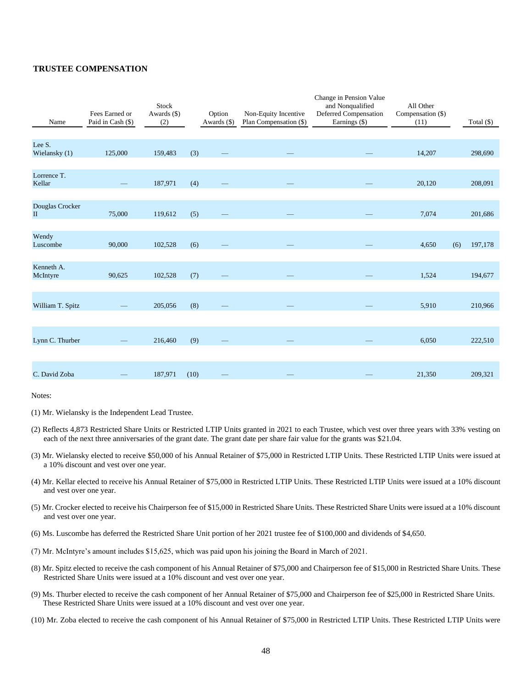#### **TRUSTEE COMPENSATION**

| Name                        | Fees Earned or<br>Paid in Cash (\$) | Stock<br>Awards (\$)<br>(2) |      | Option<br>Awards (\$) | Non-Equity Incentive<br>Plan Compensation (\$) | Change in Pension Value<br>and Nonqualified<br>Deferred Compensation<br>Earnings (\$) | All Other<br>Compensation (\$)<br>(11) |     | Total $(\$)$ |
|-----------------------------|-------------------------------------|-----------------------------|------|-----------------------|------------------------------------------------|---------------------------------------------------------------------------------------|----------------------------------------|-----|--------------|
|                             |                                     |                             |      |                       |                                                |                                                                                       |                                        |     |              |
| Lee S.<br>Wielansky (1)     | 125,000                             | 159,483                     | (3)  |                       |                                                |                                                                                       | 14,207                                 |     | 298,690      |
| Lorrence T.<br>Kellar       |                                     | 187,971                     | (4)  |                       |                                                |                                                                                       | 20,120                                 |     | 208,091      |
| Douglas Crocker<br>$\rm II$ | 75,000                              | 119,612                     | (5)  |                       |                                                |                                                                                       | 7,074                                  |     | 201,686      |
| Wendy<br>Luscombe           | 90,000                              | 102,528                     | (6)  |                       |                                                |                                                                                       | 4,650                                  | (6) | 197,178      |
|                             |                                     |                             |      |                       |                                                |                                                                                       |                                        |     |              |
| Kenneth A.<br>McIntyre      | 90,625                              | 102,528                     | (7)  |                       |                                                |                                                                                       | 1,524                                  |     | 194,677      |
|                             |                                     |                             |      |                       |                                                |                                                                                       |                                        |     |              |
| William T. Spitz            |                                     | 205,056                     | (8)  |                       |                                                |                                                                                       | 5,910                                  |     | 210,966      |
|                             |                                     |                             |      |                       |                                                |                                                                                       |                                        |     |              |
| Lynn C. Thurber             |                                     | 216,460                     | (9)  |                       |                                                |                                                                                       | 6,050                                  |     | 222,510      |
|                             |                                     |                             |      |                       |                                                |                                                                                       |                                        |     |              |
| C. David Zoba               |                                     | 187,971                     | (10) |                       |                                                |                                                                                       | 21,350                                 |     | 209,321      |

Notes:

(1) Mr. Wielansky is the Independent Lead Trustee.

- (2) Reflects 4,873 Restricted Share Units or Restricted LTIP Units granted in 2021 to each Trustee, which vest over three years with 33% vesting on each of the next three anniversaries of the grant date. The grant date per share fair value for the grants was \$21.04.
- (3) Mr. Wielansky elected to receive \$50,000 of his Annual Retainer of \$75,000 in Restricted LTIP Units. These Restricted LTIP Units were issued at a 10% discount and vest over one year.
- (4) Mr. Kellar elected to receive his Annual Retainer of \$75,000 in Restricted LTIP Units. These Restricted LTIP Units were issued at a 10% discount and vest over one year.
- (5) Mr. Crocker elected to receive his Chairperson fee of \$15,000 in Restricted Share Units. These Restricted Share Units were issued at a 10% discount and vest over one year.
- (6) Ms. Luscombe has deferred the Restricted Share Unit portion of her 2021 trustee fee of \$100,000 and dividends of \$4,650.
- (7) Mr. McIntyre's amount includes \$15,625, which was paid upon his joining the Board in March of 2021.
- (8) Mr. Spitz elected to receive the cash component of his Annual Retainer of \$75,000 and Chairperson fee of \$15,000 in Restricted Share Units. These Restricted Share Units were issued at a 10% discount and vest over one year.
- (9) Ms. Thurber elected to receive the cash component of her Annual Retainer of \$75,000 and Chairperson fee of \$25,000 in Restricted Share Units. These Restricted Share Units were issued at a 10% discount and vest over one year.
- (10) Mr. Zoba elected to receive the cash component of his Annual Retainer of \$75,000 in Restricted LTIP Units. These Restricted LTIP Units were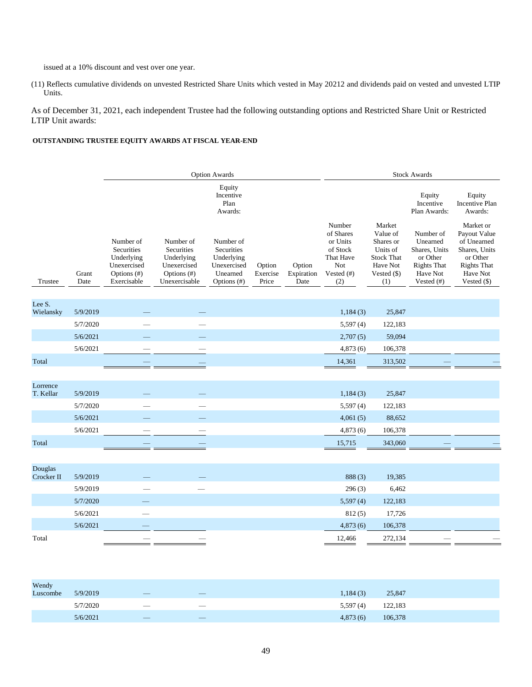issued at a 10% discount and vest over one year.

(11) Reflects cumulative dividends on unvested Restricted Share Units which vested in May 20212 and dividends paid on vested and unvested LTIP Units.

As of December 31, 2021, each independent Trustee had the following outstanding options and Restricted Share Unit or Restricted LTIP Unit awards:

### **OUTSTANDING TRUSTEE EQUITY AWARDS AT FISCAL YEAR-END**

|                       |               | <b>Option Awards</b>                                                               |                                                                                         |                                                                                 |                             |                              | <b>Stock Awards</b>                                                                     |                                                                                                    |                                                                                                    |                                                                                                                        |  |
|-----------------------|---------------|------------------------------------------------------------------------------------|-----------------------------------------------------------------------------------------|---------------------------------------------------------------------------------|-----------------------------|------------------------------|-----------------------------------------------------------------------------------------|----------------------------------------------------------------------------------------------------|----------------------------------------------------------------------------------------------------|------------------------------------------------------------------------------------------------------------------------|--|
|                       |               |                                                                                    |                                                                                         | Equity<br>Incentive<br>Plan<br>Awards:                                          |                             |                              |                                                                                         |                                                                                                    | Equity<br>Incentive<br>Plan Awards:                                                                | Equity<br><b>Incentive Plan</b><br>Awards:                                                                             |  |
| Trustee               | Grant<br>Date | Number of<br>Securities<br>Underlying<br>Unexercised<br>Options (#)<br>Exercisable | Number of<br>Securities<br>Underlying<br>Unexercised<br>Options $(\#)$<br>Unexercisable | Number of<br>Securities<br>Underlying<br>Unexercised<br>Unearned<br>Options (#) | Option<br>Exercise<br>Price | Option<br>Expiration<br>Date | Number<br>of Shares<br>or Units<br>of Stock<br>That Have<br>Not<br>Vested $(\#)$<br>(2) | Market<br>Value of<br>Shares or<br>Units of<br><b>Stock That</b><br>Have Not<br>Vested (\$)<br>(1) | Number of<br>Unearned<br>Shares, Units<br>or Other<br><b>Rights That</b><br>Have Not<br>Vested (#) | Market or<br>Payout Value<br>of Unearned<br>Shares, Units<br>or Other<br><b>Rights That</b><br>Have Not<br>Vested (\$) |  |
| Lee S.<br>Wielansky   | 5/9/2019      |                                                                                    |                                                                                         |                                                                                 |                             |                              | 1,184(3)                                                                                | 25,847                                                                                             |                                                                                                    |                                                                                                                        |  |
|                       | 5/7/2020      |                                                                                    |                                                                                         |                                                                                 |                             |                              | 5,597(4)                                                                                | 122,183                                                                                            |                                                                                                    |                                                                                                                        |  |
|                       | 5/6/2021      |                                                                                    |                                                                                         |                                                                                 |                             |                              | 2,707(5)                                                                                | 59,094                                                                                             |                                                                                                    |                                                                                                                        |  |
|                       | 5/6/2021      |                                                                                    |                                                                                         |                                                                                 |                             |                              | 4,873(6)                                                                                | 106,378                                                                                            |                                                                                                    |                                                                                                                        |  |
| Total                 |               |                                                                                    |                                                                                         |                                                                                 |                             |                              | 14,361                                                                                  | 313,502                                                                                            |                                                                                                    |                                                                                                                        |  |
|                       |               |                                                                                    |                                                                                         |                                                                                 |                             |                              |                                                                                         |                                                                                                    |                                                                                                    |                                                                                                                        |  |
| Lorrence<br>T. Kellar | 5/9/2019      |                                                                                    |                                                                                         |                                                                                 |                             |                              | 1,184(3)                                                                                | 25,847                                                                                             |                                                                                                    |                                                                                                                        |  |
|                       | 5/7/2020      |                                                                                    |                                                                                         |                                                                                 |                             |                              | 5,597(4)                                                                                | 122,183                                                                                            |                                                                                                    |                                                                                                                        |  |
|                       | 5/6/2021      |                                                                                    |                                                                                         |                                                                                 |                             |                              | 4,061(5)                                                                                | 88,652                                                                                             |                                                                                                    |                                                                                                                        |  |
|                       | 5/6/2021      |                                                                                    |                                                                                         |                                                                                 |                             |                              | 4,873(6)                                                                                | 106,378                                                                                            |                                                                                                    |                                                                                                                        |  |
| Total                 |               |                                                                                    |                                                                                         |                                                                                 |                             |                              | 15,715                                                                                  | 343,060                                                                                            |                                                                                                    |                                                                                                                        |  |
|                       |               |                                                                                    |                                                                                         |                                                                                 |                             |                              |                                                                                         |                                                                                                    |                                                                                                    |                                                                                                                        |  |
| Douglas<br>Crocker II | 5/9/2019      |                                                                                    |                                                                                         |                                                                                 |                             |                              | 888(3)                                                                                  | 19,385                                                                                             |                                                                                                    |                                                                                                                        |  |
|                       | 5/9/2019      |                                                                                    |                                                                                         |                                                                                 |                             |                              | 296(3)                                                                                  | 6,462                                                                                              |                                                                                                    |                                                                                                                        |  |
|                       | 5/7/2020      |                                                                                    |                                                                                         |                                                                                 |                             |                              | 5,597(4)                                                                                | 122,183                                                                                            |                                                                                                    |                                                                                                                        |  |
|                       | 5/6/2021      |                                                                                    |                                                                                         |                                                                                 |                             |                              | 812(5)                                                                                  | 17,726                                                                                             |                                                                                                    |                                                                                                                        |  |
|                       | 5/6/2021      |                                                                                    |                                                                                         |                                                                                 |                             |                              | 4,873(6)                                                                                | 106,378                                                                                            |                                                                                                    |                                                                                                                        |  |
| Total                 |               |                                                                                    |                                                                                         |                                                                                 |                             |                              | 12,466                                                                                  | 272,134                                                                                            |                                                                                                    |                                                                                                                        |  |

| Wendy<br>Luscombe | 5/9/2019 | and the state of the state of the state of the state of the state of the state of the state of the state of th<br>$\overline{\phantom{a}}$ | $\overline{\phantom{a}}$        | 1,184(3) | 25,847  |
|-------------------|----------|--------------------------------------------------------------------------------------------------------------------------------------------|---------------------------------|----------|---------|
|                   | 5/7/2020 | $\hspace{0.1mm}-\hspace{0.1mm}$                                                                                                            | $\hspace{0.1mm}-\hspace{0.1mm}$ | 5,597(4) | 122,183 |
|                   | 5/6/2021 | $\sim$                                                                                                                                     | $-$                             | 4,873(6) | 106,378 |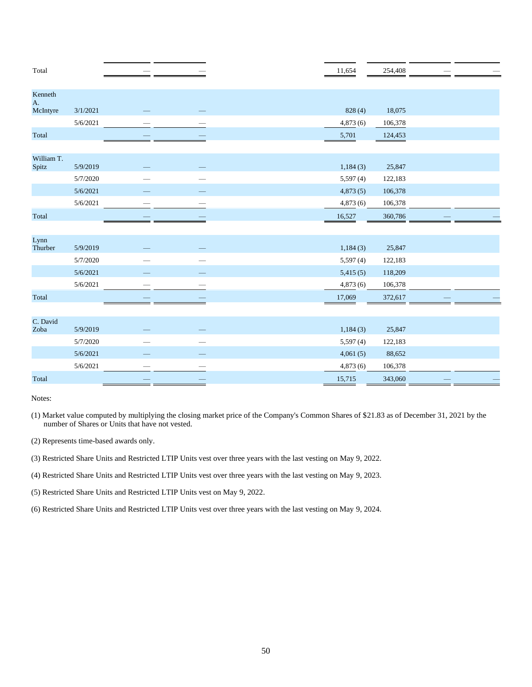| Total               |          |  | 11,654   | 254,408 |  |
|---------------------|----------|--|----------|---------|--|
| Kenneth<br>A.       |          |  |          |         |  |
| McIntyre            | 3/1/2021 |  | 828 (4)  | 18,075  |  |
|                     | 5/6/2021 |  | 4,873(6) | 106,378 |  |
| Total               |          |  | 5,701    | 124,453 |  |
|                     |          |  |          |         |  |
| William T.<br>Spitz | 5/9/2019 |  | 1,184(3) | 25,847  |  |
|                     | 5/7/2020 |  | 5,597(4) | 122,183 |  |
|                     | 5/6/2021 |  | 4,873(5) | 106,378 |  |
|                     | 5/6/2021 |  | 4,873(6) | 106,378 |  |
| Total               |          |  | 16,527   | 360,786 |  |
|                     |          |  |          |         |  |
| Lynn<br>Thurber     | 5/9/2019 |  | 1,184(3) | 25,847  |  |
|                     | 5/7/2020 |  | 5,597(4) | 122,183 |  |
|                     | 5/6/2021 |  | 5,415(5) | 118,209 |  |
|                     | 5/6/2021 |  | 4,873(6) | 106,378 |  |
| Total               |          |  | 17,069   | 372,617 |  |
|                     |          |  |          |         |  |
| C. David<br>Zoba    | 5/9/2019 |  | 1,184(3) | 25,847  |  |
|                     | 5/7/2020 |  | 5,597(4) | 122,183 |  |
|                     | 5/6/2021 |  | 4,061(5) | 88,652  |  |
|                     | 5/6/2021 |  | 4,873(6) | 106,378 |  |
| Total               |          |  | 15,715   | 343,060 |  |

(1) Market value computed by multiplying the closing market price of the Company's Common Shares of \$21.83 as of December 31, 2021 by the number of Shares or Units that have not vested.

(2) Represents time-based awards only.

(3) Restricted Share Units and Restricted LTIP Units vest over three years with the last vesting on May 9, 2022.

(4) Restricted Share Units and Restricted LTIP Units vest over three years with the last vesting on May 9, 2023.

(5) Restricted Share Units and Restricted LTIP Units vest on May 9, 2022.

(6) Restricted Share Units and Restricted LTIP Units vest over three years with the last vesting on May 9, 2024.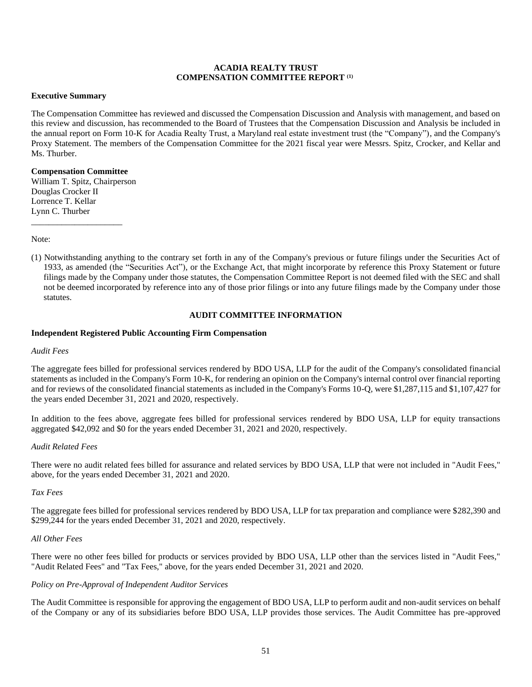### **ACADIA REALTY TRUST COMPENSATION COMMITTEE REPORT (1)**

### **Executive Summary**

The Compensation Committee has reviewed and discussed the Compensation Discussion and Analysis with management, and based on this review and discussion, has recommended to the Board of Trustees that the Compensation Discussion and Analysis be included in the annual report on Form 10-K for Acadia Realty Trust, a Maryland real estate investment trust (the "Company"), and the Company's Proxy Statement. The members of the Compensation Committee for the 2021 fiscal year were Messrs. Spitz, Crocker, and Kellar and Ms. Thurber.

## **Compensation Committee**

William T. Spitz, Chairperson Douglas Crocker II Lorrence T. Kellar Lynn C. Thurber

\_\_\_\_\_\_\_\_\_\_\_\_\_\_\_\_\_\_\_\_\_

Note:

(1) Notwithstanding anything to the contrary set forth in any of the Company's previous or future filings under the Securities Act of 1933, as amended (the "Securities Act"), or the Exchange Act, that might incorporate by reference this Proxy Statement or future filings made by the Company under those statutes, the Compensation Committee Report is not deemed filed with the SEC and shall not be deemed incorporated by reference into any of those prior filings or into any future filings made by the Company under those statutes.

# **AUDIT COMMITTEE INFORMATION**

#### **Independent Registered Public Accounting Firm Compensation**

#### *Audit Fees*

The aggregate fees billed for professional services rendered by BDO USA, LLP for the audit of the Company's consolidated financial statements as included in the Company's Form 10-K, for rendering an opinion on the Company's internal control over financial reporting and for reviews of the consolidated financial statements as included in the Company's Forms 10-Q, were \$1,287,115 and \$1,107,427 for the years ended December 31, 2021 and 2020, respectively.

In addition to the fees above, aggregate fees billed for professional services rendered by BDO USA, LLP for equity transactions aggregated \$42,092 and \$0 for the years ended December 31, 2021 and 2020, respectively.

#### *Audit Related Fees*

There were no audit related fees billed for assurance and related services by BDO USA, LLP that were not included in "Audit Fees," above, for the years ended December 31, 2021 and 2020.

### *Tax Fees*

The aggregate fees billed for professional services rendered by BDO USA, LLP for tax preparation and compliance were \$282,390 and \$299,244 for the years ended December 31, 2021 and 2020, respectively.

### *All Other Fees*

There were no other fees billed for products or services provided by BDO USA, LLP other than the services listed in "Audit Fees," "Audit Related Fees" and "Tax Fees," above, for the years ended December 31, 2021 and 2020.

#### *Policy on Pre-Approval of Independent Auditor Services*

The Audit Committee is responsible for approving the engagement of BDO USA, LLP to perform audit and non-audit services on behalf of the Company or any of its subsidiaries before BDO USA, LLP provides those services. The Audit Committee has pre-approved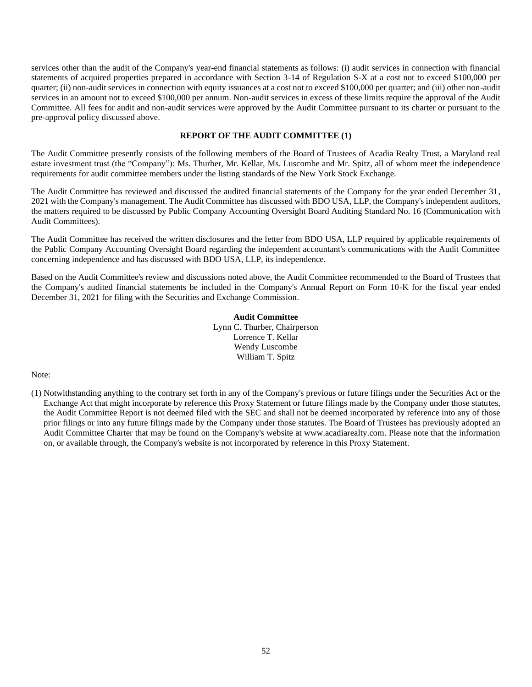services other than the audit of the Company's year-end financial statements as follows: (i) audit services in connection with financial statements of acquired properties prepared in accordance with Section 3-14 of Regulation S-X at a cost not to exceed \$100,000 per quarter; (ii) non-audit services in connection with equity issuances at a cost not to exceed \$100,000 per quarter; and (iii) other non-audit services in an amount not to exceed \$100,000 per annum. Non-audit services in excess of these limits require the approval of the Audit Committee. All fees for audit and non-audit services were approved by the Audit Committee pursuant to its charter or pursuant to the pre-approval policy discussed above.

# **REPORT OF THE AUDIT COMMITTEE (1)**

The Audit Committee presently consists of the following members of the Board of Trustees of Acadia Realty Trust, a Maryland real estate investment trust (the "Company"): Ms. Thurber, Mr. Kellar, Ms. Luscombe and Mr. Spitz, all of whom meet the independence requirements for audit committee members under the listing standards of the New York Stock Exchange.

The Audit Committee has reviewed and discussed the audited financial statements of the Company for the year ended December 31, 2021 with the Company's management. The Audit Committee has discussed with BDO USA, LLP, the Company's independent auditors, the matters required to be discussed by Public Company Accounting Oversight Board Auditing Standard No. 16 (Communication with Audit Committees).

The Audit Committee has received the written disclosures and the letter from BDO USA, LLP required by applicable requirements of the Public Company Accounting Oversight Board regarding the independent accountant's communications with the Audit Committee concerning independence and has discussed with BDO USA, LLP, its independence.

Based on the Audit Committee's review and discussions noted above, the Audit Committee recommended to the Board of Trustees that the Company's audited financial statements be included in the Company's Annual Report on Form 10-K for the fiscal year ended December 31, 2021 for filing with the Securities and Exchange Commission.

> **Audit Committee** Lynn C. Thurber, Chairperson Lorrence T. Kellar Wendy Luscombe William T. Spitz

#### Note:

(1) Notwithstanding anything to the contrary set forth in any of the Company's previous or future filings under the Securities Act or the Exchange Act that might incorporate by reference this Proxy Statement or future filings made by the Company under those statutes, the Audit Committee Report is not deemed filed with the SEC and shall not be deemed incorporated by reference into any of those prior filings or into any future filings made by the Company under those statutes. The Board of Trustees has previously adopted an Audit Committee Charter that may be found on the Company's website at www.acadiarealty.com. Please note that the information on, or available through, the Company's website is not incorporated by reference in this Proxy Statement.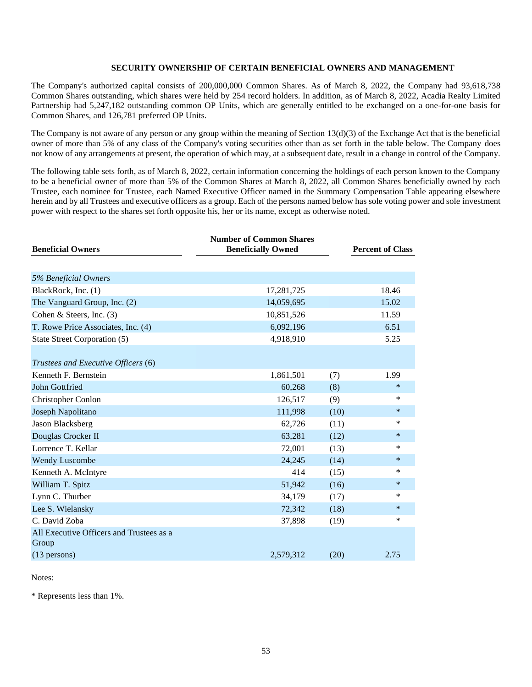# **SECURITY OWNERSHIP OF CERTAIN BENEFICIAL OWNERS AND MANAGEMENT**

The Company's authorized capital consists of 200,000,000 Common Shares. As of March 8, 2022, the Company had 93,618,738 Common Shares outstanding, which shares were held by 254 record holders. In addition, as of March 8, 2022, Acadia Realty Limited Partnership had 5,247,182 outstanding common OP Units, which are generally entitled to be exchanged on a one-for-one basis for Common Shares, and 126,781 preferred OP Units.

The Company is not aware of any person or any group within the meaning of Section 13(d)(3) of the Exchange Act that is the beneficial owner of more than 5% of any class of the Company's voting securities other than as set forth in the table below. The Company does not know of any arrangements at present, the operation of which may, at a subsequent date, result in a change in control of the Company.

The following table sets forth, as of March 8, 2022, certain information concerning the holdings of each person known to the Company to be a beneficial owner of more than 5% of the Common Shares at March 8, 2022, all Common Shares beneficially owned by each Trustee, each nominee for Trustee, each Named Executive Officer named in the Summary Compensation Table appearing elsewhere herein and by all Trustees and executive officers as a group. Each of the persons named below has sole voting power and sole investment power with respect to the shares set forth opposite his, her or its name, except as otherwise noted.

| <b>Beneficial Owners</b>                          | <b>Number of Common Shares</b><br><b>Beneficially Owned</b> |      | <b>Percent of Class</b> |
|---------------------------------------------------|-------------------------------------------------------------|------|-------------------------|
|                                                   |                                                             |      |                         |
| 5% Beneficial Owners                              |                                                             |      |                         |
| BlackRock, Inc. (1)                               | 17,281,725                                                  |      | 18.46                   |
| The Vanguard Group, Inc. (2)                      | 14,059,695                                                  |      | 15.02                   |
| Cohen & Steers, Inc. (3)                          | 10,851,526                                                  |      | 11.59                   |
| T. Rowe Price Associates, Inc. (4)                | 6,092,196                                                   |      | 6.51                    |
| State Street Corporation (5)                      | 4,918,910                                                   |      | 5.25                    |
|                                                   |                                                             |      |                         |
| Trustees and Executive Officers (6)               |                                                             |      |                         |
| Kenneth F. Bernstein                              | 1,861,501                                                   | (7)  | 1.99                    |
| John Gottfried                                    | 60,268                                                      | (8)  | $\ast$                  |
| Christopher Conlon                                | 126,517                                                     | (9)  | ∗                       |
| Joseph Napolitano                                 | 111,998                                                     | (10) | $\ast$                  |
| Jason Blacksberg                                  | 62,726                                                      | (11) | $\ast$                  |
| Douglas Crocker II                                | 63,281                                                      | (12) | $\ast$                  |
| Lorrence T. Kellar                                | 72,001                                                      | (13) | $\ast$                  |
| <b>Wendy Luscombe</b>                             | 24,245                                                      | (14) | $\ast$                  |
| Kenneth A. McIntyre                               | 414                                                         | (15) | $\ast$                  |
| William T. Spitz                                  | 51,942                                                      | (16) | $\ast$                  |
| Lynn C. Thurber                                   | 34,179                                                      | (17) | $\ast$                  |
| Lee S. Wielansky                                  | 72,342                                                      | (18) | $\ast$                  |
| C. David Zoba                                     | 37,898                                                      | (19) | $\ast$                  |
| All Executive Officers and Trustees as a<br>Group |                                                             |      |                         |
| $(13$ persons)                                    | 2,579,312                                                   | (20) | 2.75                    |

Notes:

\* Represents less than 1%.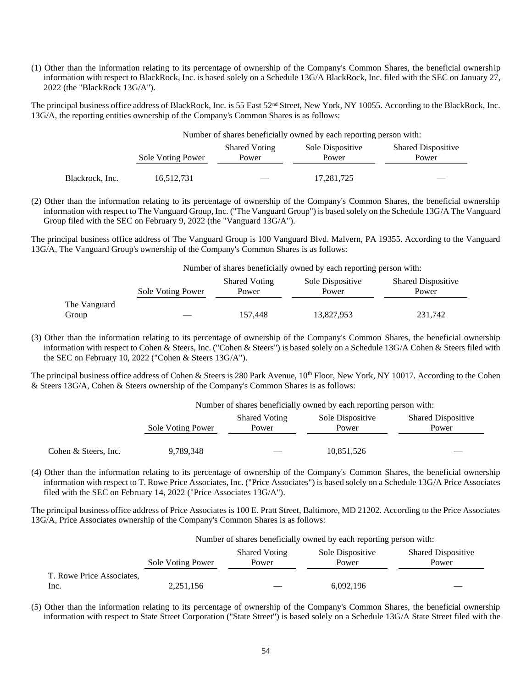(1) Other than the information relating to its percentage of ownership of the Company's Common Shares, the beneficial ownership information with respect to BlackRock, Inc. is based solely on a Schedule 13G/A BlackRock, Inc. filed with the SEC on January 27, 2022 (the "BlackRock 13G/A").

The principal business office address of BlackRock, Inc. is 55 East  $52<sup>nd</sup>$  Street, New York, NY 10055. According to the BlackRock, Inc. 13G/A, the reporting entities ownership of the Company's Common Shares is as follows:

|                 | Number of shares beneficially owned by each reporting person with: |                               |                           |                                    |
|-----------------|--------------------------------------------------------------------|-------------------------------|---------------------------|------------------------------------|
|                 | Sole Voting Power                                                  | <b>Shared Voting</b><br>Power | Sole Dispositive<br>Power | <b>Shared Dispositive</b><br>Power |
| Blackrock, Inc. | 16,512,731                                                         |                               | 17, 281, 725              |                                    |

(2) Other than the information relating to its percentage of ownership of the Company's Common Shares, the beneficial ownership information with respect to The Vanguard Group, Inc. ("The Vanguard Group") is based solely on the Schedule 13G/A The Vanguard Group filed with the SEC on February 9, 2022 (the "Vanguard 13G/A").

The principal business office address of The Vanguard Group is 100 Vanguard Blvd. Malvern, PA 19355. According to the Vanguard 13G/A, The Vanguard Group's ownership of the Company's Common Shares is as follows:

Number of shares beneficially owned by each reporting person with:

|              | Sole Voting Power | <b>Shared Voting</b><br>Power | Sole Dispositive<br>Power | <b>Shared Dispositive</b><br>Power |
|--------------|-------------------|-------------------------------|---------------------------|------------------------------------|
| The Vanguard |                   |                               |                           |                                    |
| Group        |                   | 157.448                       | 13.827.953                | 231,742                            |

(3) Other than the information relating to its percentage of ownership of the Company's Common Shares, the beneficial ownership information with respect to Cohen & Steers, Inc. ("Cohen & Steers") is based solely on a Schedule 13G/A Cohen & Steers filed with the SEC on February 10, 2022 ("Cohen & Steers 13G/A").

The principal business office address of Cohen & Steers is 280 Park Avenue,  $10^{th}$  Floor, New York, NY 10017. According to the Cohen & Steers 13G/A, Cohen & Steers ownership of the Company's Common Shares is as follows:

| Number of shares beneficially owned by each reporting person with: |  |  |  |
|--------------------------------------------------------------------|--|--|--|
|                                                                    |  |  |  |

|                      | Sole Voting Power | <b>Shared Voting</b><br>Power | Sole Dispositive<br>Power | <b>Shared Dispositive</b><br>Power |
|----------------------|-------------------|-------------------------------|---------------------------|------------------------------------|
| Cohen & Steers, Inc. | 9,789,348         |                               | 10,851,526                | $\overline{\phantom{a}}$           |

(4) Other than the information relating to its percentage of ownership of the Company's Common Shares, the beneficial ownership information with respect to T. Rowe Price Associates, Inc. ("Price Associates") is based solely on a Schedule 13G/A Price Associates filed with the SEC on February 14, 2022 ("Price Associates 13G/A").

The principal business office address of Price Associates is 100 E. Pratt Street, Baltimore, MD 21202. According to the Price Associates 13G/A, Price Associates ownership of the Company's Common Shares is as follows:

|                           | Number of shares beneficially owned by each reporting person with: |                               |                           |                                    |
|---------------------------|--------------------------------------------------------------------|-------------------------------|---------------------------|------------------------------------|
|                           | Sole Voting Power                                                  | <b>Shared Voting</b><br>Power | Sole Dispositive<br>Power | <b>Shared Dispositive</b><br>Power |
| T. Rowe Price Associates, |                                                                    |                               |                           |                                    |
| Inc.                      | 2,251,156                                                          |                               | 6,092,196                 |                                    |

(5) Other than the information relating to its percentage of ownership of the Company's Common Shares, the beneficial ownership information with respect to State Street Corporation ("State Street") is based solely on a Schedule 13G/A State Street filed with the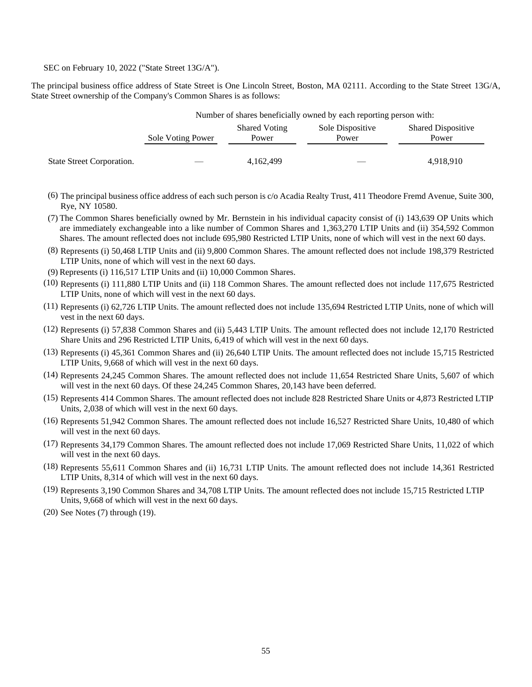SEC on February 10, 2022 ("State Street 13G/A").

The principal business office address of State Street is One Lincoln Street, Boston, MA 02111. According to the State Street 13G/A, State Street ownership of the Company's Common Shares is as follows:

|                           | Number of shares beneficially owned by each reporting person with: |                               |                           |                                    |
|---------------------------|--------------------------------------------------------------------|-------------------------------|---------------------------|------------------------------------|
|                           | Sole Voting Power                                                  | <b>Shared Voting</b><br>Power | Sole Dispositive<br>Power | <b>Shared Dispositive</b><br>Power |
| State Street Corporation. |                                                                    | 4,162,499                     |                           | 4,918,910                          |

- (6) The principal business office address of each such person is c/o Acadia Realty Trust, 411 Theodore Fremd Avenue, Suite 300, Rye, NY 10580.
- (7) The Common Shares beneficially owned by Mr. Bernstein in his individual capacity consist of (i) 143,639 OP Units which are immediately exchangeable into a like number of Common Shares and 1,363,270 LTIP Units and (ii) 354,592 Common Shares. The amount reflected does not include 695,980 Restricted LTIP Units, none of which will vest in the next 60 days.
- (8) Represents (i) 50,468 LTIP Units and (ii) 9,800 Common Shares. The amount reflected does not include 198,379 Restricted LTIP Units, none of which will vest in the next 60 days.
- (9) Represents (i) 116,517 LTIP Units and (ii) 10,000 Common Shares.
- (10) Represents (i) 111,880 LTIP Units and (ii) 118 Common Shares. The amount reflected does not include 117,675 Restricted LTIP Units, none of which will vest in the next 60 days.
- (11) Represents (i) 62,726 LTIP Units. The amount reflected does not include 135,694 Restricted LTIP Units, none of which will vest in the next 60 days.
- (12) Represents (i) 57,838 Common Shares and (ii) 5,443 LTIP Units. The amount reflected does not include 12,170 Restricted Share Units and 296 Restricted LTIP Units, 6,419 of which will vest in the next 60 days.
- (13) Represents (i) 45,361 Common Shares and (ii) 26,640 LTIP Units. The amount reflected does not include 15,715 Restricted LTIP Units, 9,668 of which will vest in the next 60 days.
- (14) Represents 24,245 Common Shares. The amount reflected does not include 11,654 Restricted Share Units, 5,607 of which will vest in the next 60 days. Of these 24,245 Common Shares, 20,143 have been deferred.
- (15) Represents 414 Common Shares. The amount reflected does not include 828 Restricted Share Units or 4,873 Restricted LTIP Units, 2,038 of which will vest in the next 60 days.
- (16) Represents 51,942 Common Shares. The amount reflected does not include 16,527 Restricted Share Units, 10,480 of which will vest in the next 60 days.
- (17) Represents 34,179 Common Shares. The amount reflected does not include 17,069 Restricted Share Units, 11,022 of which will vest in the next 60 days.
- (18) Represents 55,611 Common Shares and (ii) 16,731 LTIP Units. The amount reflected does not include 14,361 Restricted LTIP Units, 8,314 of which will vest in the next 60 days.
- (19) Represents 3,190 Common Shares and 34,708 LTIP Units. The amount reflected does not include 15,715 Restricted LTIP Units, 9,668 of which will vest in the next 60 days.
- (20) See Notes (7) through (19).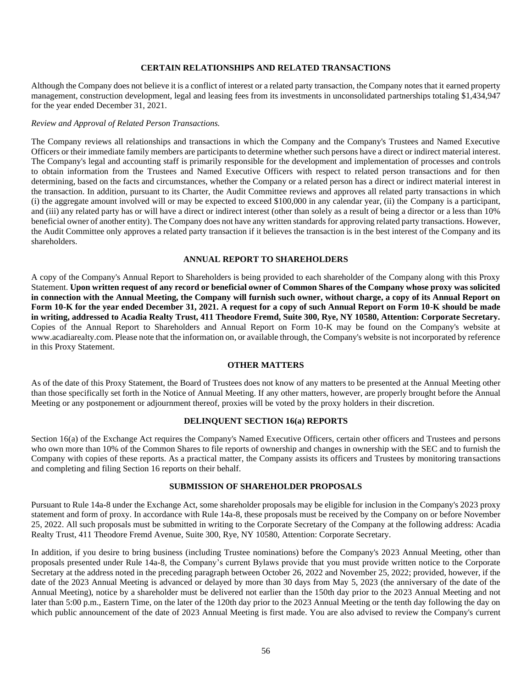#### **CERTAIN RELATIONSHIPS AND RELATED TRANSACTIONS**

Although the Company does not believe it is a conflict of interest or a related party transaction, the Company notes that it earned property management, construction development, legal and leasing fees from its investments in unconsolidated partnerships totaling \$1,434,947 for the year ended December 31, 2021.

#### *Review and Approval of Related Person Transactions.*

The Company reviews all relationships and transactions in which the Company and the Company's Trustees and Named Executive Officers or their immediate family members are participants to determine whether such persons have a direct or indirect material interest. The Company's legal and accounting staff is primarily responsible for the development and implementation of processes and controls to obtain information from the Trustees and Named Executive Officers with respect to related person transactions and for then determining, based on the facts and circumstances, whether the Company or a related person has a direct or indirect material interest in the transaction. In addition, pursuant to its Charter, the Audit Committee reviews and approves all related party transactions in which (i) the aggregate amount involved will or may be expected to exceed \$100,000 in any calendar year, (ii) the Company is a participant, and (iii) any related party has or will have a direct or indirect interest (other than solely as a result of being a director or a less than 10% beneficial owner of another entity). The Company does not have any written standards for approving related party transactions. However, the Audit Committee only approves a related party transaction if it believes the transaction is in the best interest of the Company and its shareholders.

#### **ANNUAL REPORT TO SHAREHOLDERS**

A copy of the Company's Annual Report to Shareholders is being provided to each shareholder of the Company along with this Proxy Statement. **Upon written request of any record or beneficial owner of Common Shares of the Company whose proxy was solicited in connection with the Annual Meeting, the Company will furnish such owner, without charge, a copy of its Annual Report on Form 10-K for the year ended December 31, 2021. A request for a copy of such Annual Report on Form 10-K should be made in writing, addressed to Acadia Realty Trust, 411 Theodore Fremd, Suite 300, Rye, NY 10580, Attention: Corporate Secretary.** Copies of the Annual Report to Shareholders and Annual Report on Form 10-K may be found on the Company's website at www.acadiarealty.com. Please note that the information on, or available through, the Company's website is not incorporated by reference in this Proxy Statement.

### **OTHER MATTERS**

As of the date of this Proxy Statement, the Board of Trustees does not know of any matters to be presented at the Annual Meeting other than those specifically set forth in the Notice of Annual Meeting. If any other matters, however, are properly brought before the Annual Meeting or any postponement or adjournment thereof, proxies will be voted by the proxy holders in their discretion.

#### **DELINQUENT SECTION 16(a) REPORTS**

Section 16(a) of the Exchange Act requires the Company's Named Executive Officers, certain other officers and Trustees and persons who own more than 10% of the Common Shares to file reports of ownership and changes in ownership with the SEC and to furnish the Company with copies of these reports. As a practical matter, the Company assists its officers and Trustees by monitoring transactions and completing and filing Section 16 reports on their behalf.

# **SUBMISSION OF SHAREHOLDER PROPOSALS**

Pursuant to Rule 14a-8 under the Exchange Act, some shareholder proposals may be eligible for inclusion in the Company's 2023 proxy statement and form of proxy. In accordance with Rule 14a-8, these proposals must be received by the Company on or before November 25, 2022. All such proposals must be submitted in writing to the Corporate Secretary of the Company at the following address: Acadia Realty Trust, 411 Theodore Fremd Avenue, Suite 300, Rye, NY 10580, Attention: Corporate Secretary.

In addition, if you desire to bring business (including Trustee nominations) before the Company's 2023 Annual Meeting, other than proposals presented under Rule 14a-8, the Company's current Bylaws provide that you must provide written notice to the Corporate Secretary at the address noted in the preceding paragraph between October 26, 2022 and November 25, 2022; provided, however, if the date of the 2023 Annual Meeting is advanced or delayed by more than 30 days from May 5, 2023 (the anniversary of the date of the Annual Meeting), notice by a shareholder must be delivered not earlier than the 150th day prior to the 2023 Annual Meeting and not later than 5:00 p.m., Eastern Time, on the later of the 120th day prior to the 2023 Annual Meeting or the tenth day following the day on which public announcement of the date of 2023 Annual Meeting is first made. You are also advised to review the Company's current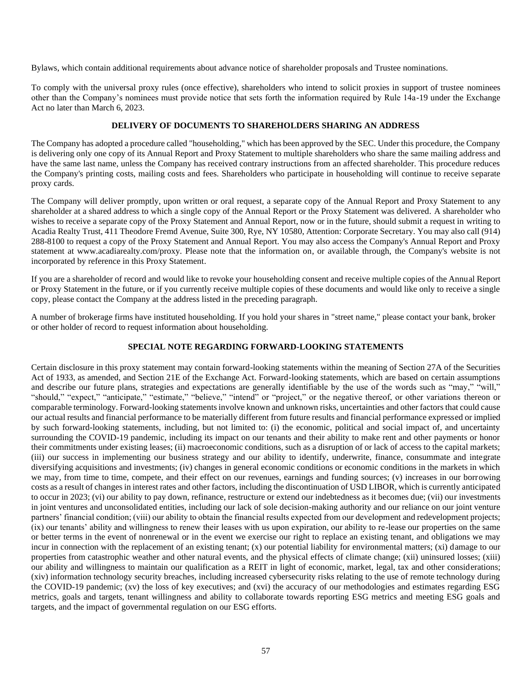Bylaws, which contain additional requirements about advance notice of shareholder proposals and Trustee nominations.

To comply with the universal proxy rules (once effective), shareholders who intend to solicit proxies in support of trustee nominees other than the Company's nominees must provide notice that sets forth the information required by Rule 14a-19 under the Exchange Act no later than March 6, 2023.

# **DELIVERY OF DOCUMENTS TO SHAREHOLDERS SHARING AN ADDRESS**

The Company has adopted a procedure called "householding," which has been approved by the SEC. Under this procedure, the Company is delivering only one copy of its Annual Report and Proxy Statement to multiple shareholders who share the same mailing address and have the same last name, unless the Company has received contrary instructions from an affected shareholder. This procedure reduces the Company's printing costs, mailing costs and fees. Shareholders who participate in householding will continue to receive separate proxy cards.

The Company will deliver promptly, upon written or oral request, a separate copy of the Annual Report and Proxy Statement to any shareholder at a shared address to which a single copy of the Annual Report or the Proxy Statement was delivered. A shareholder who wishes to receive a separate copy of the Proxy Statement and Annual Report, now or in the future, should submit a request in writing to Acadia Realty Trust, 411 Theodore Fremd Avenue, Suite 300, Rye, NY 10580, Attention: Corporate Secretary. You may also call (914) 288-8100 to request a copy of the Proxy Statement and Annual Report. You may also access the Company's Annual Report and Proxy statement at www.acadiarealty.com/proxy. Please note that the information on, or available through, the Company's website is not incorporated by reference in this Proxy Statement.

If you are a shareholder of record and would like to revoke your householding consent and receive multiple copies of the Annual Report or Proxy Statement in the future, or if you currently receive multiple copies of these documents and would like only to receive a single copy, please contact the Company at the address listed in the preceding paragraph.

A number of brokerage firms have instituted householding. If you hold your shares in "street name," please contact your bank, broker or other holder of record to request information about householding.

# **SPECIAL NOTE REGARDING FORWARD-LOOKING STATEMENTS**

Certain disclosure in this proxy statement may contain forward-looking statements within the meaning of Section 27A of the Securities Act of 1933, as amended, and Section 21E of the Exchange Act. Forward-looking statements, which are based on certain assumptions and describe our future plans, strategies and expectations are generally identifiable by the use of the words such as "may," "will," "should," "expect," "anticipate," "estimate," "believe," "intend" or "project," or the negative thereof, or other variations thereon or comparable terminology. Forward-looking statements involve known and unknown risks, uncertainties and other factors that could cause our actual results and financial performance to be materially different from future results and financial performance expressed or implied by such forward-looking statements, including, but not limited to: (i) the economic, political and social impact of, and uncertainty surrounding the COVID-19 pandemic, including its impact on our tenants and their ability to make rent and other payments or honor their commitments under existing leases; (ii) macroeconomic conditions, such as a disruption of or lack of access to the capital markets; (iii) our success in implementing our business strategy and our ability to identify, underwrite, finance, consummate and integrate diversifying acquisitions and investments; (iv) changes in general economic conditions or economic conditions in the markets in which we may, from time to time, compete, and their effect on our revenues, earnings and funding sources; (v) increases in our borrowing costs as a result of changes in interest rates and other factors, including the discontinuation of USD LIBOR, which is currently anticipated to occur in 2023; (vi) our ability to pay down, refinance, restructure or extend our indebtedness as it becomes due; (vii) our investments in joint ventures and unconsolidated entities, including our lack of sole decision-making authority and our reliance on our joint venture partners' financial condition; (viii) our ability to obtain the financial results expected from our development and redevelopment projects; (ix) our tenants' ability and willingness to renew their leases with us upon expiration, our ability to re-lease our properties on the same or better terms in the event of nonrenewal or in the event we exercise our right to replace an existing tenant, and obligations we may incur in connection with the replacement of an existing tenant; (x) our potential liability for environmental matters; (xi) damage to our properties from catastrophic weather and other natural events, and the physical effects of climate change; (xii) uninsured losses; (xiii) our ability and willingness to maintain our qualification as a REIT in light of economic, market, legal, tax and other considerations; (xiv) information technology security breaches, including increased cybersecurity risks relating to the use of remote technology during the COVID-19 pandemic; (xv) the loss of key executives; and (xvi) the accuracy of our methodologies and estimates regarding ESG metrics, goals and targets, tenant willingness and ability to collaborate towards reporting ESG metrics and meeting ESG goals and targets, and the impact of governmental regulation on our ESG efforts.